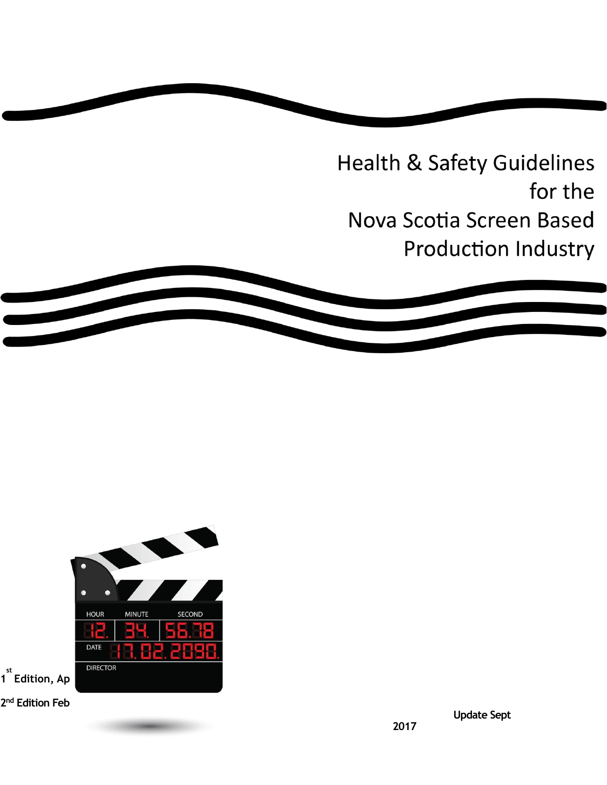**Health & Safety Guidelines** for the Nova Scotia Screen Based **Production Industry** 



 **Update Sept** 

**2017**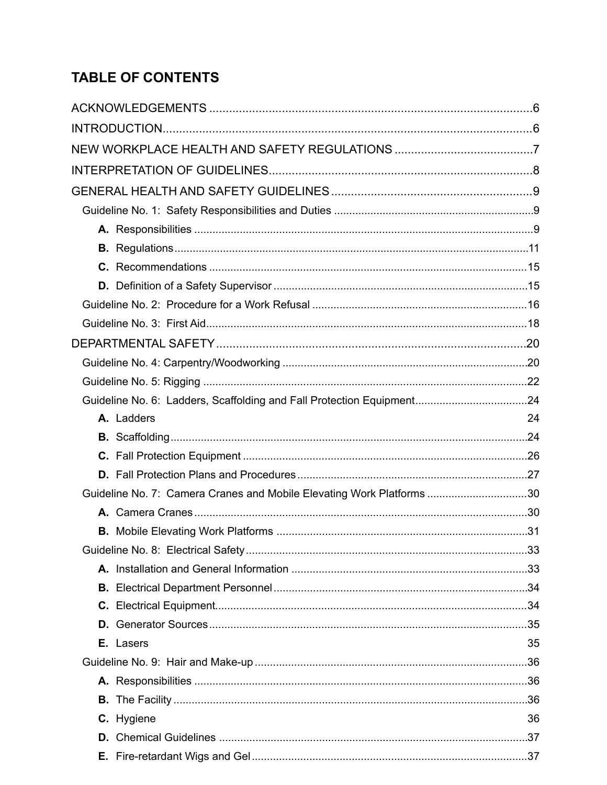# **TABLE OF CONTENTS**

| A. Ladders                                                            | 24 |
|-----------------------------------------------------------------------|----|
|                                                                       |    |
|                                                                       |    |
|                                                                       |    |
| Guideline No. 7: Camera Cranes and Mobile Elevating Work Platforms 30 |    |
|                                                                       |    |
|                                                                       |    |
|                                                                       |    |
|                                                                       |    |
|                                                                       |    |
|                                                                       |    |
|                                                                       |    |
| E. Lasers                                                             | 35 |
|                                                                       |    |
|                                                                       |    |
|                                                                       |    |
| C. Hygiene                                                            | 36 |
|                                                                       |    |
|                                                                       |    |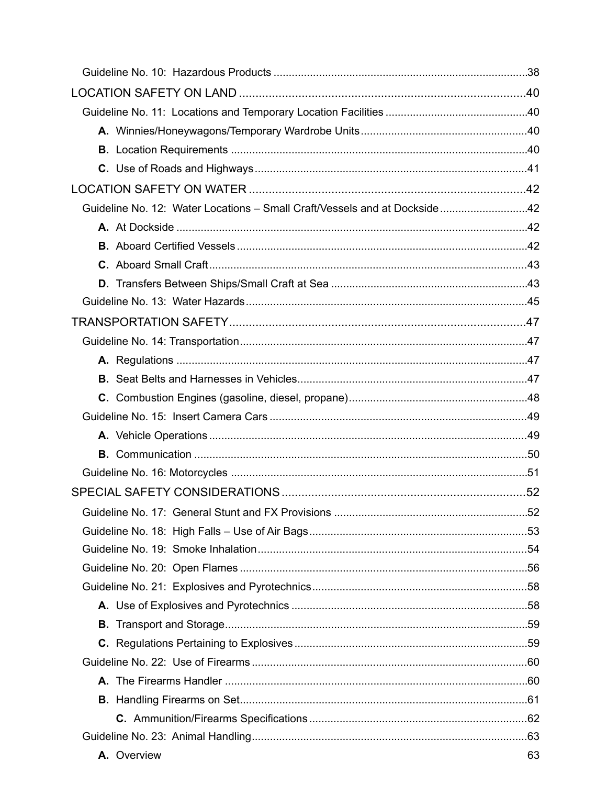|  | Guideline No. 12: Water Locations - Small Craft/Vessels and at Dockside42 |    |
|--|---------------------------------------------------------------------------|----|
|  |                                                                           |    |
|  |                                                                           |    |
|  |                                                                           |    |
|  |                                                                           |    |
|  |                                                                           |    |
|  |                                                                           |    |
|  |                                                                           |    |
|  |                                                                           |    |
|  |                                                                           |    |
|  |                                                                           |    |
|  |                                                                           |    |
|  |                                                                           |    |
|  |                                                                           |    |
|  |                                                                           |    |
|  |                                                                           |    |
|  |                                                                           |    |
|  |                                                                           |    |
|  |                                                                           |    |
|  |                                                                           |    |
|  |                                                                           |    |
|  |                                                                           |    |
|  |                                                                           |    |
|  |                                                                           |    |
|  |                                                                           |    |
|  |                                                                           |    |
|  |                                                                           |    |
|  |                                                                           |    |
|  |                                                                           |    |
|  | A. Overview                                                               | 63 |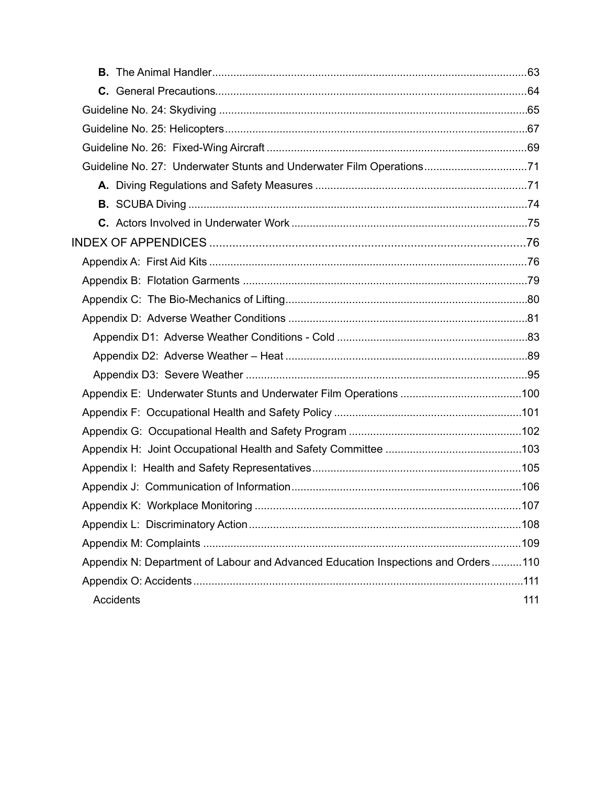| Guideline No. 27: Underwater Stunts and Underwater Film Operations71              |     |
|-----------------------------------------------------------------------------------|-----|
|                                                                                   |     |
|                                                                                   |     |
|                                                                                   |     |
|                                                                                   |     |
|                                                                                   |     |
|                                                                                   |     |
|                                                                                   |     |
|                                                                                   |     |
|                                                                                   |     |
|                                                                                   |     |
|                                                                                   |     |
|                                                                                   |     |
|                                                                                   |     |
|                                                                                   |     |
|                                                                                   |     |
|                                                                                   |     |
|                                                                                   |     |
|                                                                                   |     |
|                                                                                   |     |
|                                                                                   |     |
| Appendix N: Department of Labour and Advanced Education Inspections and Orders110 |     |
|                                                                                   |     |
| Accidents                                                                         | 111 |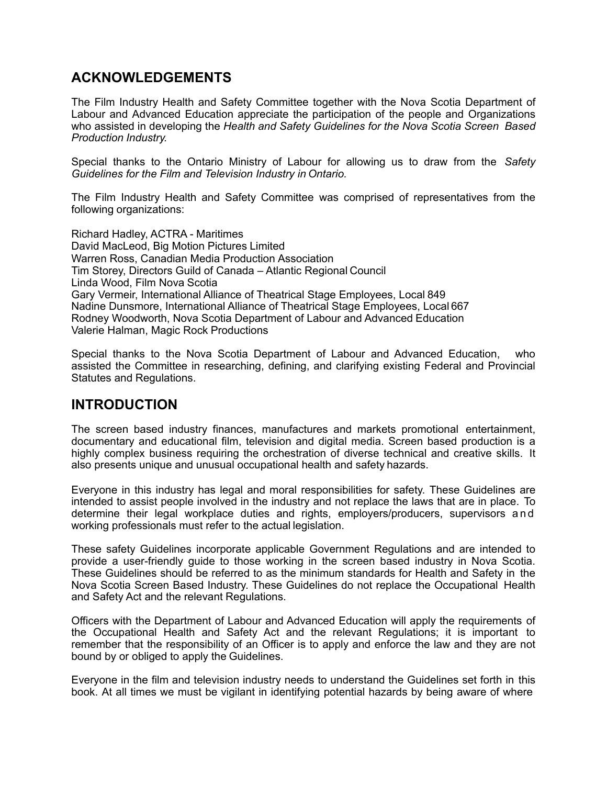## <span id="page-5-0"></span>**ACKNOWLEDGEMENTS**

The Film Industry Health and Safety Committee together with the Nova Scotia Department of Labour and Advanced Education appreciate the participation of the people and Organizations who assisted in developing the *Health and Safety Guidelines for the Nova Scotia Screen Based Production Industry.*

Special thanks to the Ontario Ministry of Labour for allowing us to draw from the *Safety Guidelines for the Film and Television Industry in Ontario.*

The Film Industry Health and Safety Committee was comprised of representatives from the following organizations:

Richard Hadley, ACTRA - Maritimes David MacLeod, Big Motion Pictures Limited Warren Ross, Canadian Media Production Association Tim Storey, Directors Guild of Canada – Atlantic Regional Council Linda Wood, Film Nova Scotia Gary Vermeir, International Alliance of Theatrical Stage Employees, Local 849 Nadine Dunsmore, International Alliance of Theatrical Stage Employees, Local 667 Rodney Woodworth, Nova Scotia Department of Labour and Advanced Education Valerie Halman, Magic Rock Productions

Special thanks to the Nova Scotia Department of Labour and Advanced Education, who assisted the Committee in researching, defining, and clarifying existing Federal and Provincial Statutes and Regulations.

## <span id="page-5-1"></span>**INTRODUCTION**

The screen based industry finances, manufactures and markets promotional entertainment, documentary and educational film, television and digital media. Screen based production is a highly complex business requiring the orchestration of diverse technical and creative skills. It also presents unique and unusual occupational health and safety hazards.

Everyone in this industry has legal and moral responsibilities for safety. These Guidelines are intended to assist people involved in the industry and not replace the laws that are in place. To determine their legal workplace duties and rights, employers/producers, supervisors and working professionals must refer to the actual legislation.

These safety Guidelines incorporate applicable Government Regulations and are intended to provide a user-friendly guide to those working in the screen based industry in Nova Scotia. These Guidelines should be referred to as the minimum standards for Health and Safety in the Nova Scotia Screen Based Industry. These Guidelines do not replace the Occupational Health and Safety Act and the relevant Regulations.

Officers with the Department of Labour and Advanced Education will apply the requirements of the Occupational Health and Safety Act and the relevant Regulations; it is important to remember that the responsibility of an Officer is to apply and enforce the law and they are not bound by or obliged to apply the Guidelines.

Everyone in the film and television industry needs to understand the Guidelines set forth in this book. At all times we must be vigilant in identifying potential hazards by being aware of where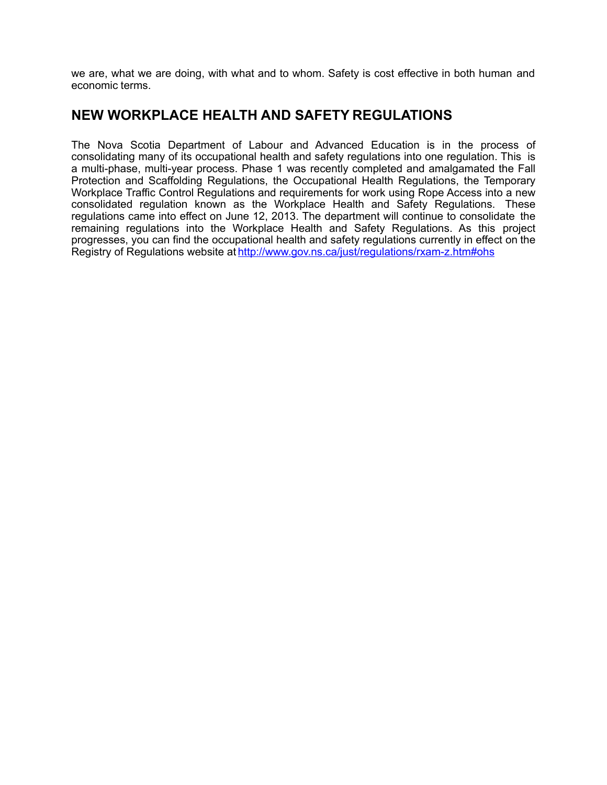we are, what we are doing, with what and to whom. Safety is cost effective in both human and economic terms.

## <span id="page-6-0"></span>**NEW WORKPLACE HEALTH AND SAFETY REGULATIONS**

The Nova Scotia Department of Labour and Advanced Education is in the process of consolidating many of its occupational health and safety regulations into one regulation. This is a multi-phase, multi-year process. Phase 1 was recently completed and amalgamated the Fall Protection and Scaffolding Regulations, the Occupational Health Regulations, the Temporary Workplace Traffic Control Regulations and requirements for work using Rope Access into a new consolidated regulation known as the Workplace Health and Safety Regulations. These regulations came into effect on June 12, 2013. The department will continue to consolidate the remaining regulations into the Workplace Health and Safety Regulations. As this project progresses, you can find the occupational health and safety regulations currently in effect on the Registry of Regulations website at [http://www.gov.ns.ca/just/regulations/rxam-z.htm#ohs](https://rm.gov.ns.ca/owa/%252CDanaInfo%253Dwebmail.gov.ns.ca%252CSSL%252Bredir.aspx?C=d2qXSgIu0Eqi-lX56P-Qi5uOUBQnUtAIkyPFioz1qJ19M7sMu4Cxlwk6gs4lN4rA5A7DiHpfGZ0.&URL=http%253a%252f%252fwww.gov.ns.ca%252fjust%252fregulations%252frxam-z.htm%2523ohs)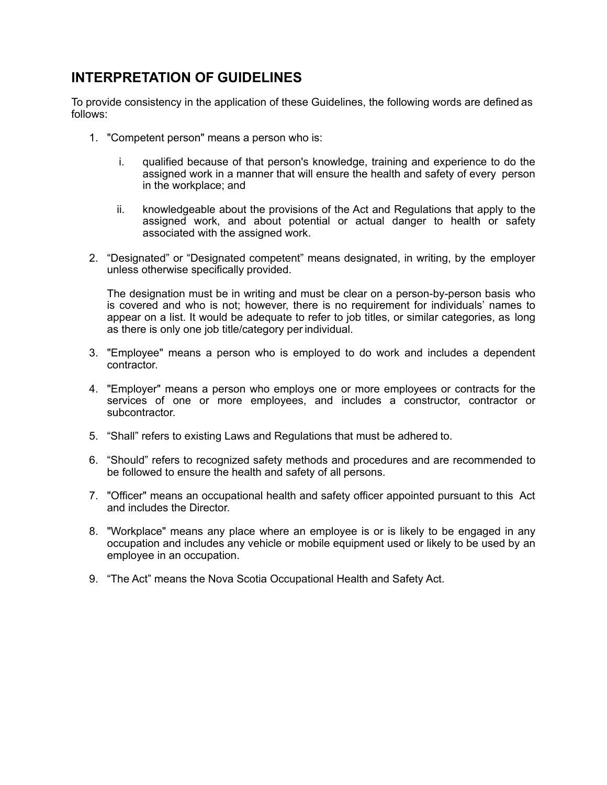## <span id="page-7-0"></span>**INTERPRETATION OF GUIDELINES**

To provide consistency in the application of these Guidelines, the following words are defined as follows:

- 1. "Competent person" means a person who is:
	- i. qualified because of that person's knowledge, training and experience to do the assigned work in a manner that will ensure the health and safety of every person in the workplace; and
	- ii. knowledgeable about the provisions of the Act and Regulations that apply to the assigned work, and about potential or actual danger to health or safety associated with the assigned work.
- 2. "Designated" or "Designated competent" means designated, in writing, by the employer unless otherwise specifically provided.

The designation must be in writing and must be clear on a person-by-person basis who is covered and who is not; however, there is no requirement for individuals' names to appear on a list. It would be adequate to refer to job titles, or similar categories, as long as there is only one job title/category per individual.

- 3. "Employee" means a person who is employed to do work and includes a dependent contractor.
- 4. "Employer" means a person who employs one or more employees or contracts for the services of one or more employees, and includes a constructor, contractor or subcontractor.
- 5. "Shall" refers to existing Laws and Regulations that must be adhered to.
- 6. "Should" refers to recognized safety methods and procedures and are recommended to be followed to ensure the health and safety of all persons.
- 7. "Officer" means an occupational health and safety officer appointed pursuant to this Act and includes the Director.
- 8. "Workplace" means any place where an employee is or is likely to be engaged in any occupation and includes any vehicle or mobile equipment used or likely to be used by an employee in an occupation.
- 9. "The Act" means the Nova Scotia Occupational Health and Safety Act.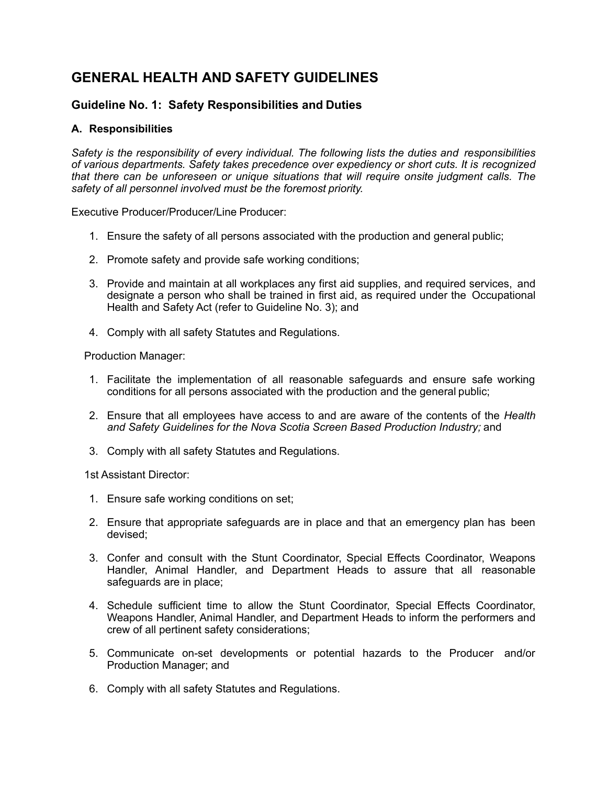## <span id="page-8-0"></span>**GENERAL HEALTH AND SAFETY GUIDELINES**

## <span id="page-8-1"></span>**Guideline No. 1: Safety Responsibilities and Duties**

### <span id="page-8-2"></span>**A. Responsibilities**

*Safety is the responsibility of every individual. The following lists the duties and responsibilities of various departments. Safety takes precedence over expediency or short cuts. It is recognized that there can be unforeseen or unique situations that will require onsite judgment calls. The safety of all personnel involved must be the foremost priority.*

Executive Producer/Producer/Line Producer:

- 1. Ensure the safety of all persons associated with the production and general public;
- 2. Promote safety and provide safe working conditions;
- 3. Provide and maintain at all workplaces any first aid supplies, and required services, and designate a person who shall be trained in first aid, as required under the Occupational Health and Safety Act (refer to Guideline No. 3); and
- 4. Comply with all safety Statutes and Regulations.

Production Manager:

- 1. Facilitate the implementation of all reasonable safeguards and ensure safe working conditions for all persons associated with the production and the general public;
- 2. Ensure that all employees have access to and are aware of the contents of the *Health and Safety Guidelines for the Nova Scotia Screen Based Production Industry;* and
- 3. Comply with all safety Statutes and Regulations.

1st Assistant Director:

- 1. Ensure safe working conditions on set;
- 2. Ensure that appropriate safeguards are in place and that an emergency plan has been devised;
- 3. Confer and consult with the Stunt Coordinator, Special Effects Coordinator, Weapons Handler, Animal Handler, and Department Heads to assure that all reasonable safeguards are in place;
- 4. Schedule sufficient time to allow the Stunt Coordinator, Special Effects Coordinator, Weapons Handler, Animal Handler, and Department Heads to inform the performers and crew of all pertinent safety considerations;
- 5. Communicate on-set developments or potential hazards to the Producer and/or Production Manager; and
- 6. Comply with all safety Statutes and Regulations.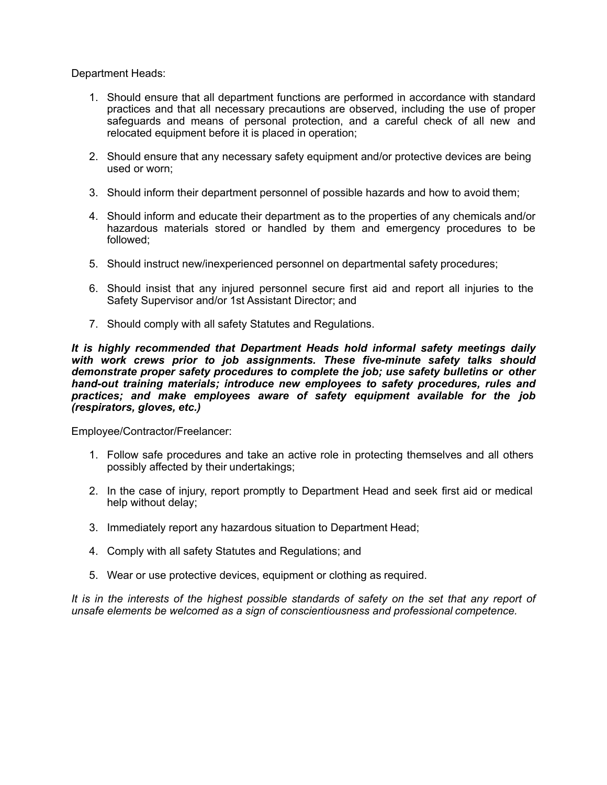Department Heads:

- 1. Should ensure that all department functions are performed in accordance with standard practices and that all necessary precautions are observed, including the use of proper safeguards and means of personal protection, and a careful check of all new and relocated equipment before it is placed in operation;
- 2. Should ensure that any necessary safety equipment and/or protective devices are being used or worn;
- 3. Should inform their department personnel of possible hazards and how to avoid them;
- 4. Should inform and educate their department as to the properties of any chemicals and/or hazardous materials stored or handled by them and emergency procedures to be followed;
- 5. Should instruct new/inexperienced personnel on departmental safety procedures;
- 6. Should insist that any injured personnel secure first aid and report all injuries to the Safety Supervisor and/or 1st Assistant Director; and
- 7. Should comply with all safety Statutes and Regulations.

*It is highly recommended that Department Heads hold informal safety meetings daily with work crews prior to job assignments. These five-minute safety talks should demonstrate proper safety procedures to complete the job; use safety bulletins or other hand-out training materials; introduce new employees to safety procedures, rules and practices; and make employees aware of safety equipment available for the job (respirators, gloves, etc.)*

Employee/Contractor/Freelancer:

- 1. Follow safe procedures and take an active role in protecting themselves and all others possibly affected by their undertakings;
- 2. In the case of injury, report promptly to Department Head and seek first aid or medical help without delay;
- 3. Immediately report any hazardous situation to Department Head;
- 4. Comply with all safety Statutes and Regulations; and
- 5. Wear or use protective devices, equipment or clothing as required.

It is in the interests of the highest possible standards of safety on the set that any report of *unsafe elements be welcomed as a sign of conscientiousness and professional competence.*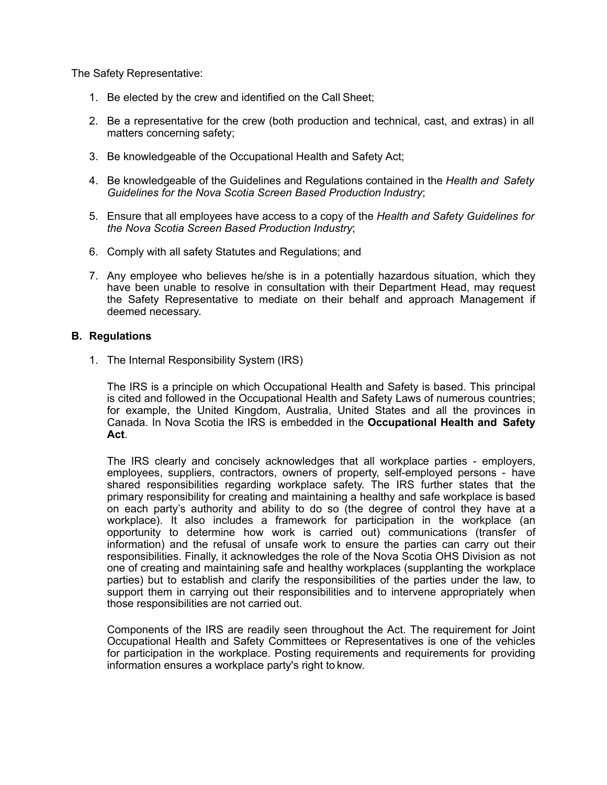The Safety Representative:

- 1. Be elected by the crew and identified on the Call Sheet;
- 2. Be a representative for the crew (both production and technical, cast, and extras) in all matters concerning safety;
- 3. Be knowledgeable of the Occupational Health and Safety Act;
- 4. Be knowledgeable of the Guidelines and Regulations contained in the *Health and Safety Guidelines for the Nova Scotia Screen Based Production Industry*;
- 5. Ensure that all employees have access to a copy of the *Health and Safety Guidelines for the Nova Scotia Screen Based Production Industry*;
- 6. Comply with all safety Statutes and Regulations; and
- 7. Any employee who believes he/she is in a potentially hazardous situation, which they have been unable to resolve in consultation with their Department Head, may request the Safety Representative to mediate on their behalf and approach Management if deemed necessary.

#### <span id="page-10-0"></span>**B. Regulations**

1. The Internal Responsibility System (IRS)

The IRS is a principle on which Occupational Health and Safety is based. This principal is cited and followed in the Occupational Health and Safety Laws of numerous countries; for example, the United Kingdom, Australia, United States and all the provinces in Canada. In Nova Scotia the IRS is embedded in the **Occupational Health and Safety Act**.

The IRS clearly and concisely acknowledges that all workplace parties - employers, employees, suppliers, contractors, owners of property, self-employed persons - have shared responsibilities regarding workplace safety. The IRS further states that the primary responsibility for creating and maintaining a healthy and safe workplace is based on each party's authority and ability to do so (the degree of control they have at a workplace). It also includes a framework for participation in the workplace (an opportunity to determine how work is carried out) communications (transfer of information) and the refusal of unsafe work to ensure the parties can carry out their responsibilities. Finally, it acknowledges the role of the Nova Scotia OHS Division as not one of creating and maintaining safe and healthy workplaces (supplanting the workplace parties) but to establish and clarify the responsibilities of the parties under the law, to support them in carrying out their responsibilities and to intervene appropriately when those responsibilities are not carried out.

Components of the IRS are readily seen throughout the Act. The requirement for Joint Occupational Health and Safety Committees or Representatives is one of the vehicles for participation in the workplace. Posting requirements and requirements for providing information ensures a workplace party's right to know.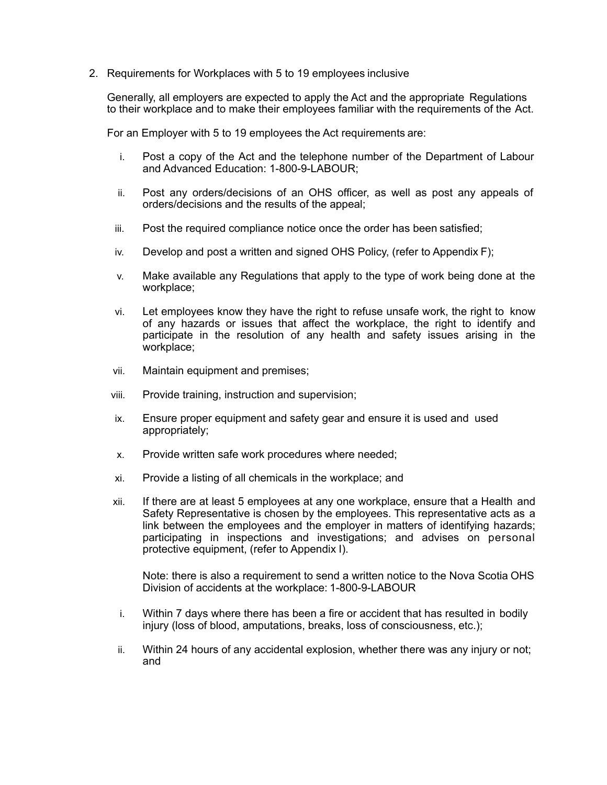2. Requirements for Workplaces with 5 to 19 employees inclusive

Generally, all employers are expected to apply the Act and the appropriate Regulations to their workplace and to make their employees familiar with the requirements of the Act.

For an Employer with 5 to 19 employees the Act requirements are:

- i. Post a copy of the Act and the telephone number of the Department of Labour and Advanced Education: 1-800-9-LABOUR;
- ii. Post any orders/decisions of an OHS officer, as well as post any appeals of orders/decisions and the results of the appeal;
- iii. Post the required compliance notice once the order has been satisfied;
- iv. Develop and post a written and signed OHS Policy, (refer to Appendix F);
- v. Make available any Regulations that apply to the type of work being done at the workplace;
- vi. Let employees know they have the right to refuse unsafe work, the right to know of any hazards or issues that affect the workplace, the right to identify and participate in the resolution of any health and safety issues arising in the workplace;
- vii. Maintain equipment and premises;
- viii. Provide training, instruction and supervision;
- ix. Ensure proper equipment and safety gear and ensure it is used and used appropriately;
- x. Provide written safe work procedures where needed;
- xi. Provide a listing of all chemicals in the workplace; and
- xii. If there are at least 5 employees at any one workplace, ensure that a Health and Safety Representative is chosen by the employees. This representative acts as a link between the employees and the employer in matters of identifying hazards; participating in inspections and investigations; and advises on personal protective equipment, (refer to Appendix I).

Note: there is also a requirement to send a written notice to the Nova Scotia OHS Division of accidents at the workplace: 1-800-9-LABOUR

- i. Within 7 days where there has been a fire or accident that has resulted in bodily injury (loss of blood, amputations, breaks, loss of consciousness, etc.);
- ii. Within 24 hours of any accidental explosion, whether there was any injury or not; and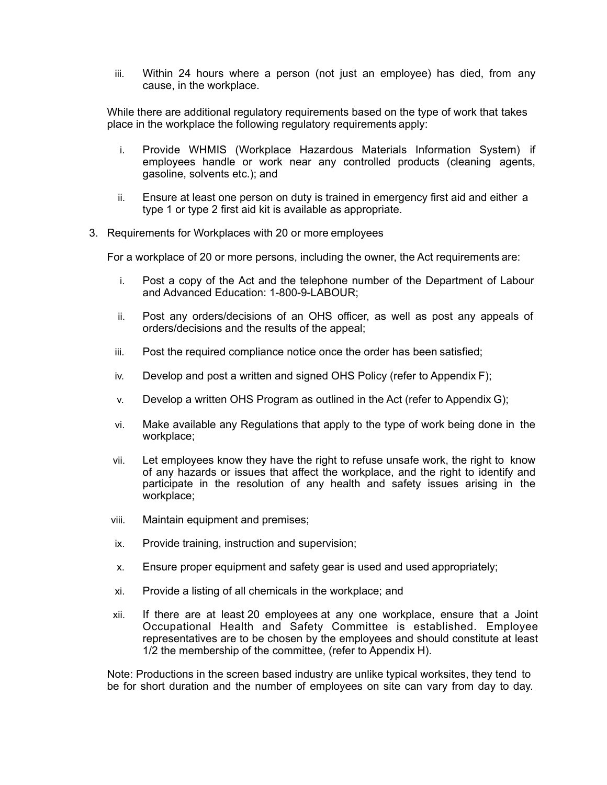iii. Within 24 hours where a person (not just an employee) has died, from any cause, in the workplace.

While there are additional regulatory requirements based on the type of work that takes place in the workplace the following regulatory requirements apply:

- i. Provide WHMIS (Workplace Hazardous Materials Information System) if employees handle or work near any controlled products (cleaning agents, gasoline, solvents etc.); and
- ii. Ensure at least one person on duty is trained in emergency first aid and either a type 1 or type 2 first aid kit is available as appropriate.
- 3. Requirements for Workplaces with 20 or more employees

For a workplace of 20 or more persons, including the owner, the Act requirements are:

- i. Post a copy of the Act and the telephone number of the Department of Labour and Advanced Education: 1-800-9-LABOUR;
- ii. Post any orders/decisions of an OHS officer, as well as post any appeals of orders/decisions and the results of the appeal;
- iii. Post the required compliance notice once the order has been satisfied;
- iv. Develop and post a written and signed OHS Policy (refer to Appendix F);
- v. Develop a written OHS Program as outlined in the Act (refer to Appendix G);
- vi. Make available any Regulations that apply to the type of work being done in the workplace;
- vii. Let employees know they have the right to refuse unsafe work, the right to know of any hazards or issues that affect the workplace, and the right to identify and participate in the resolution of any health and safety issues arising in the workplace;
- viii. Maintain equipment and premises;
- ix. Provide training, instruction and supervision;
- x. Ensure proper equipment and safety gear is used and used appropriately;
- xi. Provide a listing of all chemicals in the workplace; and
- xii. If there are at least 20 employees at any one workplace, ensure that a Joint Occupational Health and Safety Committee is established. Employee representatives are to be chosen by the employees and should constitute at least 1/2 the membership of the committee, (refer to Appendix H).

Note: Productions in the screen based industry are unlike typical worksites, they tend to be for short duration and the number of employees on site can vary from day to day.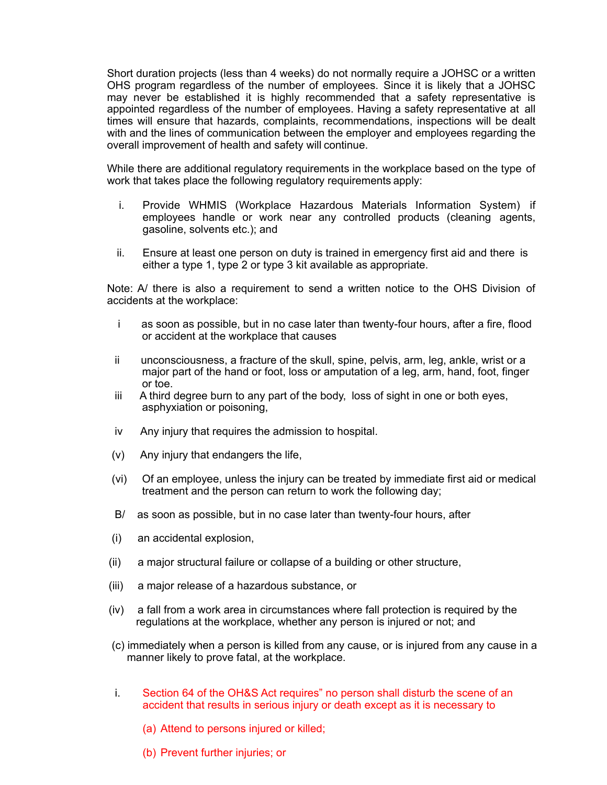Short duration projects (less than 4 weeks) do not normally require a JOHSC or a written OHS program regardless of the number of employees. Since it is likely that a JOHSC may never be established it is highly recommended that a safety representative is appointed regardless of the number of employees. Having a safety representative at all times will ensure that hazards, complaints, recommendations, inspections will be dealt with and the lines of communication between the employer and employees regarding the overall improvement of health and safety will continue.

While there are additional regulatory requirements in the workplace based on the type of work that takes place the following regulatory requirements apply:

- i. Provide WHMIS (Workplace Hazardous Materials Information System) if employees handle or work near any controlled products (cleaning agents, gasoline, solvents etc.); and
- ii. Ensure at least one person on duty is trained in emergency first aid and there is either a type 1, type 2 or type 3 kit available as appropriate.

Note: A/ there is also a requirement to send a written notice to the OHS Division of accidents at the workplace:

- i as soon as possible, but in no case later than twenty-four hours, after a fire, flood or accident at the workplace that causes
- ii unconsciousness, a fracture of the skull, spine, pelvis, arm, leg, ankle, wrist or a major part of the hand or foot, loss or amputation of a leg, arm, hand, foot, finger or toe.
- iii A third degree burn to any part of the body, loss of sight in one or both eyes, asphyxiation or poisoning,
- iv Any injury that requires the admission to hospital.
- (v) Any injury that endangers the life,
- (vi) Of an employee, unless the injury can be treated by immediate first aid or medical treatment and the person can return to work the following day;
- B/ as soon as possible, but in no case later than twenty-four hours, after
- (i) an accidental explosion,
- (ii) a major structural failure or collapse of a building or other structure,
- (iii) a major release of a hazardous substance, or
- (iv) a fall from a work area in circumstances where fall protection is required by the regulations at the workplace, whether any person is injured or not; and
- (c) immediately when a person is killed from any cause, or is injured from any cause in a manner likely to prove fatal, at the workplace.
- i. Section 64 of the OH&S Act requires" no person shall disturb the scene of an accident that results in serious injury or death except as it is necessary to
	- (a) Attend to persons injured or killed;
	- (b) Prevent further injuries; or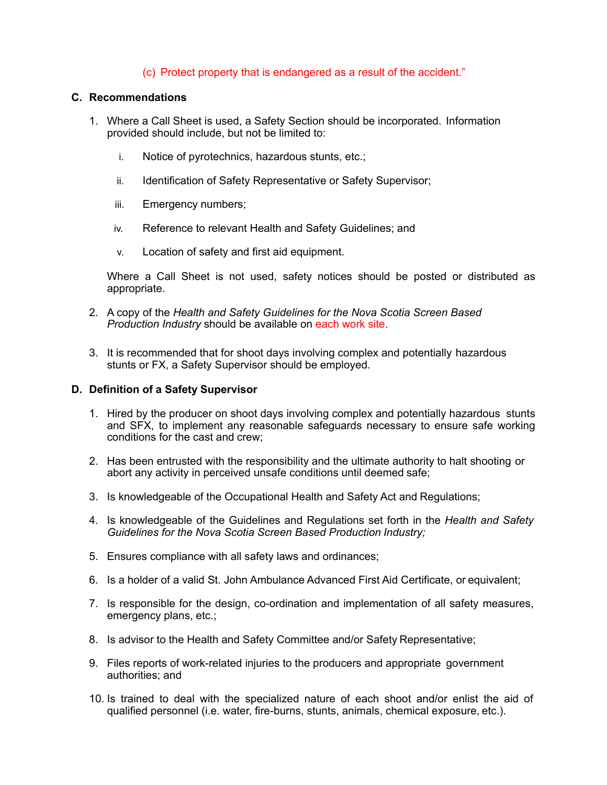#### (c) Protect property that is endangered as a result of the accident."

#### <span id="page-14-0"></span>**C. Recommendations**

- 1. Where a Call Sheet is used, a Safety Section should be incorporated. Information provided should include, but not be limited to:
	- i. Notice of pyrotechnics, hazardous stunts, etc.;
	- ii. Identification of Safety Representative or Safety Supervisor;
	- iii. Emergency numbers;
	- iv. Reference to relevant Health and Safety Guidelines; and
	- v. Location of safety and first aid equipment.

Where a Call Sheet is not used, safety notices should be posted or distributed as appropriate.

- 2. A copy of the *Health and Safety Guidelines for the Nova Scotia Screen Based Production Industry* should be available on each work site.
- 3. It is recommended that for shoot days involving complex and potentially hazardous stunts or FX, a Safety Supervisor should be employed.

#### <span id="page-14-1"></span>**D. Definition of a Safety Supervisor**

- 1. Hired by the producer on shoot days involving complex and potentially hazardous stunts and SFX, to implement any reasonable safeguards necessary to ensure safe working conditions for the cast and crew;
- 2. Has been entrusted with the responsibility and the ultimate authority to halt shooting or abort any activity in perceived unsafe conditions until deemed safe;
- 3. Is knowledgeable of the Occupational Health and Safety Act and Regulations;
- 4. Is knowledgeable of the Guidelines and Regulations set forth in the *Health and Safety Guidelines for the Nova Scotia Screen Based Production Industry;*
- 5. Ensures compliance with all safety laws and ordinances;
- 6. Is a holder of a valid St. John Ambulance Advanced First Aid Certificate, or equivalent;
- 7. Is responsible for the design, co-ordination and implementation of all safety measures, emergency plans, etc.;
- 8. Is advisor to the Health and Safety Committee and/or Safety Representative;
- 9. Files reports of work-related injuries to the producers and appropriate government authorities; and
- 10. Is trained to deal with the specialized nature of each shoot and/or enlist the aid of qualified personnel (i.e. water, fire-burns, stunts, animals, chemical exposure, etc.).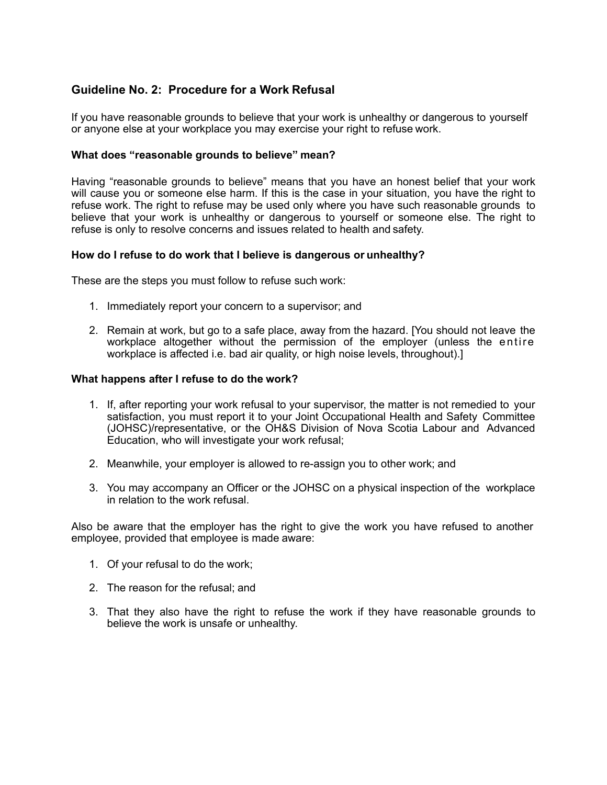## <span id="page-15-0"></span>**Guideline No. 2: Procedure for a Work Refusal**

If you have reasonable grounds to believe that your work is unhealthy or dangerous to yourself or anyone else at your workplace you may exercise your right to refuse work.

#### **What does "reasonable grounds to believe" mean?**

Having "reasonable grounds to believe" means that you have an honest belief that your work will cause you or someone else harm. If this is the case in your situation, you have the right to refuse work. The right to refuse may be used only where you have such reasonable grounds to believe that your work is unhealthy or dangerous to yourself or someone else. The right to refuse is only to resolve concerns and issues related to health and safety.

#### **How do I refuse to do work that I believe is dangerous or unhealthy?**

These are the steps you must follow to refuse such work:

- 1. Immediately report your concern to a supervisor; and
- 2. Remain at work, but go to a safe place, away from the hazard. [You should not leave the workplace altogether without the permission of the employer (unless the entire workplace is affected i.e. bad air quality, or high noise levels, throughout).]

#### **What happens after I refuse to do the work?**

- 1. If, after reporting your work refusal to your supervisor, the matter is not remedied to your satisfaction, you must report it to your Joint Occupational Health and Safety Committee (JOHSC)/representative, or the OH&S Division of Nova Scotia Labour and Advanced Education, who will investigate your work refusal;
- 2. Meanwhile, your employer is allowed to re-assign you to other work; and
- 3. You may accompany an Officer or the JOHSC on a physical inspection of the workplace in relation to the work refusal.

Also be aware that the employer has the right to give the work you have refused to another employee, provided that employee is made aware:

- 1. Of your refusal to do the work;
- 2. The reason for the refusal; and
- 3. That they also have the right to refuse the work if they have reasonable grounds to believe the work is unsafe or unhealthy.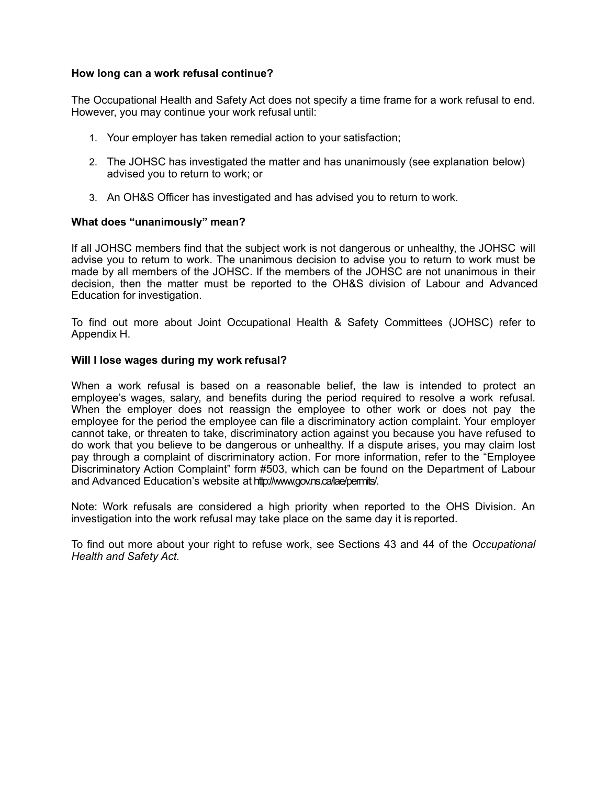#### **How long can a work refusal continue?**

The Occupational Health and Safety Act does not specify a time frame for a work refusal to end. However, you may continue your work refusal until:

- 1. Your employer has taken remedial action to your satisfaction;
- 2. The JOHSC has investigated the matter and has unanimously (see explanation below) advised you to return to work; or
- 3. An OH&S Officer has investigated and has advised you to return to work.

#### **What does "unanimously" mean?**

If all JOHSC members find that the subject work is not dangerous or unhealthy, the JOHSC will advise you to return to work. The unanimous decision to advise you to return to work must be made by all members of the JOHSC. If the members of the JOHSC are not unanimous in their decision, then the matter must be reported to the OH&S division of Labour and Advanced Education for investigation.

To find out more about Joint Occupational Health & Safety Committees (JOHSC) refer to Appendix H.

#### **Will I lose wages during my work refusal?**

When a work refusal is based on a reasonable belief, the law is intended to protect an employee's wages, salary, and benefits during the period required to resolve a work refusal. When the employer does not reassign the employee to other work or does not pay the employee for the period the employee can file a discriminatory action complaint. Your employer cannot take, or threaten to take, discriminatory action against you because you have refused to do work that you believe to be dangerous or unhealthy. If a dispute arises, you may claim lost pay through a complaint of discriminatory action. For more information, refer to the "Employee Discriminatory Action Complaint" form #503, which can be found on the Department of Labour and Advanced Education's website at [http://www.gov.ns.ca/lae/permits/.](http://www.gov.ns.ca/lae/permits/)

Note: Work refusals are considered a high priority when reported to the OHS Division. An investigation into the work refusal may take place on the same day it is reported.

To find out more about your right to refuse work, see Sections 43 and 44 of the *[Occupational](http://nslegislature.ca/legc/statutes/occph_s.htm) [Health and Safety](http://nslegislature.ca/legc/statutes/occph_s.htm) Act.*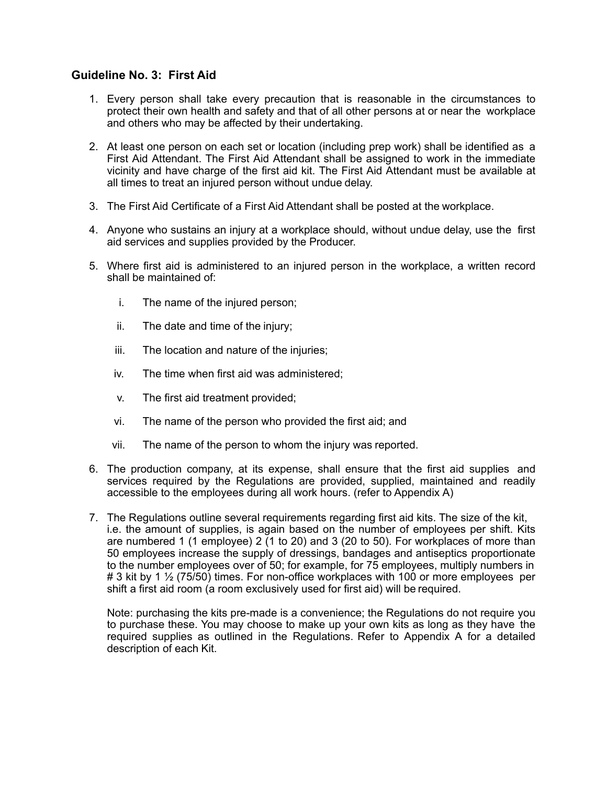## <span id="page-17-0"></span>**Guideline No. 3: First Aid**

- 1. Every person shall take every precaution that is reasonable in the circumstances to protect their own health and safety and that of all other persons at or near the workplace and others who may be affected by their undertaking.
- 2. At least one person on each set or location (including prep work) shall be identified as a First Aid Attendant. The First Aid Attendant shall be assigned to work in the immediate vicinity and have charge of the first aid kit. The First Aid Attendant must be available at all times to treat an injured person without undue delay.
- 3. The First Aid Certificate of a First Aid Attendant shall be posted at the workplace.
- 4. Anyone who sustains an injury at a workplace should, without undue delay, use the first aid services and supplies provided by the Producer.
- 5. Where first aid is administered to an injured person in the workplace, a written record shall be maintained of:
	- i. The name of the injured person;
	- ii. The date and time of the injury;
	- iii. The location and nature of the injuries;
	- iv. The time when first aid was administered;
	- v. The first aid treatment provided;
	- vi. The name of the person who provided the first aid; and
	- vii. The name of the person to whom the injury was reported.
- 6. The production company, at its expense, shall ensure that the first aid supplies and services required by the Regulations are provided, supplied, maintained and readily accessible to the employees during all work hours. (refer to Appendix A)
- 7. The Regulations outline several requirements regarding first aid kits. The size of the kit, i.e. the amount of supplies, is again based on the number of employees per shift. Kits are numbered 1 (1 employee) 2 (1 to 20) and 3 (20 to 50). For workplaces of more than 50 employees increase the supply of dressings, bandages and antiseptics proportionate to the number employees over of 50; for example, for 75 employees, multiply numbers in # 3 kit by 1 ½ (75/50) times. For non-office workplaces with 100 or more employees per shift a first aid room (a room exclusively used for first aid) will be required.

Note: purchasing the kits pre-made is a convenience; the Regulations do not require you to purchase these. You may choose to make up your own kits as long as they have the required supplies as outlined in the Regulations. Refer to Appendix A for a detailed description of each Kit.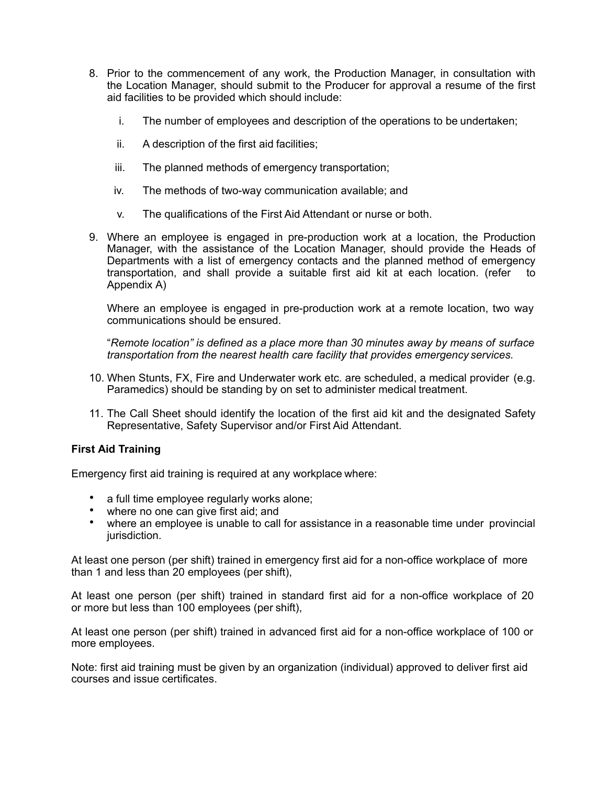- 8. Prior to the commencement of any work, the Production Manager, in consultation with the Location Manager, should submit to the Producer for approval a resume of the first aid facilities to be provided which should include:
	- i. The number of employees and description of the operations to be undertaken;
	- ii. A description of the first aid facilities;
	- iii. The planned methods of emergency transportation;
	- iv. The methods of two-way communication available; and
	- v. The qualifications of the First Aid Attendant or nurse or both.
- 9. Where an employee is engaged in pre-production work at a location, the Production Manager, with the assistance of the Location Manager, should provide the Heads of Departments with a list of emergency contacts and the planned method of emergency transportation, and shall provide a suitable first aid kit at each location. (refer to Appendix A)

Where an employee is engaged in pre-production work at a remote location, two way communications should be ensured.

"*Remote location" is defined as a place more than 30 minutes away by means of surface transportation from the nearest health care facility that provides emergency services.*

- 10. When Stunts, FX, Fire and Underwater work etc. are scheduled, a medical provider (e.g. Paramedics) should be standing by on set to administer medical treatment.
- 11. The Call Sheet should identify the location of the first aid kit and the designated Safety Representative, Safety Supervisor and/or First Aid Attendant.

#### **First Aid Training**

Emergency first aid training is required at any workplace where:

- a full time employee regularly works alone;
- where no one can give first aid; and
- where an employee is unable to call for assistance in a reasonable time under provincial jurisdiction.

At least one person (per shift) trained in emergency first aid for a non-office workplace of more than 1 and less than 20 employees (per shift),

At least one person (per shift) trained in standard first aid for a non-office workplace of 20 or more but less than 100 employees (per shift),

At least one person (per shift) trained in advanced first aid for a non-office workplace of 100 or more employees.

Note: first aid training must be given by an organization (individual) approved to deliver first aid courses and issue certificates.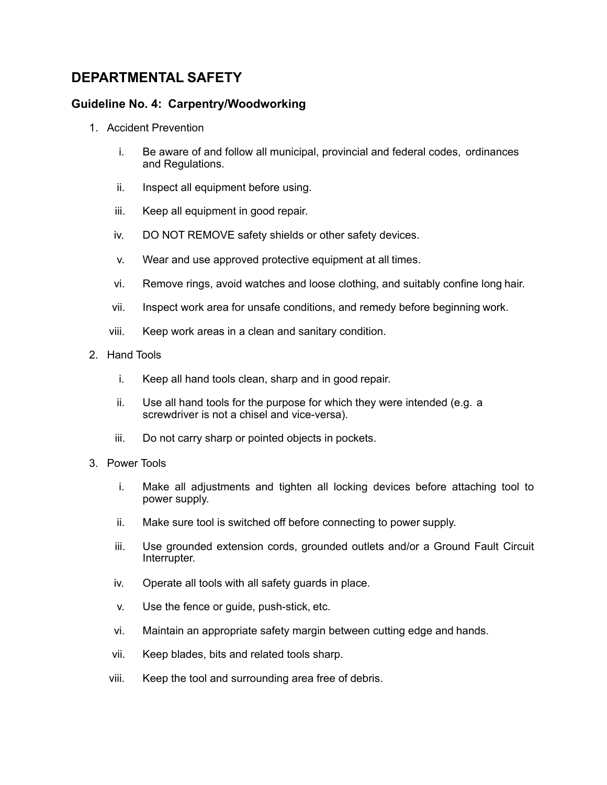## <span id="page-19-0"></span>**DEPARTMENTAL SAFETY**

## <span id="page-19-1"></span>**Guideline No. 4: Carpentry/Woodworking**

- 1. Accident Prevention
	- i. Be aware of and follow all municipal, provincial and federal codes, ordinances and Regulations.
	- ii. Inspect all equipment before using.
	- iii. Keep all equipment in good repair.
	- iv. DO NOT REMOVE safety shields or other safety devices.
	- v. Wear and use approved protective equipment at all times.
	- vi. Remove rings, avoid watches and loose clothing, and suitably confine long hair.
	- vii. Inspect work area for unsafe conditions, and remedy before beginning work.
	- viii. Keep work areas in a clean and sanitary condition.
- 2. Hand Tools
	- i. Keep all hand tools clean, sharp and in good repair.
	- ii. Use all hand tools for the purpose for which they were intended (e.g. a screwdriver is not a chisel and vice-versa).
	- iii. Do not carry sharp or pointed objects in pockets.
- 3. Power Tools
	- i. Make all adjustments and tighten all locking devices before attaching tool to power supply.
	- ii. Make sure tool is switched off before connecting to power supply.
	- iii. Use grounded extension cords, grounded outlets and/or a Ground Fault Circuit Interrupter.
	- iv. Operate all tools with all safety guards in place.
	- v. Use the fence or guide, push-stick, etc.
	- vi. Maintain an appropriate safety margin between cutting edge and hands.
	- vii. Keep blades, bits and related tools sharp.
	- viii. Keep the tool and surrounding area free of debris.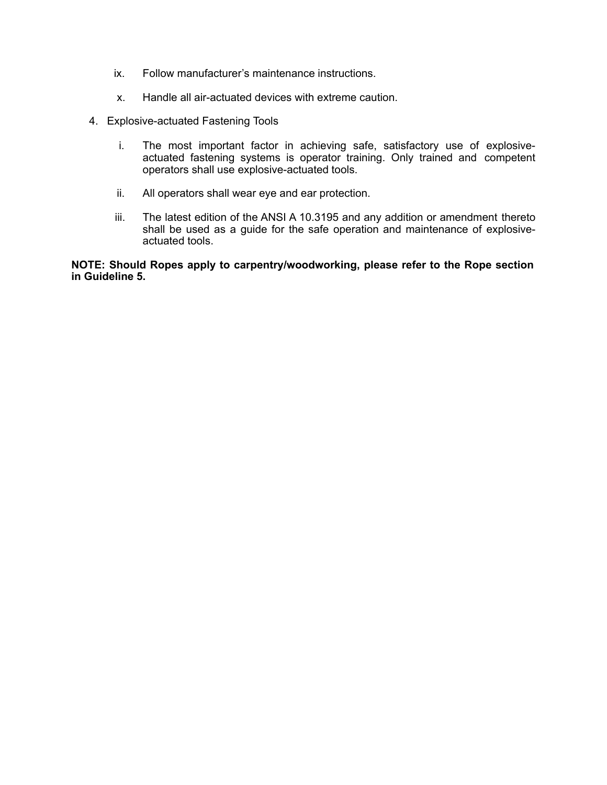- ix. Follow manufacturer's maintenance instructions.
- x. Handle all air-actuated devices with extreme caution.
- 4. Explosive-actuated Fastening Tools
	- i. The most important factor in achieving safe, satisfactory use of explosiveactuated fastening systems is operator training. Only trained and competent operators shall use explosive-actuated tools.
	- ii. All operators shall wear eye and ear protection.
	- iii. The latest edition of the ANSI A 10.3195 and any addition or amendment thereto shall be used as a guide for the safe operation and maintenance of explosiveactuated tools.

**NOTE: Should Ropes apply to carpentry/woodworking, please refer to the Rope section in Guideline 5.**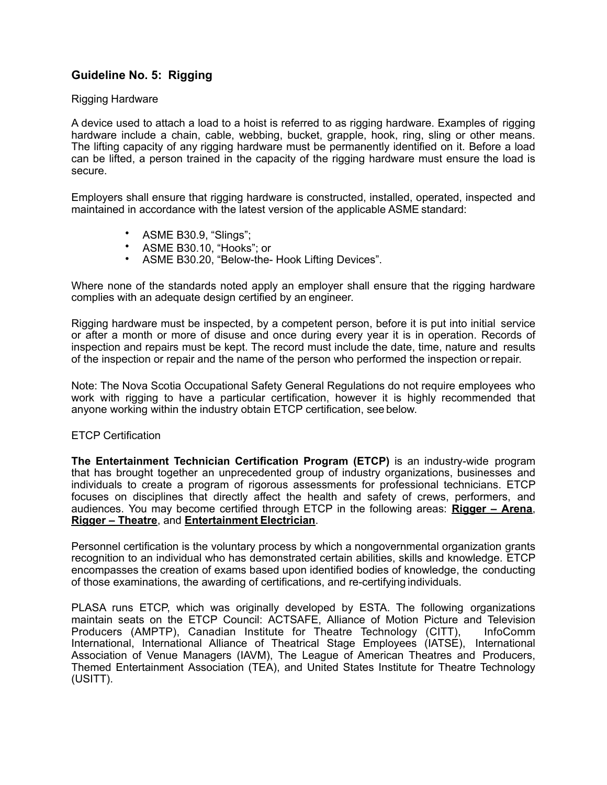## <span id="page-21-0"></span>**Guideline No. 5: Rigging**

#### Rigging Hardware

A device used to attach a load to a hoist is referred to as rigging hardware. Examples of rigging hardware include a chain, cable, webbing, bucket, grapple, hook, ring, sling or other means. The lifting capacity of any rigging hardware must be permanently identified on it. Before a load can be lifted, a person trained in the capacity of the rigging hardware must ensure the load is secure.

Employers shall ensure that rigging hardware is constructed, installed, operated, inspected and maintained in accordance with the latest version of the applicable ASME standard:

- ASME B30.9, "Slings";
- ASME B30.10, "Hooks"; or
- ASME B30.20, "Below-the- Hook Lifting Devices".

Where none of the standards noted apply an employer shall ensure that the rigging hardware complies with an adequate design certified by an engineer.

Rigging hardware must be inspected, by a competent person, before it is put into initial service or after a month or more of disuse and once during every year it is in operation. Records of inspection and repairs must be kept. The record must include the date, time, nature and results of the inspection or repair and the name of the person who performed the inspection or repair.

Note: The Nova Scotia Occupational Safety General Regulations do not require employees who work with rigging to have a particular certification, however it is highly recommended that anyone working within the industry obtain ETCP certification, see below.

#### ETCP Certification

**The Entertainment Technician Certification Program (ETCP)** is an industry-wide program that has brought together an unprecedented group of industry organizations, businesses and individuals to create a program of rigorous assessments for professional technicians. ETCP focuses on disciplines that directly affect the health and safety of crews, performers, and audiences. You may become certified through ETCP in the following areas: **[Rigger](http://etcp.plasa.org/candidateinfo/riggingexams.html) – Arena**, **[Rigger – Theatre](http://etcp.plasa.org/candidateinfo/riggingexams.html)**, and **[Entertainment](http://etcp.plasa.org/candidateinfo/electricalexam.html) Electrician**.

Personnel certification is the voluntary process by which a nongovernmental organization grants recognition to an individual who has demonstrated certain abilities, skills and knowledge. ETCP encompasses the creation of exams based upon identified bodies of knowledge, the conducting of those examinations, the awarding of certifications, and re-certifying individuals.

PLASA runs ETCP, which was originally developed by ESTA. The following organizations maintain seats on the ETCP Council: ACTSAFE, Alliance of Motion Picture and Television Producers (AMPTP), Canadian Institute for Theatre Technology (CITT), InfoComm International, International Alliance of Theatrical Stage Employees (IATSE), International Association of Venue Managers (IAVM), The League of American Theatres and Producers, Themed Entertainment Association (TEA), and United States Institute for Theatre Technology (USITT).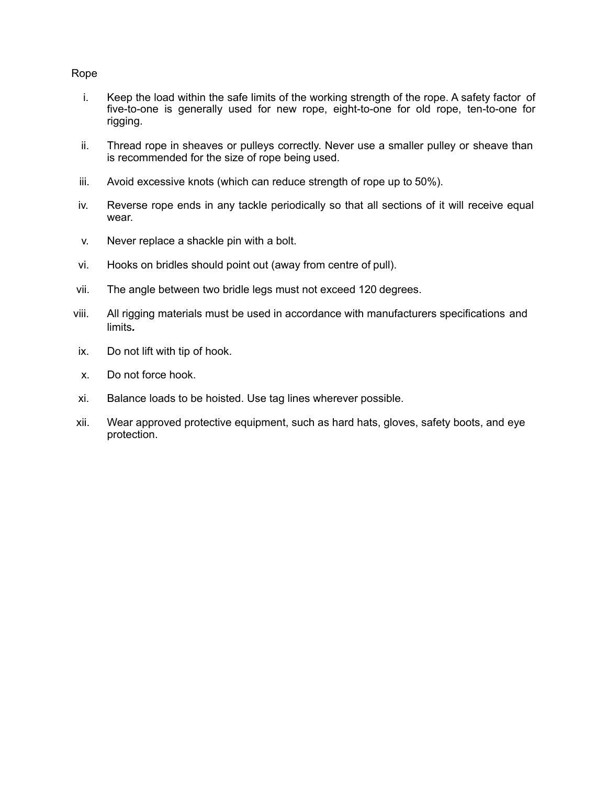#### Rope

- i. Keep the load within the safe limits of the working strength of the rope. A safety factor of five-to-one is generally used for new rope, eight-to-one for old rope, ten-to-one for rigging.
- ii. Thread rope in sheaves or pulleys correctly. Never use a smaller pulley or sheave than is recommended for the size of rope being used.
- iii. Avoid excessive knots (which can reduce strength of rope up to 50%).
- iv. Reverse rope ends in any tackle periodically so that all sections of it will receive equal wear.
- v. Never replace a shackle pin with a bolt.
- vi. Hooks on bridles should point out (away from centre of pull).
- vii. The angle between two bridle legs must not exceed 120 degrees.
- viii. All rigging materials must be used in accordance with manufacturers specifications and limits*.*
- ix. Do not lift with tip of hook.
- x. Do not force hook.
- xi. Balance loads to be hoisted. Use tag lines wherever possible.
- xii. Wear approved protective equipment, such as hard hats, gloves, safety boots, and eye protection.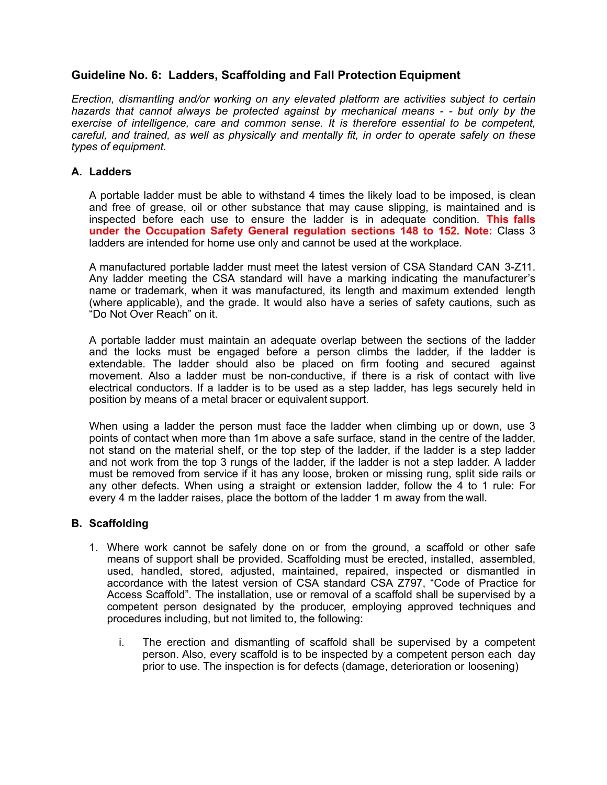## <span id="page-23-0"></span>**Guideline No. 6: Ladders, Scaffolding and Fall Protection Equipment**

*Erection, dismantling and/or working on any elevated platform are activities subject to certain hazards that cannot always be protected against by mechanical means - - but only by the exercise of intelligence, care and common sense. It is therefore essential to be competent, careful, and trained, as well as physically and mentally fit, in order to operate safely on these types of equipment.*

#### <span id="page-23-1"></span>**A. Ladders**

A portable ladder must be able to withstand 4 times the likely load to be imposed, is clean and free of grease, oil or other substance that may cause slipping, is maintained and is inspected before each use to ensure the ladder is in adequate condition. **This falls under the Occupation Safety General regulation sections 148 to 152. Note:** Class 3 ladders are intended for home use only and cannot be used at the workplace.

A manufactured portable ladder must meet the latest version of CSA Standard CAN 3-Z11. Any ladder meeting the CSA standard will have a marking indicating the manufacturer's name or trademark, when it was manufactured, its length and maximum extended length (where applicable), and the grade. It would also have a series of safety cautions, such as "Do Not Over Reach" on it.

A portable ladder must maintain an adequate overlap between the sections of the ladder and the locks must be engaged before a person climbs the ladder, if the ladder is extendable. The ladder should also be placed on firm footing and secured against movement. Also a ladder must be non-conductive, if there is a risk of contact with live electrical conductors. If a ladder is to be used as a step ladder, has legs securely held in position by means of a metal bracer or equivalent support.

When using a ladder the person must face the ladder when climbing up or down, use 3 points of contact when more than 1m above a safe surface, stand in the centre of the ladder, not stand on the material shelf, or the top step of the ladder, if the ladder is a step ladder and not work from the top 3 rungs of the ladder, if the ladder is not a step ladder. A ladder must be removed from service if it has any loose, broken or missing rung, split side rails or any other defects. When using a straight or extension ladder, follow the 4 to 1 rule: For every 4 m the ladder raises, place the bottom of the ladder 1 m away from the wall.

#### <span id="page-23-2"></span>**B. Scaffolding**

- 1. Where work cannot be safely done on or from the ground, a scaffold or other safe means of support shall be provided. Scaffolding must be erected, installed, assembled, used, handled, stored, adjusted, maintained, repaired, inspected or dismantled in accordance with the latest version of CSA standard CSA Z797, "Code of Practice for Access Scaffold". The installation, use or removal of a scaffold shall be supervised by a competent person designated by the producer, employing approved techniques and procedures including, but not limited to, the following:
	- i. The erection and dismantling of scaffold shall be supervised by a competent person. Also, every scaffold is to be inspected by a competent person each day prior to use. The inspection is for defects (damage, deterioration or loosening)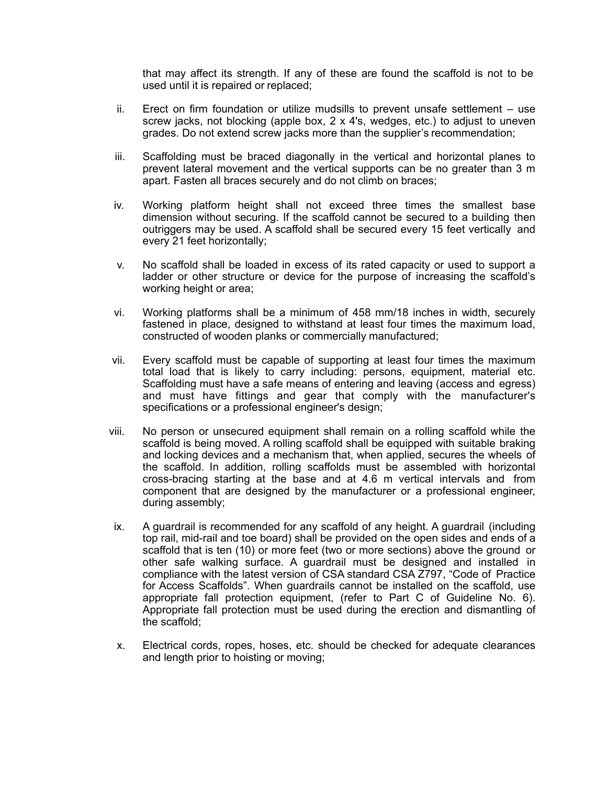that may affect its strength. If any of these are found the scaffold is not to be used until it is repaired or replaced;

- ii. Erect on firm foundation or utilize mudsills to prevent unsafe settlement use screw jacks, not blocking (apple box, 2 x 4's, wedges, etc.) to adjust to uneven grades. Do not extend screw jacks more than the supplier's recommendation;
- iii. Scaffolding must be braced diagonally in the vertical and horizontal planes to prevent lateral movement and the vertical supports can be no greater than 3 m apart. Fasten all braces securely and do not climb on braces;
- iv. Working platform height shall not exceed three times the smallest base dimension without securing. If the scaffold cannot be secured to a building then outriggers may be used. A scaffold shall be secured every 15 feet vertically and every 21 feet horizontally;
- v. No scaffold shall be loaded in excess of its rated capacity or used to support a ladder or other structure or device for the purpose of increasing the scaffold's working height or area;
- vi. Working platforms shall be a minimum of 458 mm/18 inches in width, securely fastened in place, designed to withstand at least four times the maximum load, constructed of wooden planks or commercially manufactured;
- vii. Every scaffold must be capable of supporting at least four times the maximum total load that is likely to carry including: persons, equipment, material etc. Scaffolding must have a safe means of entering and leaving (access and egress) and must have fittings and gear that comply with the manufacturer's specifications or a professional engineer's design;
- viii. No person or unsecured equipment shall remain on a rolling scaffold while the scaffold is being moved. A rolling scaffold shall be equipped with suitable braking and locking devices and a mechanism that, when applied, secures the wheels of the scaffold. In addition, rolling scaffolds must be assembled with horizontal cross-bracing starting at the base and at 4.6 m vertical intervals and from component that are designed by the manufacturer or a professional engineer, during assembly;
- ix. A guardrail is recommended for any scaffold of any height. A guardrail (including top rail, mid-rail and toe board) shall be provided on the open sides and ends of a scaffold that is ten (10) or more feet (two or more sections) above the ground or other safe walking surface. A guardrail must be designed and installed in compliance with the latest version of CSA standard CSA Z797, "Code of Practice for Access Scaffolds". When guardrails cannot be installed on the scaffold, use appropriate fall protection equipment, (refer to Part C of Guideline No. 6). Appropriate fall protection must be used during the erection and dismantling of the scaffold;
- x. Electrical cords, ropes, hoses, etc. should be checked for adequate clearances and length prior to hoisting or moving;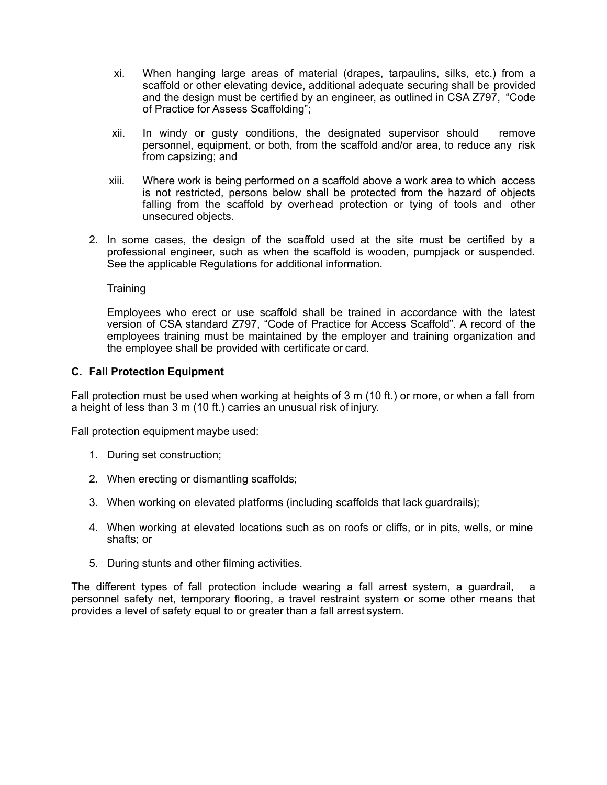- xi. When hanging large areas of material (drapes, tarpaulins, silks, etc.) from a scaffold or other elevating device, additional adequate securing shall be provided and the design must be certified by an engineer, as outlined in CSA Z797, "Code of Practice for Assess Scaffolding";
- xii. In windy or gusty conditions, the designated supervisor should remove personnel, equipment, or both, from the scaffold and/or area, to reduce any risk from capsizing; and
- xiii. Where work is being performed on a scaffold above a work area to which access is not restricted, persons below shall be protected from the hazard of objects falling from the scaffold by overhead protection or tying of tools and other unsecured objects.
- 2. In some cases, the design of the scaffold used at the site must be certified by a professional engineer, such as when the scaffold is wooden, pumpjack or suspended. See the applicable Regulations for additional information.

**Training** 

Employees who erect or use scaffold shall be trained in accordance with the latest version of CSA standard Z797, "Code of Practice for Access Scaffold". A record of the employees training must be maintained by the employer and training organization and the employee shall be provided with certificate or card.

#### <span id="page-25-0"></span>**C. Fall Protection Equipment**

Fall protection must be used when working at heights of 3 m (10 ft.) or more, or when a fall from a height of less than 3 m (10 ft.) carries an unusual risk of injury.

Fall protection equipment maybe used:

- 1. During set construction;
- 2. When erecting or dismantling scaffolds;
- 3. When working on elevated platforms (including scaffolds that lack guardrails);
- 4. When working at elevated locations such as on roofs or cliffs, or in pits, wells, or mine shafts; or
- 5. During stunts and other filming activities.

The different types of fall protection include wearing a fall arrest system, a guardrail, a personnel safety net, temporary flooring, a travel restraint system or some other means that provides a level of safety equal to or greater than a fall arrest system.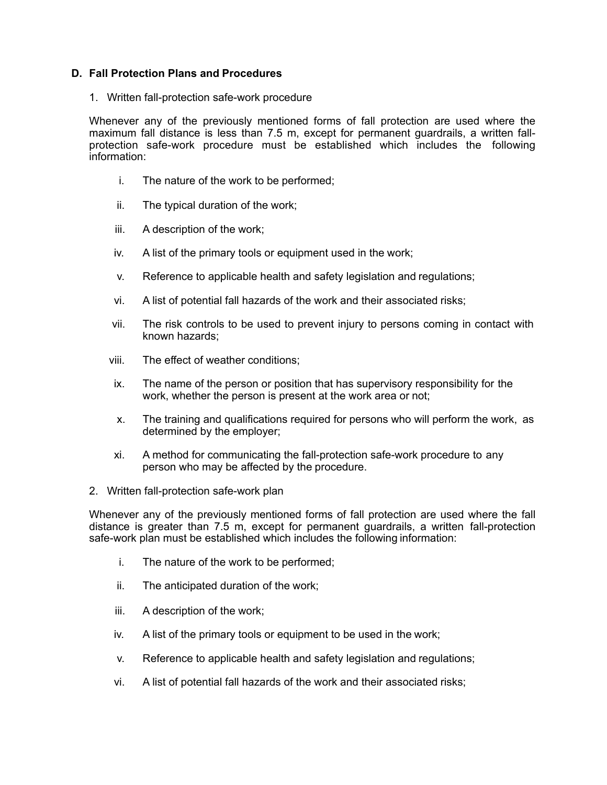#### <span id="page-26-0"></span>**D. Fall Protection Plans and Procedures**

1. Written fall-protection safe-work procedure

Whenever any of the previously mentioned forms of fall protection are used where the maximum fall distance is less than 7.5 m, except for permanent guardrails, a written fallprotection safe-work procedure must be established which includes the following information:

- i. The nature of the work to be performed;
- ii. The typical duration of the work;
- iii. A description of the work;
- iv. A list of the primary tools or equipment used in the work;
- v. Reference to applicable health and safety legislation and regulations;
- vi. A list of potential fall hazards of the work and their associated risks;
- vii. The risk controls to be used to prevent injury to persons coming in contact with known hazards;
- viii. The effect of weather conditions;
- ix. The name of the person or position that has supervisory responsibility for the work, whether the person is present at the work area or not;
- x. The training and qualifications required for persons who will perform the work, as determined by the employer;
- xi. A method for communicating the fall-protection safe-work procedure to any person who may be affected by the procedure.
- 2. Written fall-protection safe-work plan

Whenever any of the previously mentioned forms of fall protection are used where the fall distance is greater than 7.5 m, except for permanent guardrails, a written fall-protection safe-work plan must be established which includes the following information:

- i. The nature of the work to be performed;
- ii. The anticipated duration of the work;
- iii. A description of the work;
- iv. A list of the primary tools or equipment to be used in the work;
- v. Reference to applicable health and safety legislation and regulations;
- vi. A list of potential fall hazards of the work and their associated risks;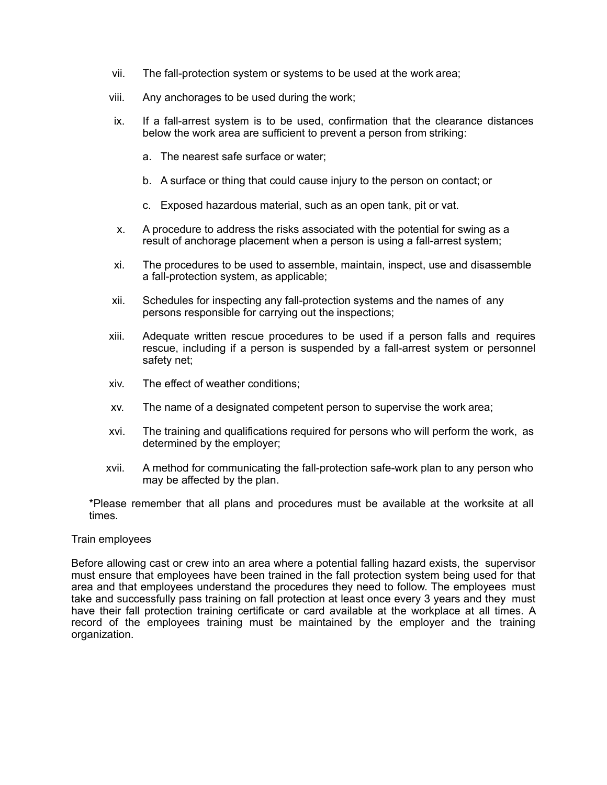- vii. The fall-protection system or systems to be used at the work area;
- viii. Any anchorages to be used during the work;
- ix. If a fall-arrest system is to be used, confirmation that the clearance distances below the work area are sufficient to prevent a person from striking:
	- a. The nearest safe surface or water;
	- b. A surface or thing that could cause injury to the person on contact; or
	- c. Exposed hazardous material, such as an open tank, pit or vat.
- x. A procedure to address the risks associated with the potential for swing as a result of anchorage placement when a person is using a fall-arrest system;
- xi. The procedures to be used to assemble, maintain, inspect, use and disassemble a fall-protection system, as applicable;
- xii. Schedules for inspecting any fall-protection systems and the names of any persons responsible for carrying out the inspections;
- xiii. Adequate written rescue procedures to be used if a person falls and requires rescue, including if a person is suspended by a fall-arrest system or personnel safety net;
- xiv. The effect of weather conditions;
- xv. The name of a designated competent person to supervise the work area;
- xvi. The training and qualifications required for persons who will perform the work, as determined by the employer;
- xvii. A method for communicating the fall-protection safe-work plan to any person who may be affected by the plan.

\*Please remember that all plans and procedures must be available at the worksite at all times.

#### Train employees

Before allowing cast or crew into an area where a potential falling hazard exists, the supervisor must ensure that employees have been trained in the fall protection system being used for that area and that employees understand the procedures they need to follow. The employees must take and successfully pass training on fall protection at least once every 3 years and they must have their fall protection training certificate or card available at the workplace at all times. A record of the employees training must be maintained by the employer and the training organization.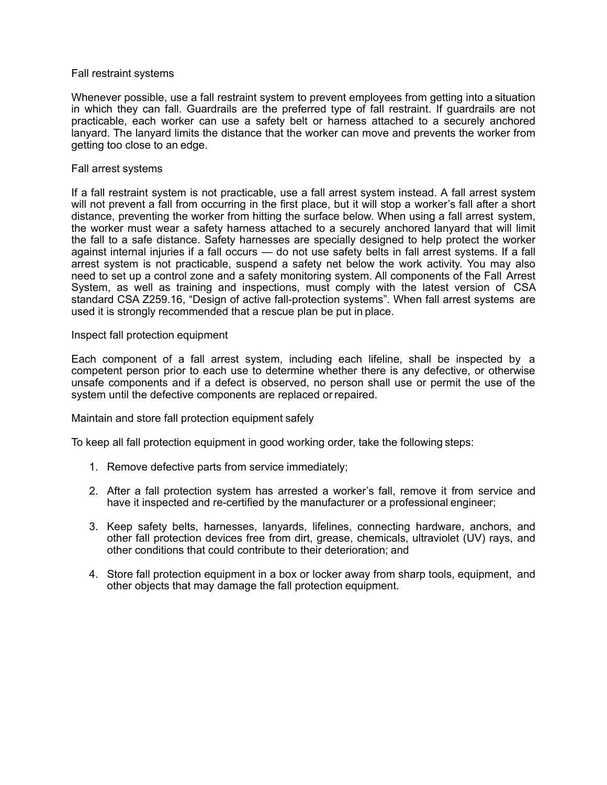#### Fall restraint systems

Whenever possible, use a fall restraint system to prevent employees from getting into a situation in which they can fall. Guardrails are the preferred type of fall restraint. If guardrails are not practicable, each worker can use a safety belt or harness attached to a securely anchored lanyard. The lanyard limits the distance that the worker can move and prevents the worker from getting too close to an edge.

#### Fall arrest systems

If a fall restraint system is not practicable, use a fall arrest system instead. A fall arrest system will not prevent a fall from occurring in the first place, but it will stop a worker's fall after a short distance, preventing the worker from hitting the surface below. When using a fall arrest system, the worker must wear a safety harness attached to a securely anchored lanyard that will limit the fall to a safe distance. Safety harnesses are specially designed to help protect the worker against internal injuries if a fall occurs — do not use safety belts in fall arrest systems. If a fall arrest system is not practicable, suspend a safety net below the work activity. You may also need to set up a control zone and a safety monitoring system. All components of the Fall Arrest System, as well as training and inspections, must comply with the latest version of CSA standard CSA Z259.16, "Design of active fall-protection systems". When fall arrest systems are used it is strongly recommended that a rescue plan be put in place.

Inspect fall protection equipment

Each component of a fall arrest system, including each lifeline, shall be inspected by a competent person prior to each use to determine whether there is any defective, or otherwise unsafe components and if a defect is observed, no person shall use or permit the use of the system until the defective components are replaced or repaired.

Maintain and store fall protection equipment safely

To keep all fall protection equipment in good working order, take the following steps:

- 1. Remove defective parts from service immediately;
- 2. After a fall protection system has arrested a worker's fall, remove it from service and have it inspected and re-certified by the manufacturer or a professional engineer;
- 3. Keep safety belts, harnesses, lanyards, lifelines, connecting hardware, anchors, and other fall protection devices free from dirt, grease, chemicals, ultraviolet (UV) rays, and other conditions that could contribute to their deterioration; and
- 4. Store fall protection equipment in a box or locker away from sharp tools, equipment, and other objects that may damage the fall protection equipment.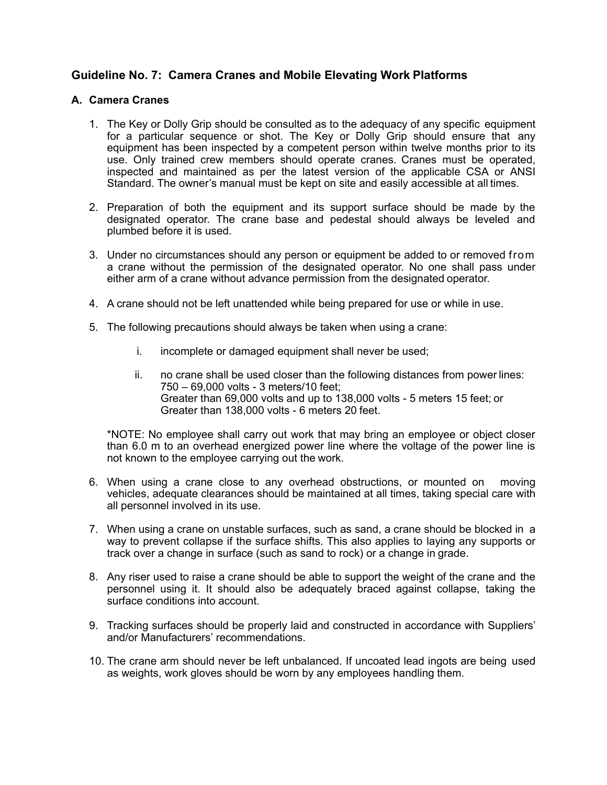## <span id="page-29-0"></span>**Guideline No. 7: Camera Cranes and Mobile Elevating Work Platforms**

#### <span id="page-29-1"></span>**A. Camera Cranes**

- 1. The Key or Dolly Grip should be consulted as to the adequacy of any specific equipment for a particular sequence or shot. The Key or Dolly Grip should ensure that any equipment has been inspected by a competent person within twelve months prior to its use. Only trained crew members should operate cranes. Cranes must be operated, inspected and maintained as per the latest version of the applicable CSA or ANSI Standard. The owner's manual must be kept on site and easily accessible at all times.
- 2. Preparation of both the equipment and its support surface should be made by the designated operator. The crane base and pedestal should always be leveled and plumbed before it is used.
- 3. Under no circumstances should any person or equipment be added to or removed from a crane without the permission of the designated operator. No one shall pass under either arm of a crane without advance permission from the designated operator.
- 4. A crane should not be left unattended while being prepared for use or while in use.
- 5. The following precautions should always be taken when using a crane:
	- i. incomplete or damaged equipment shall never be used;
	- ii. no crane shall be used closer than the following distances from power lines: 750 – 69,000 volts - 3 meters/10 feet; Greater than 69,000 volts and up to 138,000 volts - 5 meters 15 feet; or Greater than 138,000 volts - 6 meters 20 feet.

\*NOTE: No employee shall carry out work that may bring an employee or object closer than 6.0 m to an overhead energized power line where the voltage of the power line is not known to the employee carrying out the work.

- 6. When using a crane close to any overhead obstructions, or mounted on moving vehicles, adequate clearances should be maintained at all times, taking special care with all personnel involved in its use.
- 7. When using a crane on unstable surfaces, such as sand, a crane should be blocked in a way to prevent collapse if the surface shifts. This also applies to laying any supports or track over a change in surface (such as sand to rock) or a change in grade.
- 8. Any riser used to raise a crane should be able to support the weight of the crane and the personnel using it. It should also be adequately braced against collapse, taking the surface conditions into account.
- 9. Tracking surfaces should be properly laid and constructed in accordance with Suppliers' and/or Manufacturers' recommendations.
- 10. The crane arm should never be left unbalanced. If uncoated lead ingots are being used as weights, work gloves should be worn by any employees handling them.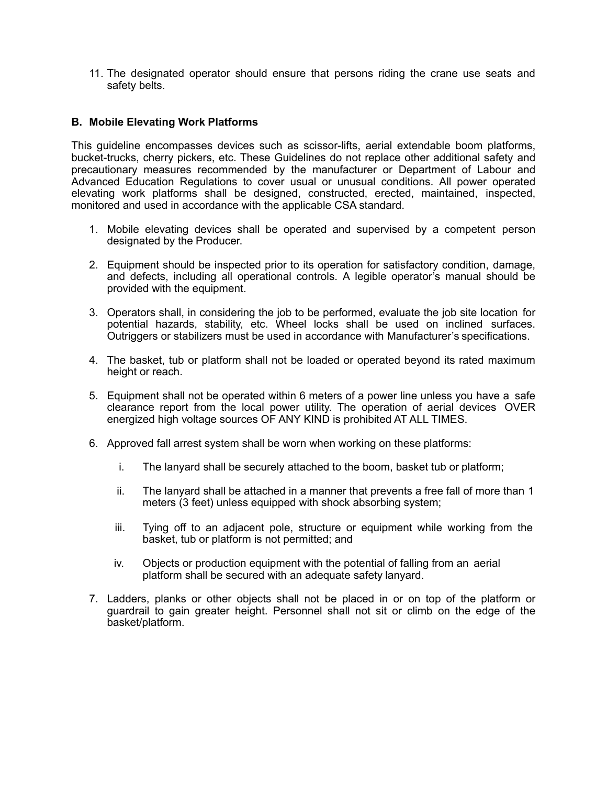11. The designated operator should ensure that persons riding the crane use seats and safety belts.

#### <span id="page-30-0"></span>**B. Mobile Elevating Work Platforms**

This guideline encompasses devices such as scissor-lifts, aerial extendable boom platforms, bucket-trucks, cherry pickers, etc. These Guidelines do not replace other additional safety and precautionary measures recommended by the manufacturer or Department of Labour and Advanced Education Regulations to cover usual or unusual conditions. All power operated elevating work platforms shall be designed, constructed, erected, maintained, inspected, monitored and used in accordance with the applicable CSA standard.

- 1. Mobile elevating devices shall be operated and supervised by a competent person designated by the Producer.
- 2. Equipment should be inspected prior to its operation for satisfactory condition, damage, and defects, including all operational controls. A legible operator's manual should be provided with the equipment.
- 3. Operators shall, in considering the job to be performed, evaluate the job site location for potential hazards, stability, etc. Wheel locks shall be used on inclined surfaces. Outriggers or stabilizers must be used in accordance with Manufacturer's specifications.
- 4. The basket, tub or platform shall not be loaded or operated beyond its rated maximum height or reach.
- 5. Equipment shall not be operated within 6 meters of a power line unless you have a safe clearance report from the local power utility. The operation of aerial devices OVER energized high voltage sources OF ANY KIND is prohibited AT ALL TIMES.
- 6. Approved fall arrest system shall be worn when working on these platforms:
	- i. The lanyard shall be securely attached to the boom, basket tub or platform;
	- ii. The lanyard shall be attached in a manner that prevents a free fall of more than 1 meters (3 feet) unless equipped with shock absorbing system;
	- iii. Tying off to an adjacent pole, structure or equipment while working from the basket, tub or platform is not permitted; and
	- iv. Objects or production equipment with the potential of falling from an aerial platform shall be secured with an adequate safety lanyard.
- 7. Ladders, planks or other objects shall not be placed in or on top of the platform or guardrail to gain greater height. Personnel shall not sit or climb on the edge of the basket/platform.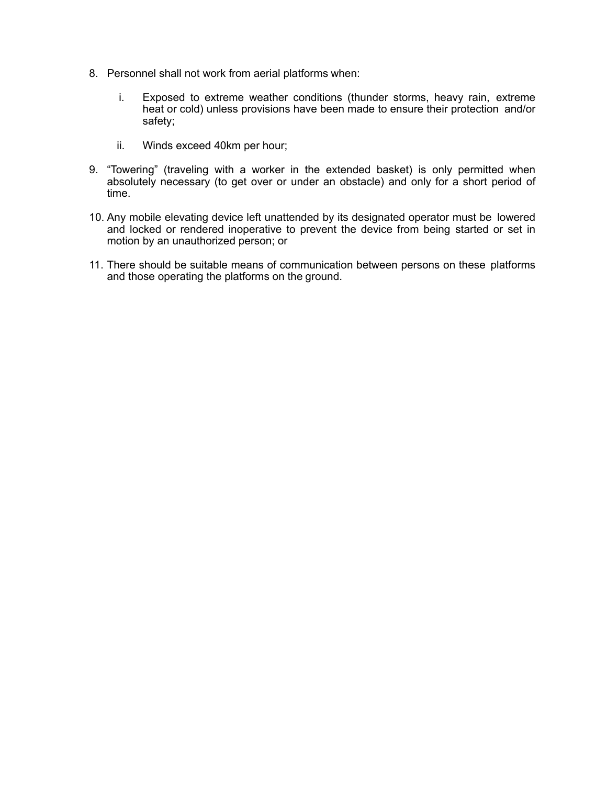- 8. Personnel shall not work from aerial platforms when:
	- i. Exposed to extreme weather conditions (thunder storms, heavy rain, extreme heat or cold) unless provisions have been made to ensure their protection and/or safety;
	- ii. Winds exceed 40km per hour;
- 9. "Towering" (traveling with a worker in the extended basket) is only permitted when absolutely necessary (to get over or under an obstacle) and only for a short period of time.
- 10. Any mobile elevating device left unattended by its designated operator must be lowered and locked or rendered inoperative to prevent the device from being started or set in motion by an unauthorized person; or
- 11. There should be suitable means of communication between persons on these platforms and those operating the platforms on the ground.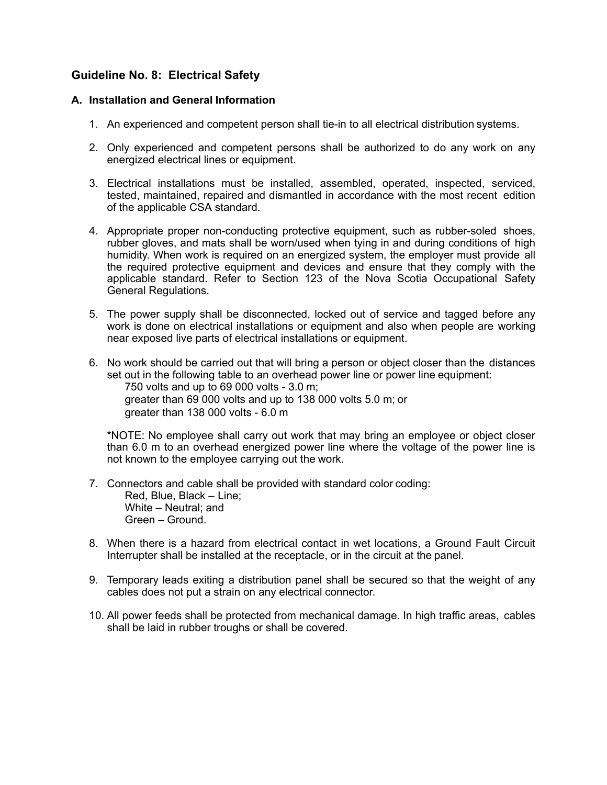## <span id="page-32-0"></span>**Guideline No. 8: Electrical Safety**

#### <span id="page-32-1"></span>**A. Installation and General Information**

- 1. An experienced and competent person shall tie-in to all electrical distribution systems.
- 2. Only experienced and competent persons shall be authorized to do any work on any energized electrical lines or equipment.
- 3. Electrical installations must be installed, assembled, operated, inspected, serviced, tested, maintained, repaired and dismantled in accordance with the most recent edition of the applicable CSA standard.
- 4. Appropriate proper non-conducting protective equipment, such as rubber-soled shoes, rubber gloves, and mats shall be worn/used when tying in and during conditions of high humidity. When work is required on an energized system, the employer must provide all the required protective equipment and devices and ensure that they comply with the applicable standard. Refer to Section 123 of the Nova Scotia Occupational Safety General Regulations.
- 5. The power supply shall be disconnected, locked out of service and tagged before any work is done on electrical installations or equipment and also when people are working near exposed live parts of electrical installations or equipment.
- 6. No work should be carried out that will bring a person or object closer than the distances set out in the following table to an overhead power line or power line equipment: 750 volts and up to 69 000 volts - 3.0 m; greater than 69 000 volts and up to 138 000 volts 5.0 m; or greater than 138 000 volts - 6.0 m

\*NOTE: No employee shall carry out work that may bring an employee or object closer than 6.0 m to an overhead energized power line where the voltage of the power line is not known to the employee carrying out the work.

- 7. Connectors and cable shall be provided with standard color coding: Red, Blue, Black – Line; White – Neutral; and Green – Ground.
- 8. When there is a hazard from electrical contact in wet locations, a Ground Fault Circuit Interrupter shall be installed at the receptacle, or in the circuit at the panel.
- 9. Temporary leads exiting a distribution panel shall be secured so that the weight of any cables does not put a strain on any electrical connector.
- 10. All power feeds shall be protected from mechanical damage. In high traffic areas, cables shall be laid in rubber troughs or shall be covered.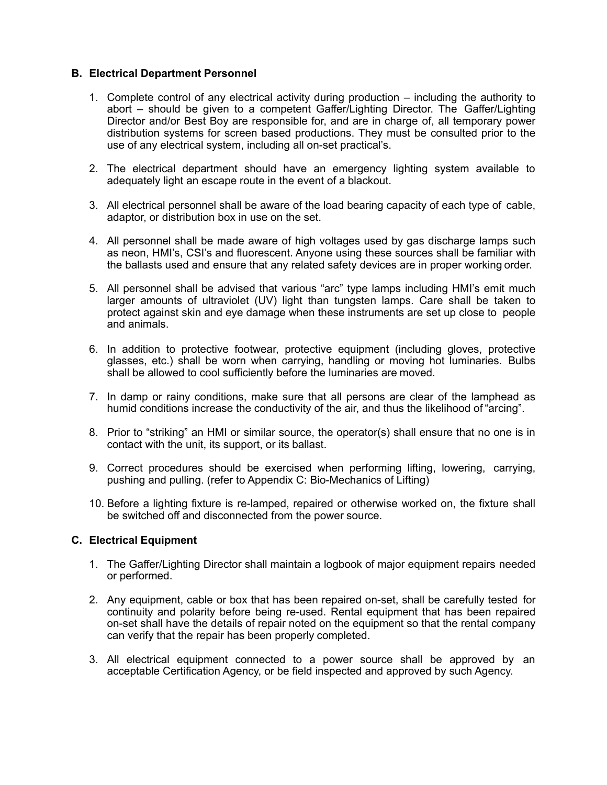#### <span id="page-33-0"></span>**B. Electrical Department Personnel**

- 1. Complete control of any electrical activity during production including the authority to abort – should be given to a competent Gaffer/Lighting Director. The Gaffer/Lighting Director and/or Best Boy are responsible for, and are in charge of, all temporary power distribution systems for screen based productions. They must be consulted prior to the use of any electrical system, including all on-set practical's.
- 2. The electrical department should have an emergency lighting system available to adequately light an escape route in the event of a blackout.
- 3. All electrical personnel shall be aware of the load bearing capacity of each type of cable, adaptor, or distribution box in use on the set.
- 4. All personnel shall be made aware of high voltages used by gas discharge lamps such as neon, HMI's, CSI's and fluorescent. Anyone using these sources shall be familiar with the ballasts used and ensure that any related safety devices are in proper working order.
- 5. All personnel shall be advised that various "arc" type lamps including HMI's emit much larger amounts of ultraviolet (UV) light than tungsten lamps. Care shall be taken to protect against skin and eye damage when these instruments are set up close to people and animals.
- 6. In addition to protective footwear, protective equipment (including gloves, protective glasses, etc.) shall be worn when carrying, handling or moving hot luminaries. Bulbs shall be allowed to cool sufficiently before the luminaries are moved.
- 7. In damp or rainy conditions, make sure that all persons are clear of the lamphead as humid conditions increase the conductivity of the air, and thus the likelihood of "arcing".
- 8. Prior to "striking" an HMI or similar source, the operator(s) shall ensure that no one is in contact with the unit, its support, or its ballast.
- 9. Correct procedures should be exercised when performing lifting, lowering, carrying, pushing and pulling. (refer to Appendix C: Bio-Mechanics of Lifting)
- 10. Before a lighting fixture is re-lamped, repaired or otherwise worked on, the fixture shall be switched off and disconnected from the power source.

#### <span id="page-33-1"></span>**C. Electrical Equipment**

- 1. The Gaffer/Lighting Director shall maintain a logbook of major equipment repairs needed or performed.
- 2. Any equipment, cable or box that has been repaired on-set, shall be carefully tested for continuity and polarity before being re-used. Rental equipment that has been repaired on-set shall have the details of repair noted on the equipment so that the rental company can verify that the repair has been properly completed.
- 3. All electrical equipment connected to a power source shall be approved by an acceptable Certification Agency, or be field inspected and approved by such Agency.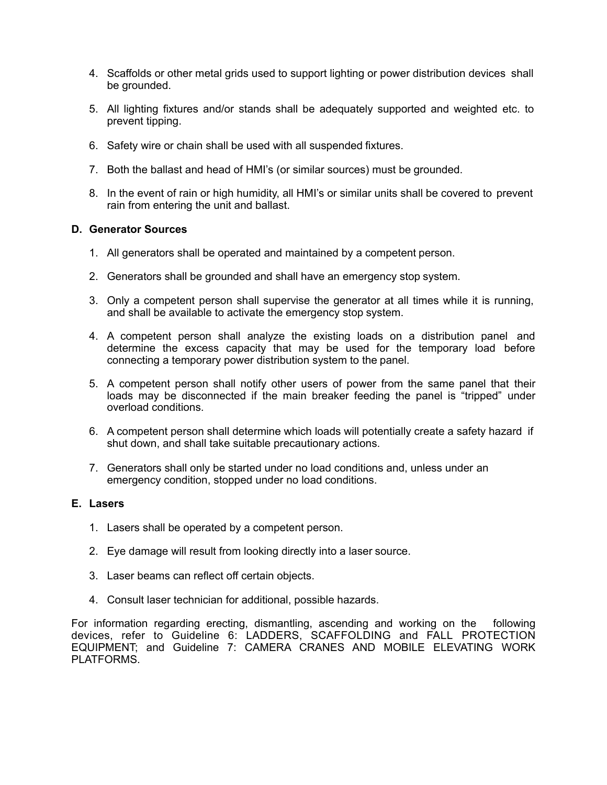- 4. Scaffolds or other metal grids used to support lighting or power distribution devices shall be grounded.
- 5. All lighting fixtures and/or stands shall be adequately supported and weighted etc. to prevent tipping.
- 6. Safety wire or chain shall be used with all suspended fixtures.
- 7. Both the ballast and head of HMI's (or similar sources) must be grounded.
- 8. In the event of rain or high humidity, all HMI's or similar units shall be covered to prevent rain from entering the unit and ballast.

#### <span id="page-34-0"></span>**D. Generator Sources**

- 1. All generators shall be operated and maintained by a competent person.
- 2. Generators shall be grounded and shall have an emergency stop system.
- 3. Only a competent person shall supervise the generator at all times while it is running, and shall be available to activate the emergency stop system.
- 4. A competent person shall analyze the existing loads on a distribution panel and determine the excess capacity that may be used for the temporary load before connecting a temporary power distribution system to the panel.
- 5. A competent person shall notify other users of power from the same panel that their loads may be disconnected if the main breaker feeding the panel is "tripped" under overload conditions.
- 6. A competent person shall determine which loads will potentially create a safety hazard if shut down, and shall take suitable precautionary actions.
- 7. Generators shall only be started under no load conditions and, unless under an emergency condition, stopped under no load conditions.

#### <span id="page-34-1"></span>**E. Lasers**

- 1. Lasers shall be operated by a competent person.
- 2. Eye damage will result from looking directly into a laser source.
- 3. Laser beams can reflect off certain objects.
- 4. Consult laser technician for additional, possible hazards.

For information regarding erecting, dismantling, ascending and working on the following devices, refer to Guideline 6: LADDERS, SCAFFOLDING and FALL PROTECTION EQUIPMENT; and Guideline 7: CAMERA CRANES AND MOBILE ELEVATING WORK PLATFORMS.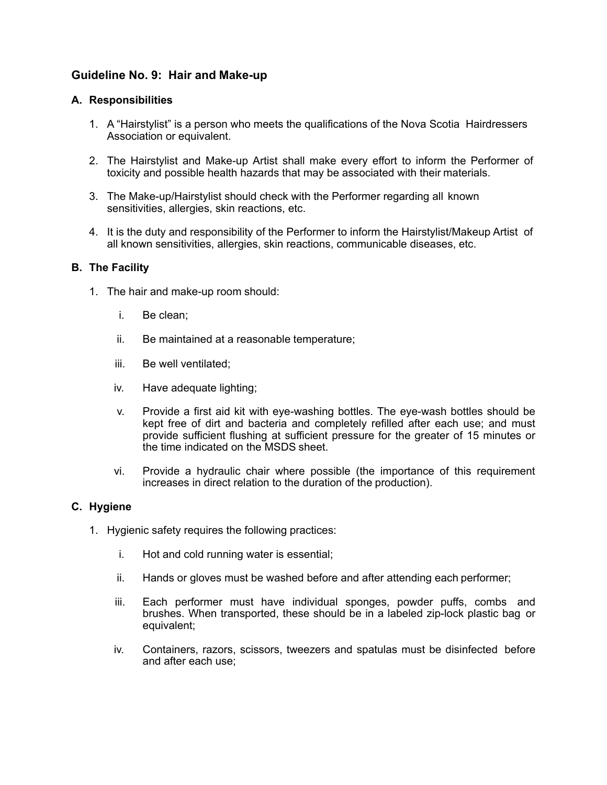## <span id="page-35-0"></span>**Guideline No. 9: Hair and Make-up**

#### <span id="page-35-1"></span>**A. Responsibilities**

- 1. A "Hairstylist" is a person who meets the qualifications of the Nova Scotia Hairdressers Association or equivalent.
- 2. The Hairstylist and Make-up Artist shall make every effort to inform the Performer of toxicity and possible health hazards that may be associated with their materials.
- 3. The Make-up/Hairstylist should check with the Performer regarding all known sensitivities, allergies, skin reactions, etc.
- 4. It is the duty and responsibility of the Performer to inform the Hairstylist/Makeup Artist of all known sensitivities, allergies, skin reactions, communicable diseases, etc.

#### <span id="page-35-2"></span>**B. The Facility**

- 1. The hair and make-up room should:
	- i. Be clean;
	- ii. Be maintained at a reasonable temperature;
	- iii. Be well ventilated;
	- iv. Have adequate lighting;
	- v. Provide a first aid kit with eye-washing bottles. The eye-wash bottles should be kept free of dirt and bacteria and completely refilled after each use; and must provide sufficient flushing at sufficient pressure for the greater of 15 minutes or the time indicated on the MSDS sheet.
	- vi. Provide a hydraulic chair where possible (the importance of this requirement increases in direct relation to the duration of the production).

### <span id="page-35-3"></span>**C. Hygiene**

- 1. Hygienic safety requires the following practices:
	- i. Hot and cold running water is essential;
	- ii. Hands or gloves must be washed before and after attending each performer;
	- iii. Each performer must have individual sponges, powder puffs, combs and brushes. When transported, these should be in a labeled zip-lock plastic bag or equivalent;
	- iv. Containers, razors, scissors, tweezers and spatulas must be disinfected before and after each use;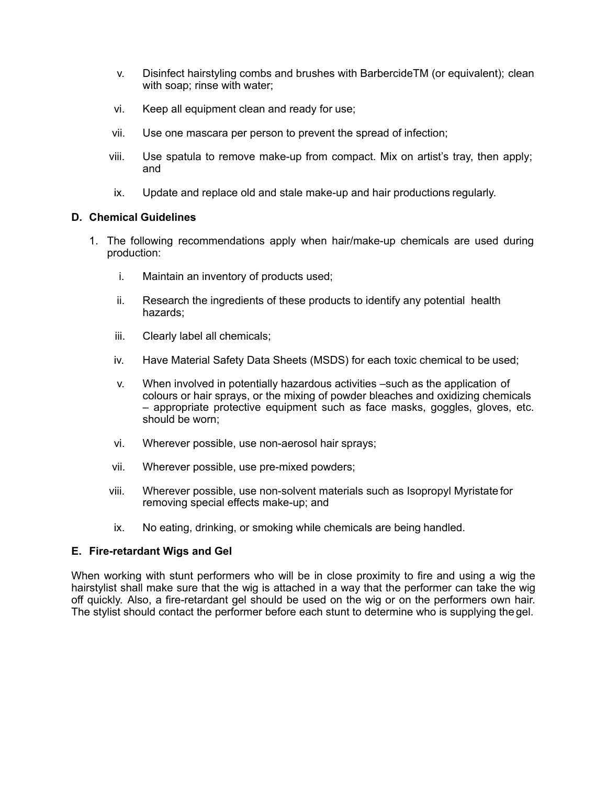- v. Disinfect hairstyling combs and brushes with BarbercideTM (or equivalent); clean with soap; rinse with water;
- vi. Keep all equipment clean and ready for use;
- vii. Use one mascara per person to prevent the spread of infection;
- viii. Use spatula to remove make-up from compact. Mix on artist's tray, then apply; and
- ix. Update and replace old and stale make-up and hair productions regularly.

### **D. Chemical Guidelines**

- 1. The following recommendations apply when hair/make-up chemicals are used during production:
	- i. Maintain an inventory of products used;
	- ii. Research the ingredients of these products to identify any potential health hazards;
	- iii. Clearly label all chemicals;
	- iv. Have Material Safety Data Sheets (MSDS) for each toxic chemical to be used;
	- v. When involved in potentially hazardous activities –such as the application of colours or hair sprays, or the mixing of powder bleaches and oxidizing chemicals – appropriate protective equipment such as face masks, goggles, gloves, etc. should be worn;
	- vi. Wherever possible, use non-aerosol hair sprays;
	- vii. Wherever possible, use pre-mixed powders;
	- viii. Wherever possible, use non-solvent materials such as Isopropyl Myristate for removing special effects make-up; and
	- ix. No eating, drinking, or smoking while chemicals are being handled.

#### **E. Fire-retardant Wigs and Gel**

When working with stunt performers who will be in close proximity to fire and using a wig the hairstylist shall make sure that the wig is attached in a way that the performer can take the wig off quickly. Also, a fire-retardant gel should be used on the wig or on the performers own hair. The stylist should contact the performer before each stunt to determine who is supplying the gel.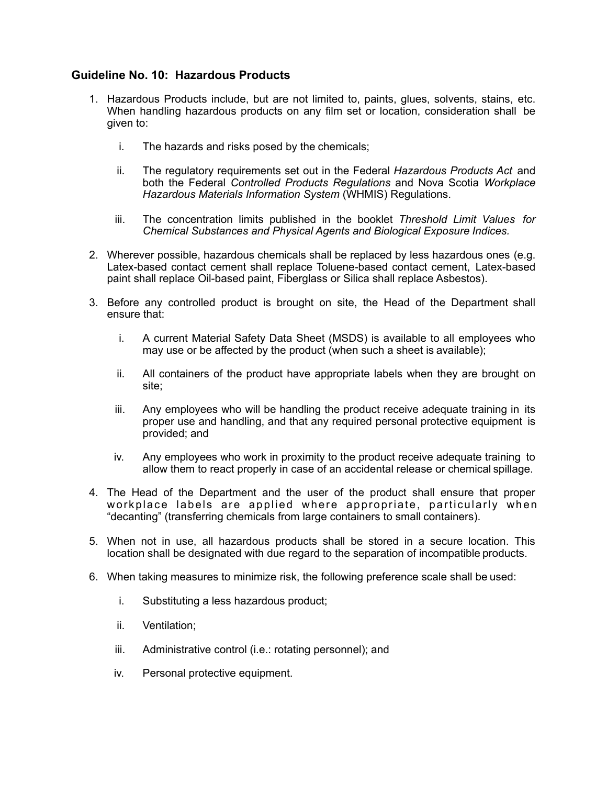# **Guideline No. 10: Hazardous Products**

- 1. Hazardous Products include, but are not limited to, paints, glues, solvents, stains, etc. When handling hazardous products on any film set or location, consideration shall be given to:
	- i. The hazards and risks posed by the chemicals;
	- ii. The regulatory requirements set out in the Federal *Hazardous Products Act* and both the Federal *Controlled Products Regulations* and Nova Scotia *Workplace Hazardous Materials Information System* (WHMIS) Regulations.
	- iii. The concentration limits published in the booklet *Threshold Limit Values for Chemical Substances and Physical Agents and Biological Exposure Indices.*
- 2. Wherever possible, hazardous chemicals shall be replaced by less hazardous ones (e.g. Latex-based contact cement shall replace Toluene-based contact cement, Latex-based paint shall replace Oil-based paint, Fiberglass or Silica shall replace Asbestos).
- 3. Before any controlled product is brought on site, the Head of the Department shall ensure that:
	- i. A current Material Safety Data Sheet (MSDS) is available to all employees who may use or be affected by the product (when such a sheet is available);
	- ii. All containers of the product have appropriate labels when they are brought on site;
	- iii. Any employees who will be handling the product receive adequate training in its proper use and handling, and that any required personal protective equipment is provided; and
	- iv. Any employees who work in proximity to the product receive adequate training to allow them to react properly in case of an accidental release or chemical spillage.
- 4. The Head of the Department and the user of the product shall ensure that proper workplace labels are applied where appropriate, particularly when "decanting" (transferring chemicals from large containers to small containers).
- 5. When not in use, all hazardous products shall be stored in a secure location. This location shall be designated with due regard to the separation of incompatible products.
- 6. When taking measures to minimize risk, the following preference scale shall be used:
	- i. Substituting a less hazardous product;
	- ii. Ventilation;
	- iii. Administrative control (i.e.: rotating personnel); and
	- iv. Personal protective equipment.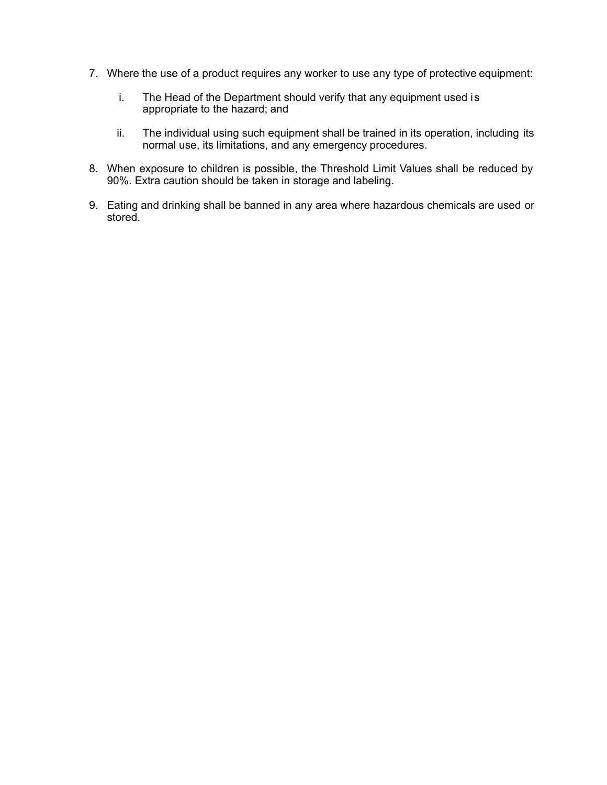- 7. Where the use of a product requires any worker to use any type of protective equipment:
	- i. The Head of the Department should verify that any equipment used is appropriate to the hazard; and
	- ii. The individual using such equipment shall be trained in its operation, including its normal use, its limitations, and any emergency procedures.
- 8. When exposure to children is possible, the Threshold Limit Values shall be reduced by 90%. Extra caution should be taken in storage and labeling.
- 9. Eating and drinking shall be banned in any area where hazardous chemicals are used or stored.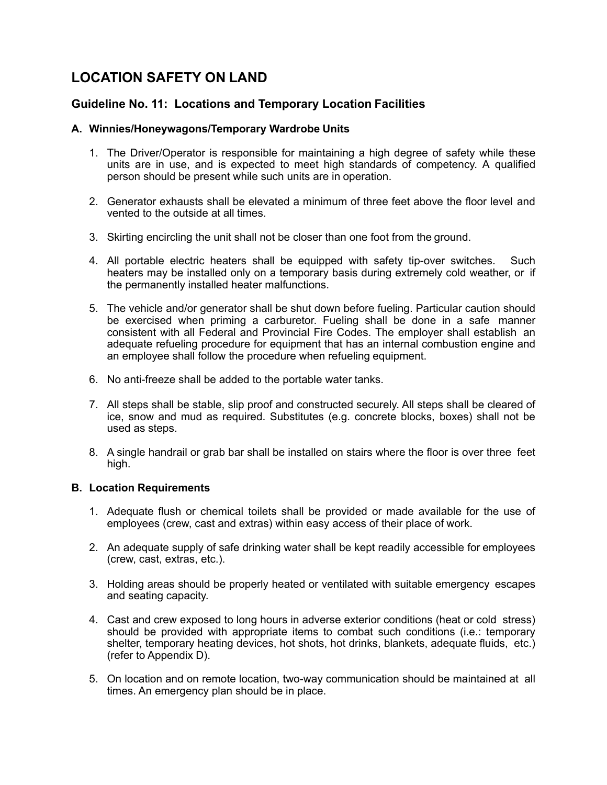# **LOCATION SAFETY ON LAND**

# **Guideline No. 11: Locations and Temporary Location Facilities**

### **A. Winnies/Honeywagons/Temporary Wardrobe Units**

- 1. The Driver/Operator is responsible for maintaining a high degree of safety while these units are in use, and is expected to meet high standards of competency. A qualified person should be present while such units are in operation.
- 2. Generator exhausts shall be elevated a minimum of three feet above the floor level and vented to the outside at all times.
- 3. Skirting encircling the unit shall not be closer than one foot from the ground.
- 4. All portable electric heaters shall be equipped with safety tip-over switches. Such heaters may be installed only on a temporary basis during extremely cold weather, or if the permanently installed heater malfunctions.
- 5. The vehicle and/or generator shall be shut down before fueling. Particular caution should be exercised when priming a carburetor. Fueling shall be done in a safe manner consistent with all Federal and Provincial Fire Codes. The employer shall establish an adequate refueling procedure for equipment that has an internal combustion engine and an employee shall follow the procedure when refueling equipment.
- 6. No anti-freeze shall be added to the portable water tanks.
- 7. All steps shall be stable, slip proof and constructed securely. All steps shall be cleared of ice, snow and mud as required. Substitutes (e.g. concrete blocks, boxes) shall not be used as steps.
- 8. A single handrail or grab bar shall be installed on stairs where the floor is over three feet high.

### **B. Location Requirements**

- 1. Adequate flush or chemical toilets shall be provided or made available for the use of employees (crew, cast and extras) within easy access of their place of work.
- 2. An adequate supply of safe drinking water shall be kept readily accessible for employees (crew, cast, extras, etc.).
- 3. Holding areas should be properly heated or ventilated with suitable emergency escapes and seating capacity.
- 4. Cast and crew exposed to long hours in adverse exterior conditions (heat or cold stress) should be provided with appropriate items to combat such conditions (i.e.: temporary shelter, temporary heating devices, hot shots, hot drinks, blankets, adequate fluids, etc.) (refer to Appendix D).
- 5. On location and on remote location, two-way communication should be maintained at all times. An emergency plan should be in place.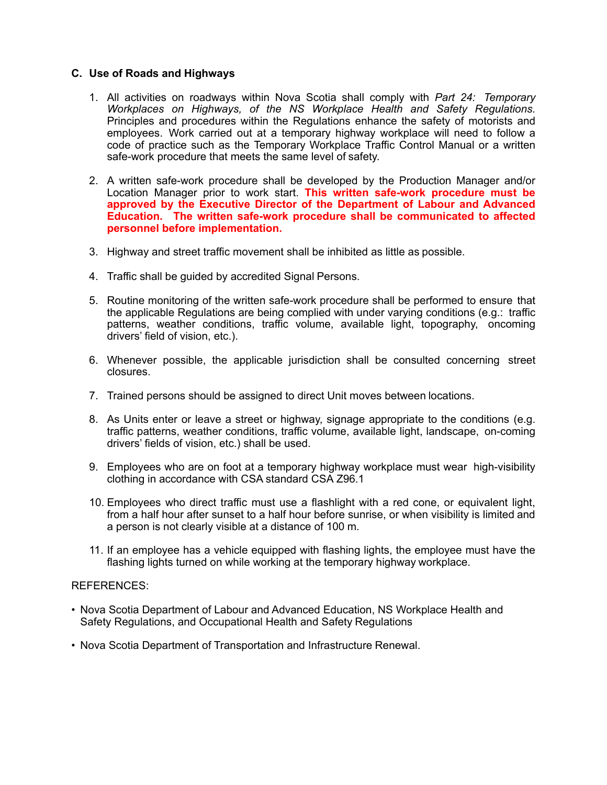### **C. Use of Roads and Highways**

- 1. All activities on roadways within Nova Scotia shall comply with *Part 24: Temporary Workplaces on Highways, of the NS Workplace Health and Safety Regulations.*  Principles and procedures within the Regulations enhance the safety of motorists and employees. Work carried out at a temporary highway workplace will need to follow a code of practice such as the Temporary Workplace Traffic Control Manual or a written safe-work procedure that meets the same level of safety.
- 2. A written safe-work procedure shall be developed by the Production Manager and/or Location Manager prior to work start. **This written safe-work procedure must be approved by the Executive Director of the Department of Labour and Advanced Education. The written safe-work procedure shall be communicated to affected personnel before implementation.**
- 3. Highway and street traffic movement shall be inhibited as little as possible.
- 4. Traffic shall be guided by accredited Signal Persons.
- 5. Routine monitoring of the written safe-work procedure shall be performed to ensure that the applicable Regulations are being complied with under varying conditions (e.g.: traffic patterns, weather conditions, traffic volume, available light, topography, oncoming drivers' field of vision, etc.).
- 6. Whenever possible, the applicable jurisdiction shall be consulted concerning street closures.
- 7. Trained persons should be assigned to direct Unit moves between locations.
- 8. As Units enter or leave a street or highway, signage appropriate to the conditions (e.g. traffic patterns, weather conditions, traffic volume, available light, landscape, on-coming drivers' fields of vision, etc.) shall be used.
- 9. Employees who are on foot at a temporary highway workplace must wear high-visibility clothing in accordance with CSA standard CSA Z96.1
- 10. Employees who direct traffic must use a flashlight with a red cone, or equivalent light, from a half hour after sunset to a half hour before sunrise, or when visibility is limited and a person is not clearly visible at a distance of 100 m.
- 11. If an employee has a vehicle equipped with flashing lights, the employee must have the flashing lights turned on while working at the temporary highway workplace.

#### REFERENCES:

- Nova Scotia Department of Labour and Advanced Education, NS Workplace Health and Safety Regulations, and Occupational Health and Safety Regulations
- Nova Scotia Department of Transportation and Infrastructure Renewal.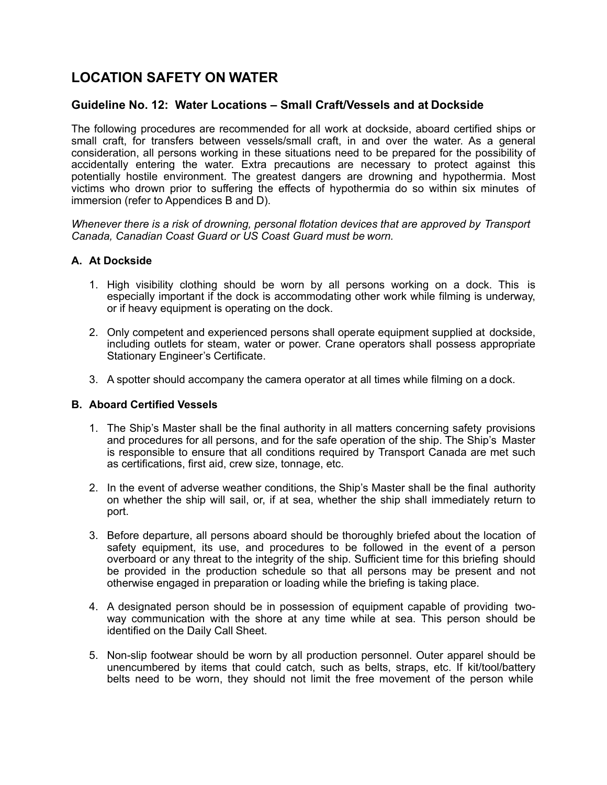# **LOCATION SAFETY ON WATER**

# **Guideline No. 12: Water Locations – Small Craft/Vessels and at Dockside**

The following procedures are recommended for all work at dockside, aboard certified ships or small craft, for transfers between vessels/small craft, in and over the water. As a general consideration, all persons working in these situations need to be prepared for the possibility of accidentally entering the water. Extra precautions are necessary to protect against this potentially hostile environment. The greatest dangers are drowning and hypothermia. Most victims who drown prior to suffering the effects of hypothermia do so within six minutes of immersion (refer to Appendices B and D).

*Whenever there is a risk of drowning, personal flotation devices that are approved by Transport Canada, Canadian Coast Guard or US Coast Guard must be worn.*

### **A. At Dockside**

- 1. High visibility clothing should be worn by all persons working on a dock. This is especially important if the dock is accommodating other work while filming is underway, or if heavy equipment is operating on the dock.
- 2. Only competent and experienced persons shall operate equipment supplied at dockside, including outlets for steam, water or power. Crane operators shall possess appropriate Stationary Engineer's Certificate.
- 3. A spotter should accompany the camera operator at all times while filming on a dock.

### **B. Aboard Certified Vessels**

- 1. The Ship's Master shall be the final authority in all matters concerning safety provisions and procedures for all persons, and for the safe operation of the ship. The Ship's Master is responsible to ensure that all conditions required by Transport Canada are met such as certifications, first aid, crew size, tonnage, etc.
- 2. In the event of adverse weather conditions, the Ship's Master shall be the final authority on whether the ship will sail, or, if at sea, whether the ship shall immediately return to port.
- 3. Before departure, all persons aboard should be thoroughly briefed about the location of safety equipment, its use, and procedures to be followed in the event of a person overboard or any threat to the integrity of the ship. Sufficient time for this briefing should be provided in the production schedule so that all persons may be present and not otherwise engaged in preparation or loading while the briefing is taking place.
- 4. A designated person should be in possession of equipment capable of providing twoway communication with the shore at any time while at sea. This person should be identified on the Daily Call Sheet.
- 5. Non-slip footwear should be worn by all production personnel. Outer apparel should be unencumbered by items that could catch, such as belts, straps, etc. If kit/tool/battery belts need to be worn, they should not limit the free movement of the person while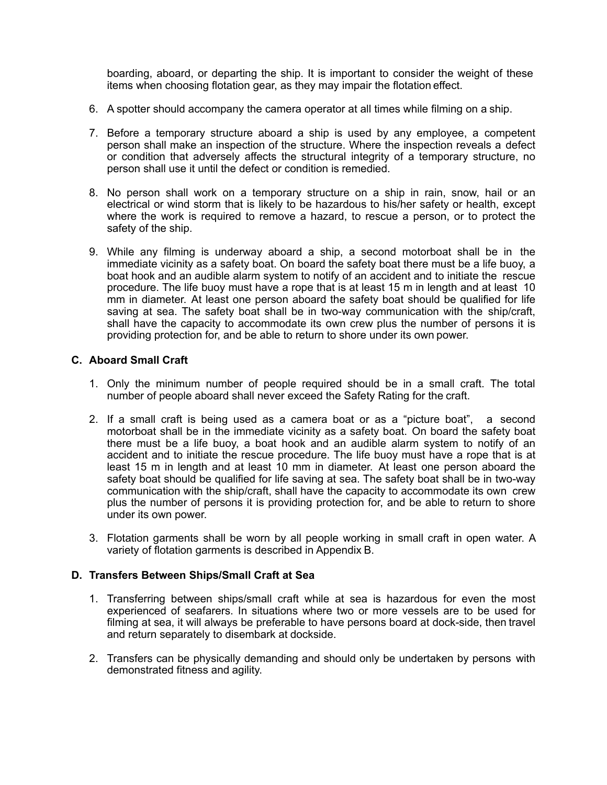boarding, aboard, or departing the ship. It is important to consider the weight of these items when choosing flotation gear, as they may impair the flotation effect.

- 6. A spotter should accompany the camera operator at all times while filming on a ship.
- 7. Before a temporary structure aboard a ship is used by any employee, a competent person shall make an inspection of the structure. Where the inspection reveals a defect or condition that adversely affects the structural integrity of a temporary structure, no person shall use it until the defect or condition is remedied.
- 8. No person shall work on a temporary structure on a ship in rain, snow, hail or an electrical or wind storm that is likely to be hazardous to his/her safety or health, except where the work is required to remove a hazard, to rescue a person, or to protect the safety of the ship.
- 9. While any filming is underway aboard a ship, a second motorboat shall be in the immediate vicinity as a safety boat. On board the safety boat there must be a life buoy, a boat hook and an audible alarm system to notify of an accident and to initiate the rescue procedure. The life buoy must have a rope that is at least 15 m in length and at least 10 mm in diameter. At least one person aboard the safety boat should be qualified for life saving at sea. The safety boat shall be in two-way communication with the ship/craft, shall have the capacity to accommodate its own crew plus the number of persons it is providing protection for, and be able to return to shore under its own power.

### **C. Aboard Small Craft**

- 1. Only the minimum number of people required should be in a small craft. The total number of people aboard shall never exceed the Safety Rating for the craft.
- 2. If a small craft is being used as a camera boat or as a "picture boat", a second motorboat shall be in the immediate vicinity as a safety boat. On board the safety boat there must be a life buoy, a boat hook and an audible alarm system to notify of an accident and to initiate the rescue procedure. The life buoy must have a rope that is at least 15 m in length and at least 10 mm in diameter. At least one person aboard the safety boat should be qualified for life saving at sea. The safety boat shall be in two-way communication with the ship/craft, shall have the capacity to accommodate its own crew plus the number of persons it is providing protection for, and be able to return to shore under its own power.
- 3. Flotation garments shall be worn by all people working in small craft in open water. A variety of flotation garments is described in Appendix B.

#### **D. Transfers Between Ships/Small Craft at Sea**

- 1. Transferring between ships/small craft while at sea is hazardous for even the most experienced of seafarers. In situations where two or more vessels are to be used for filming at sea, it will always be preferable to have persons board at dock-side, then travel and return separately to disembark at dockside.
- 2. Transfers can be physically demanding and should only be undertaken by persons with demonstrated fitness and agility.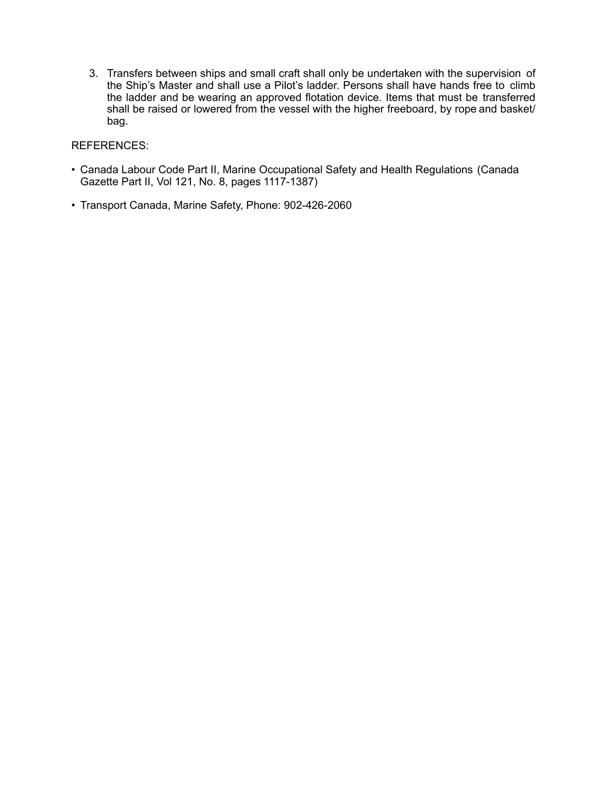3. Transfers between ships and small craft shall only be undertaken with the supervision of the Ship's Master and shall use a Pilot's ladder. Persons shall have hands free to climb the ladder and be wearing an approved flotation device. Items that must be transferred shall be raised or lowered from the vessel with the higher freeboard, by rope and basket/ bag.

### REFERENCES:

- Canada Labour Code Part II, Marine Occupational Safety and Health Regulations (Canada Gazette Part II, Vol 121, No. 8, pages 1117-1387)
- Transport Canada, Marine Safety, Phone: 902-426-2060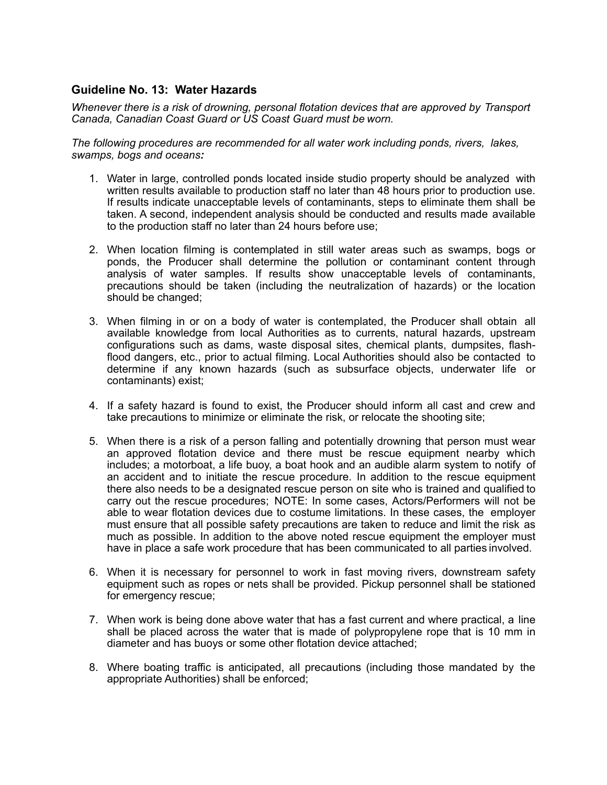# **Guideline No. 13: Water Hazards**

*Whenever there is a risk of drowning, personal flotation devices that are approved by Transport Canada, Canadian Coast Guard or US Coast Guard must be worn.*

*The following procedures are recommended for all water work including ponds, rivers, lakes, swamps, bogs and oceans:*

- 1. Water in large, controlled ponds located inside studio property should be analyzed with written results available to production staff no later than 48 hours prior to production use. If results indicate unacceptable levels of contaminants, steps to eliminate them shall be taken. A second, independent analysis should be conducted and results made available to the production staff no later than 24 hours before use;
- 2. When location filming is contemplated in still water areas such as swamps, bogs or ponds, the Producer shall determine the pollution or contaminant content through analysis of water samples. If results show unacceptable levels of contaminants, precautions should be taken (including the neutralization of hazards) or the location should be changed;
- 3. When filming in or on a body of water is contemplated, the Producer shall obtain all available knowledge from local Authorities as to currents, natural hazards, upstream configurations such as dams, waste disposal sites, chemical plants, dumpsites, flashflood dangers, etc., prior to actual filming. Local Authorities should also be contacted to determine if any known hazards (such as subsurface objects, underwater life or contaminants) exist;
- 4. If a safety hazard is found to exist, the Producer should inform all cast and crew and take precautions to minimize or eliminate the risk, or relocate the shooting site;
- 5. When there is a risk of a person falling and potentially drowning that person must wear an approved flotation device and there must be rescue equipment nearby which includes; a motorboat, a life buoy, a boat hook and an audible alarm system to notify of an accident and to initiate the rescue procedure. In addition to the rescue equipment there also needs to be a designated rescue person on site who is trained and qualified to carry out the rescue procedures; NOTE: In some cases, Actors/Performers will not be able to wear flotation devices due to costume limitations. In these cases, the employer must ensure that all possible safety precautions are taken to reduce and limit the risk as much as possible. In addition to the above noted rescue equipment the employer must have in place a safe work procedure that has been communicated to all parties involved.
- 6. When it is necessary for personnel to work in fast moving rivers, downstream safety equipment such as ropes or nets shall be provided. Pickup personnel shall be stationed for emergency rescue;
- 7. When work is being done above water that has a fast current and where practical, a line shall be placed across the water that is made of polypropylene rope that is 10 mm in diameter and has buoys or some other flotation device attached;
- 8. Where boating traffic is anticipated, all precautions (including those mandated by the appropriate Authorities) shall be enforced;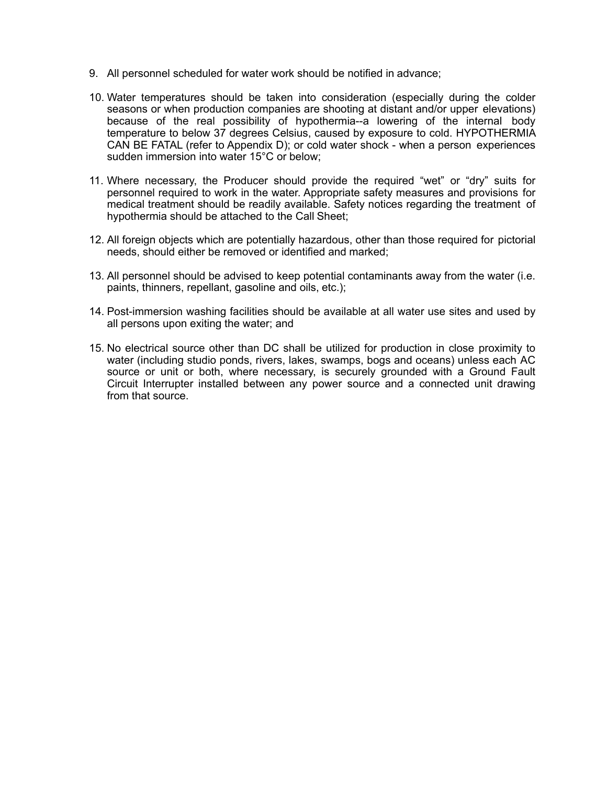- 9. All personnel scheduled for water work should be notified in advance;
- 10. Water temperatures should be taken into consideration (especially during the colder seasons or when production companies are shooting at distant and/or upper elevations) because of the real possibility of hypothermia--a lowering of the internal body temperature to below 37 degrees Celsius, caused by exposure to cold. HYPOTHERMIA CAN BE FATAL (refer to Appendix D); or cold water shock - when a person experiences sudden immersion into water 15°C or below;
- 11. Where necessary, the Producer should provide the required "wet" or "dry" suits for personnel required to work in the water. Appropriate safety measures and provisions for medical treatment should be readily available. Safety notices regarding the treatment of hypothermia should be attached to the Call Sheet;
- 12. All foreign objects which are potentially hazardous, other than those required for pictorial needs, should either be removed or identified and marked;
- 13. All personnel should be advised to keep potential contaminants away from the water (i.e. paints, thinners, repellant, gasoline and oils, etc.);
- 14. Post-immersion washing facilities should be available at all water use sites and used by all persons upon exiting the water; and
- 15. No electrical source other than DC shall be utilized for production in close proximity to water (including studio ponds, rivers, lakes, swamps, bogs and oceans) unless each AC source or unit or both, where necessary, is securely grounded with a Ground Fault Circuit Interrupter installed between any power source and a connected unit drawing from that source.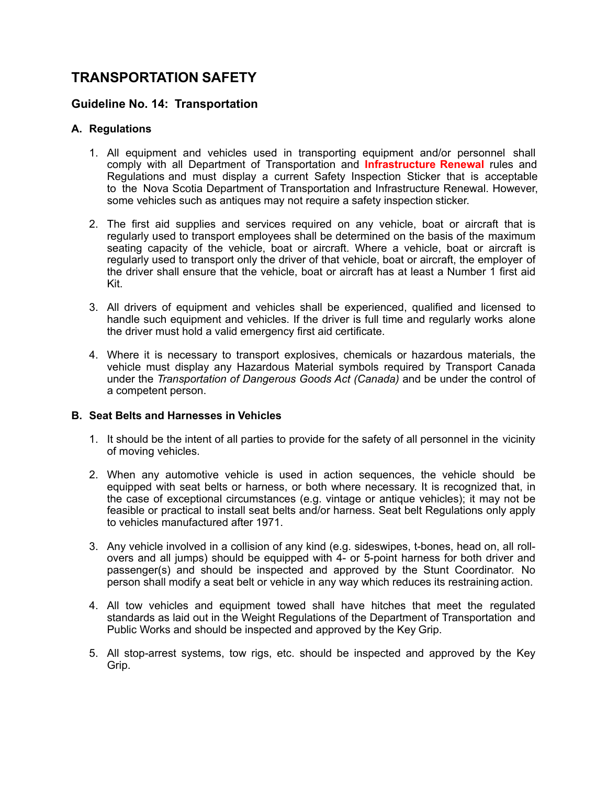# **TRANSPORTATION SAFETY**

# **Guideline No. 14: Transportation**

# **A. Regulations**

- 1. All equipment and vehicles used in transporting equipment and/or personnel shall comply with all Department of Transportation and **Infrastructure Renewal** rules and Regulations and must display a current Safety Inspection Sticker that is acceptable to the Nova Scotia Department of Transportation and Infrastructure Renewal. However, some vehicles such as antiques may not require a safety inspection sticker.
- 2. The first aid supplies and services required on any vehicle, boat or aircraft that is regularly used to transport employees shall be determined on the basis of the maximum seating capacity of the vehicle, boat or aircraft. Where a vehicle, boat or aircraft is regularly used to transport only the driver of that vehicle, boat or aircraft, the employer of the driver shall ensure that the vehicle, boat or aircraft has at least a Number 1 first aid Kit.
- 3. All drivers of equipment and vehicles shall be experienced, qualified and licensed to handle such equipment and vehicles. If the driver is full time and regularly works alone the driver must hold a valid emergency first aid certificate.
- 4. Where it is necessary to transport explosives, chemicals or hazardous materials, the vehicle must display any Hazardous Material symbols required by Transport Canada under the *Transportation of Dangerous Goods Act (Canada)* and be under the control of a competent person.

### **B. Seat Belts and Harnesses in Vehicles**

- 1. It should be the intent of all parties to provide for the safety of all personnel in the vicinity of moving vehicles.
- 2. When any automotive vehicle is used in action sequences, the vehicle should be equipped with seat belts or harness, or both where necessary. It is recognized that, in the case of exceptional circumstances (e.g. vintage or antique vehicles); it may not be feasible or practical to install seat belts and/or harness. Seat belt Regulations only apply to vehicles manufactured after 1971.
- 3. Any vehicle involved in a collision of any kind (e.g. sideswipes, t-bones, head on, all rollovers and all jumps) should be equipped with 4- or 5-point harness for both driver and passenger(s) and should be inspected and approved by the Stunt Coordinator. No person shall modify a seat belt or vehicle in any way which reduces its restraining action.
- 4. All tow vehicles and equipment towed shall have hitches that meet the regulated standards as laid out in the Weight Regulations of the Department of Transportation and Public Works and should be inspected and approved by the Key Grip.
- 5. All stop-arrest systems, tow rigs, etc. should be inspected and approved by the Key Grip.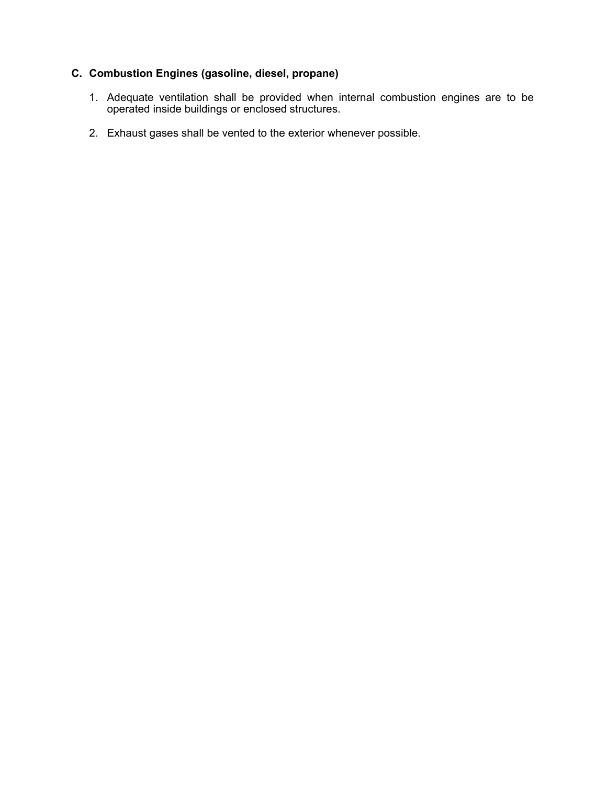# **C. Combustion Engines (gasoline, diesel, propane)**

- 1. Adequate ventilation shall be provided when internal combustion engines are to be operated inside buildings or enclosed structures.
- 2. Exhaust gases shall be vented to the exterior whenever possible.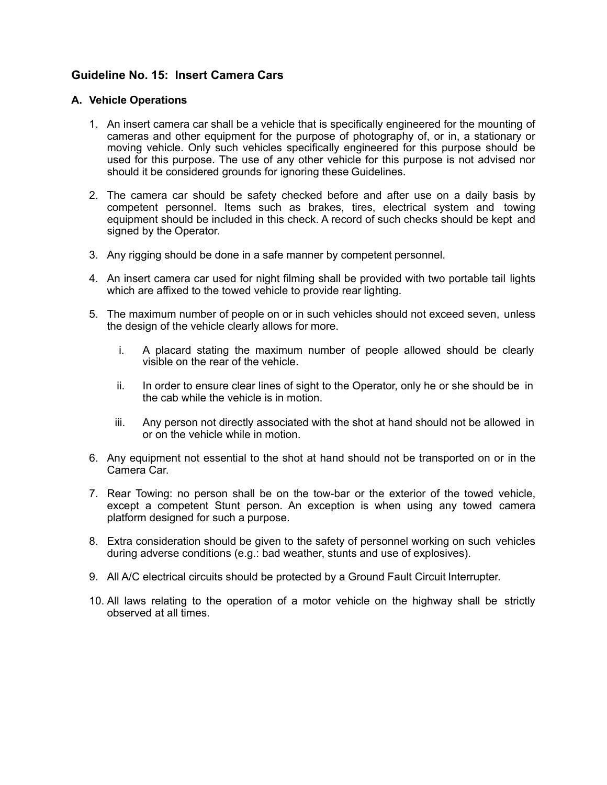# **Guideline No. 15: Insert Camera Cars**

### **A. Vehicle Operations**

- 1. An insert camera car shall be a vehicle that is specifically engineered for the mounting of cameras and other equipment for the purpose of photography of, or in, a stationary or moving vehicle. Only such vehicles specifically engineered for this purpose should be used for this purpose. The use of any other vehicle for this purpose is not advised nor should it be considered grounds for ignoring these Guidelines.
- 2. The camera car should be safety checked before and after use on a daily basis by competent personnel. Items such as brakes, tires, electrical system and towing equipment should be included in this check. A record of such checks should be kept and signed by the Operator.
- 3. Any rigging should be done in a safe manner by competent personnel.
- 4. An insert camera car used for night filming shall be provided with two portable tail lights which are affixed to the towed vehicle to provide rear lighting.
- 5. The maximum number of people on or in such vehicles should not exceed seven, unless the design of the vehicle clearly allows for more.
	- i. A placard stating the maximum number of people allowed should be clearly visible on the rear of the vehicle.
	- ii. In order to ensure clear lines of sight to the Operator, only he or she should be in the cab while the vehicle is in motion.
	- iii. Any person not directly associated with the shot at hand should not be allowed in or on the vehicle while in motion.
- 6. Any equipment not essential to the shot at hand should not be transported on or in the Camera Car.
- 7. Rear Towing: no person shall be on the tow-bar or the exterior of the towed vehicle, except a competent Stunt person. An exception is when using any towed camera platform designed for such a purpose.
- 8. Extra consideration should be given to the safety of personnel working on such vehicles during adverse conditions (e.g.: bad weather, stunts and use of explosives).
- 9. All A/C electrical circuits should be protected by a Ground Fault Circuit Interrupter.
- 10. All laws relating to the operation of a motor vehicle on the highway shall be strictly observed at all times.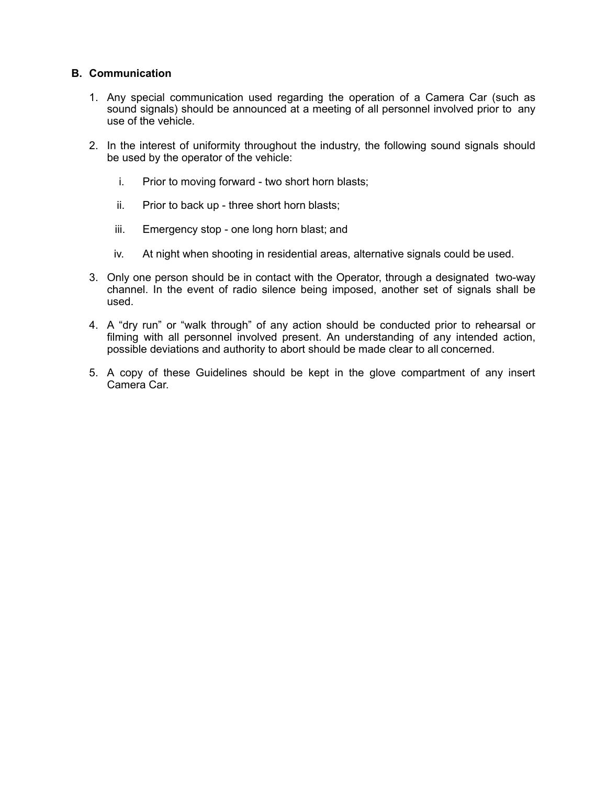### **B. Communication**

- 1. Any special communication used regarding the operation of a Camera Car (such as sound signals) should be announced at a meeting of all personnel involved prior to any use of the vehicle.
- 2. In the interest of uniformity throughout the industry, the following sound signals should be used by the operator of the vehicle:
	- i. Prior to moving forward two short horn blasts;
	- ii. Prior to back up three short horn blasts;
	- iii. Emergency stop one long horn blast; and
	- iv. At night when shooting in residential areas, alternative signals could be used.
- 3. Only one person should be in contact with the Operator, through a designated two-way channel. In the event of radio silence being imposed, another set of signals shall be used.
- 4. A "dry run" or "walk through" of any action should be conducted prior to rehearsal or filming with all personnel involved present. An understanding of any intended action, possible deviations and authority to abort should be made clear to all concerned.
- 5. A copy of these Guidelines should be kept in the glove compartment of any insert Camera Car.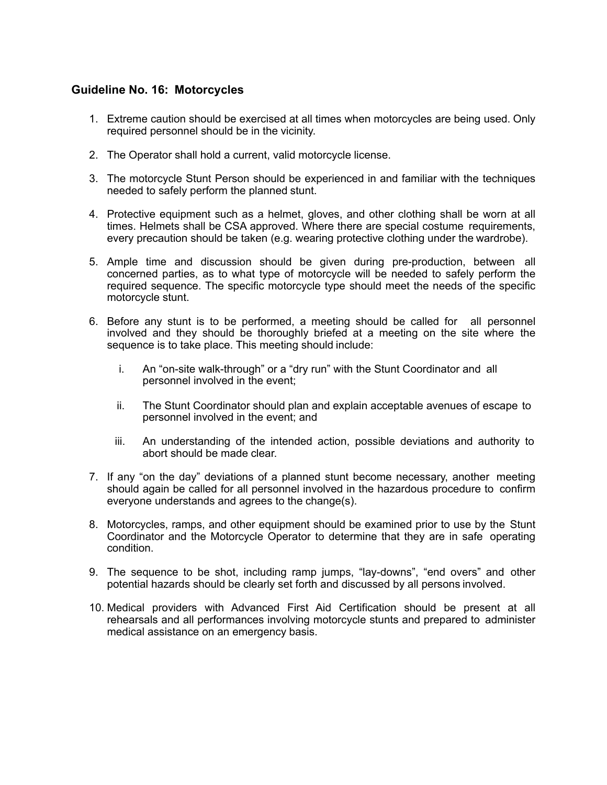# **Guideline No. 16: Motorcycles**

- 1. Extreme caution should be exercised at all times when motorcycles are being used. Only required personnel should be in the vicinity.
- 2. The Operator shall hold a current, valid motorcycle license.
- 3. The motorcycle Stunt Person should be experienced in and familiar with the techniques needed to safely perform the planned stunt.
- 4. Protective equipment such as a helmet, gloves, and other clothing shall be worn at all times. Helmets shall be CSA approved. Where there are special costume requirements, every precaution should be taken (e.g. wearing protective clothing under the wardrobe).
- 5. Ample time and discussion should be given during pre-production, between all concerned parties, as to what type of motorcycle will be needed to safely perform the required sequence. The specific motorcycle type should meet the needs of the specific motorcycle stunt.
- 6. Before any stunt is to be performed, a meeting should be called for all personnel involved and they should be thoroughly briefed at a meeting on the site where the sequence is to take place. This meeting should include:
	- i. An "on-site walk-through" or a "dry run" with the Stunt Coordinator and all personnel involved in the event;
	- ii. The Stunt Coordinator should plan and explain acceptable avenues of escape to personnel involved in the event; and
	- iii. An understanding of the intended action, possible deviations and authority to abort should be made clear.
- 7. If any "on the day" deviations of a planned stunt become necessary, another meeting should again be called for all personnel involved in the hazardous procedure to confirm everyone understands and agrees to the change(s).
- 8. Motorcycles, ramps, and other equipment should be examined prior to use by the Stunt Coordinator and the Motorcycle Operator to determine that they are in safe operating condition.
- 9. The sequence to be shot, including ramp jumps, "lay-downs", "end overs" and other potential hazards should be clearly set forth and discussed by all persons involved.
- 10. Medical providers with Advanced First Aid Certification should be present at all rehearsals and all performances involving motorcycle stunts and prepared to administer medical assistance on an emergency basis.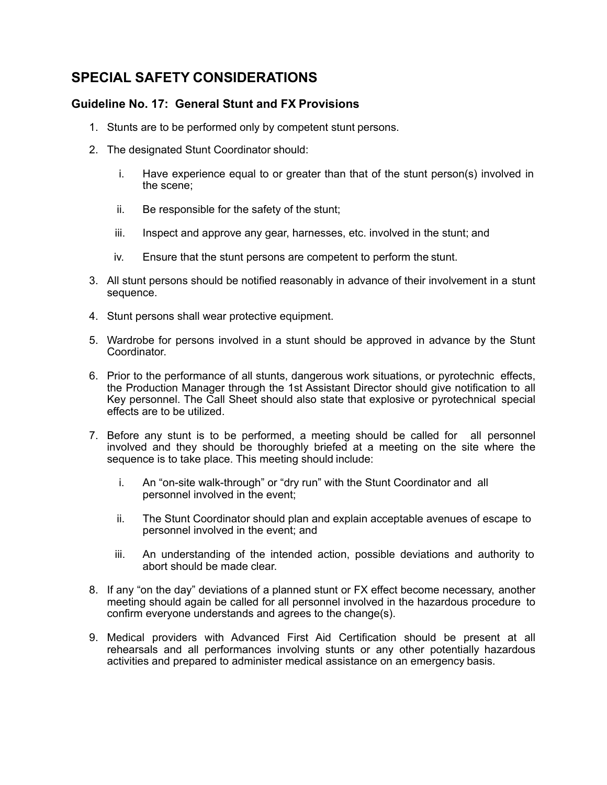# **SPECIAL SAFETY CONSIDERATIONS**

# **Guideline No. 17: General Stunt and FX Provisions**

- 1. Stunts are to be performed only by competent stunt persons.
- 2. The designated Stunt Coordinator should:
	- i. Have experience equal to or greater than that of the stunt person(s) involved in the scene;
	- ii. Be responsible for the safety of the stunt;
	- iii. Inspect and approve any gear, harnesses, etc. involved in the stunt; and
	- iv. Ensure that the stunt persons are competent to perform the stunt.
- 3. All stunt persons should be notified reasonably in advance of their involvement in a stunt sequence.
- 4. Stunt persons shall wear protective equipment.
- 5. Wardrobe for persons involved in a stunt should be approved in advance by the Stunt Coordinator.
- 6. Prior to the performance of all stunts, dangerous work situations, or pyrotechnic effects, the Production Manager through the 1st Assistant Director should give notification to all Key personnel. The Call Sheet should also state that explosive or pyrotechnical special effects are to be utilized.
- 7. Before any stunt is to be performed, a meeting should be called for all personnel involved and they should be thoroughly briefed at a meeting on the site where the sequence is to take place. This meeting should include:
	- i. An "on-site walk-through" or "dry run" with the Stunt Coordinator and all personnel involved in the event;
	- ii. The Stunt Coordinator should plan and explain acceptable avenues of escape to personnel involved in the event; and
	- iii. An understanding of the intended action, possible deviations and authority to abort should be made clear.
- 8. If any "on the day" deviations of a planned stunt or FX effect become necessary, another meeting should again be called for all personnel involved in the hazardous procedure to confirm everyone understands and agrees to the change(s).
- 9. Medical providers with Advanced First Aid Certification should be present at all rehearsals and all performances involving stunts or any other potentially hazardous activities and prepared to administer medical assistance on an emergency basis.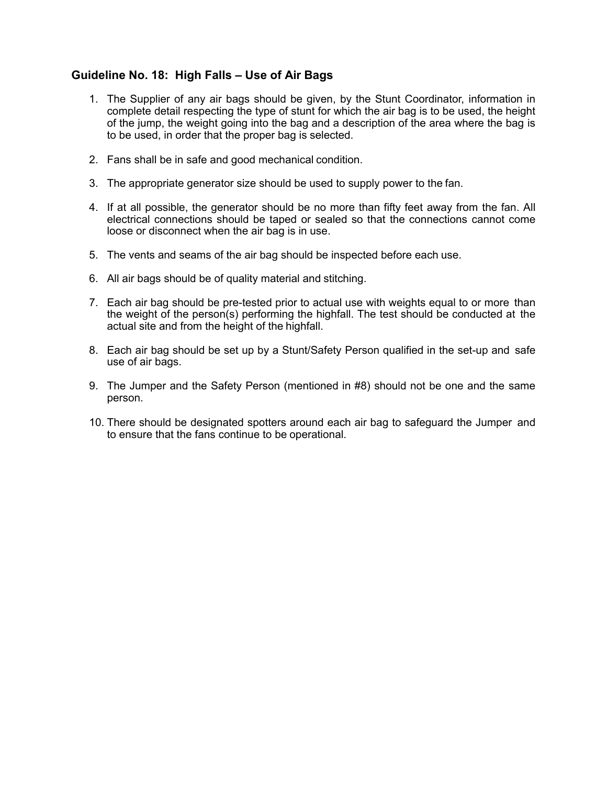# **Guideline No. 18: High Falls – Use of Air Bags**

- 1. The Supplier of any air bags should be given, by the Stunt Coordinator, information in complete detail respecting the type of stunt for which the air bag is to be used, the height of the jump, the weight going into the bag and a description of the area where the bag is to be used, in order that the proper bag is selected.
- 2. Fans shall be in safe and good mechanical condition.
- 3. The appropriate generator size should be used to supply power to the fan.
- 4. If at all possible, the generator should be no more than fifty feet away from the fan. All electrical connections should be taped or sealed so that the connections cannot come loose or disconnect when the air bag is in use.
- 5. The vents and seams of the air bag should be inspected before each use.
- 6. All air bags should be of quality material and stitching.
- 7. Each air bag should be pre-tested prior to actual use with weights equal to or more than the weight of the person(s) performing the highfall. The test should be conducted at the actual site and from the height of the highfall.
- 8. Each air bag should be set up by a Stunt/Safety Person qualified in the set-up and safe use of air bags.
- 9. The Jumper and the Safety Person (mentioned in #8) should not be one and the same person.
- 10. There should be designated spotters around each air bag to safeguard the Jumper and to ensure that the fans continue to be operational.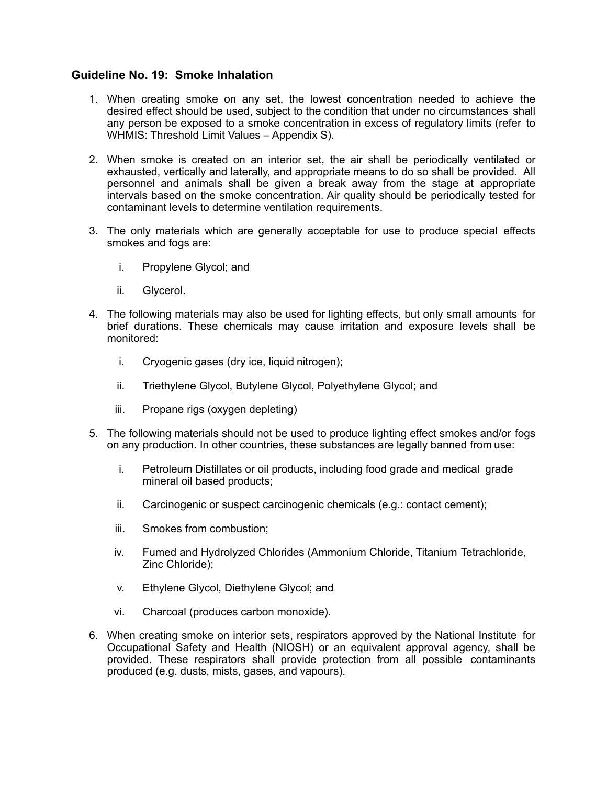# **Guideline No. 19: Smoke Inhalation**

- 1. When creating smoke on any set, the lowest concentration needed to achieve the desired effect should be used, subject to the condition that under no circumstances shall any person be exposed to a smoke concentration in excess of regulatory limits (refer to WHMIS: Threshold Limit Values – Appendix S).
- 2. When smoke is created on an interior set, the air shall be periodically ventilated or exhausted, vertically and laterally, and appropriate means to do so shall be provided. All personnel and animals shall be given a break away from the stage at appropriate intervals based on the smoke concentration. Air quality should be periodically tested for contaminant levels to determine ventilation requirements.
- 3. The only materials which are generally acceptable for use to produce special effects smokes and fogs are:
	- i. Propylene Glycol; and
	- ii. Glycerol.
- 4. The following materials may also be used for lighting effects, but only small amounts for brief durations. These chemicals may cause irritation and exposure levels shall be monitored:
	- i. Cryogenic gases (dry ice, liquid nitrogen);
	- ii. Triethylene Glycol, Butylene Glycol, Polyethylene Glycol; and
	- iii. Propane rigs (oxygen depleting)
- 5. The following materials should not be used to produce lighting effect smokes and/or fogs on any production. In other countries, these substances are legally banned from use:
	- i. Petroleum Distillates or oil products, including food grade and medical grade mineral oil based products;
	- ii. Carcinogenic or suspect carcinogenic chemicals (e.g.: contact cement);
	- iii. Smokes from combustion;
	- iv. Fumed and Hydrolyzed Chlorides (Ammonium Chloride, Titanium Tetrachloride, Zinc Chloride);
	- v. Ethylene Glycol, Diethylene Glycol; and
	- vi. Charcoal (produces carbon monoxide).
- 6. When creating smoke on interior sets, respirators approved by the National Institute for Occupational Safety and Health (NIOSH) or an equivalent approval agency, shall be provided. These respirators shall provide protection from all possible contaminants produced (e.g. dusts, mists, gases, and vapours).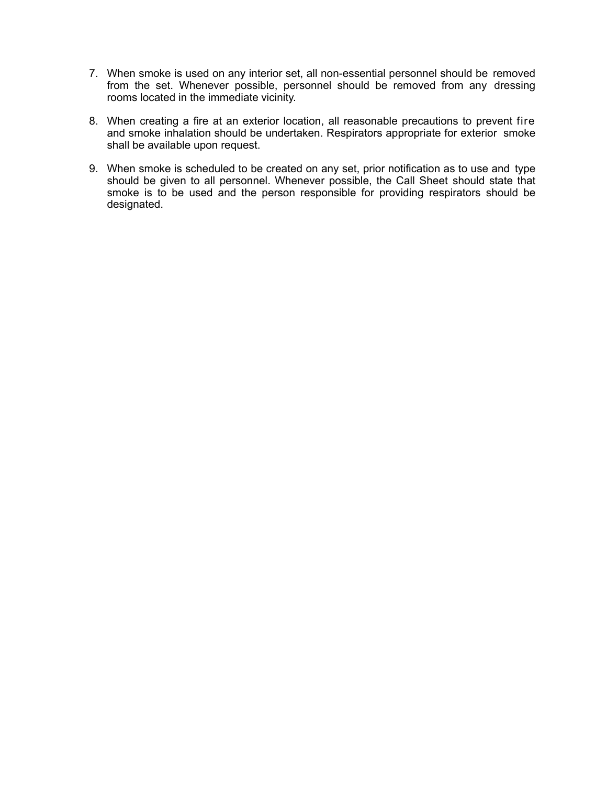- 7. When smoke is used on any interior set, all non-essential personnel should be removed from the set. Whenever possible, personnel should be removed from any dressing rooms located in the immediate vicinity.
- 8. When creating a fire at an exterior location, all reasonable precautions to prevent fire and smoke inhalation should be undertaken. Respirators appropriate for exterior smoke shall be available upon request.
- 9. When smoke is scheduled to be created on any set, prior notification as to use and type should be given to all personnel. Whenever possible, the Call Sheet should state that smoke is to be used and the person responsible for providing respirators should be designated.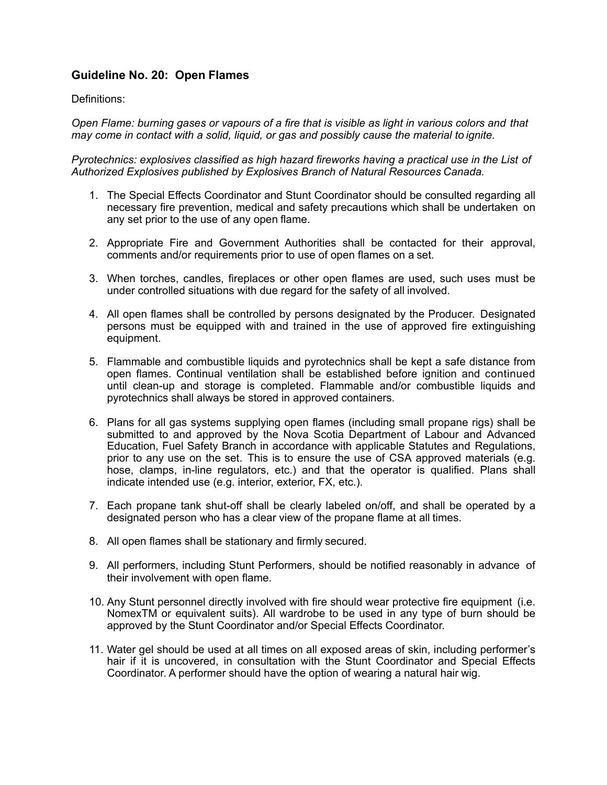# **Guideline No. 20: Open Flames**

### Definitions:

*Open Flame: burning gases or vapours of a fire that is visible as light in various colors and that may come in contact with a solid, liquid, or gas and possibly cause the material to ignite.* 

*Pyrotechnics: explosives classified as high hazard fireworks having a practical use in the List of Authorized Explosives published by Explosives Branch of Natural Resources Canada.*

- 1. The Special Effects Coordinator and Stunt Coordinator should be consulted regarding all necessary fire prevention, medical and safety precautions which shall be undertaken on any set prior to the use of any open flame.
- 2. Appropriate Fire and Government Authorities shall be contacted for their approval, comments and/or requirements prior to use of open flames on a set.
- 3. When torches, candles, fireplaces or other open flames are used, such uses must be under controlled situations with due regard for the safety of all involved.
- 4. All open flames shall be controlled by persons designated by the Producer. Designated persons must be equipped with and trained in the use of approved fire extinguishing equipment.
- 5. Flammable and combustible liquids and pyrotechnics shall be kept a safe distance from open flames. Continual ventilation shall be established before ignition and continued until clean-up and storage is completed. Flammable and/or combustible liquids and pyrotechnics shall always be stored in approved containers.
- 6. Plans for all gas systems supplying open flames (including small propane rigs) shall be submitted to and approved by the Nova Scotia Department of Labour and Advanced Education, Fuel Safety Branch in accordance with applicable Statutes and Regulations, prior to any use on the set. This is to ensure the use of CSA approved materials (e.g. hose, clamps, in-line regulators, etc.) and that the operator is qualified. Plans shall indicate intended use (e.g. interior, exterior, FX, etc.).
- 7. Each propane tank shut-off shall be clearly labeled on/off, and shall be operated by a designated person who has a clear view of the propane flame at all times.
- 8. All open flames shall be stationary and firmly secured.
- 9. All performers, including Stunt Performers, should be notified reasonably in advance of their involvement with open flame.
- 10. Any Stunt personnel directly involved with fire should wear protective fire equipment (i.e. NomexTM or equivalent suits). All wardrobe to be used in any type of burn should be approved by the Stunt Coordinator and/or Special Effects Coordinator.
- 11. Water gel should be used at all times on all exposed areas of skin, including performer's hair if it is uncovered, in consultation with the Stunt Coordinator and Special Effects Coordinator. A performer should have the option of wearing a natural hair wig.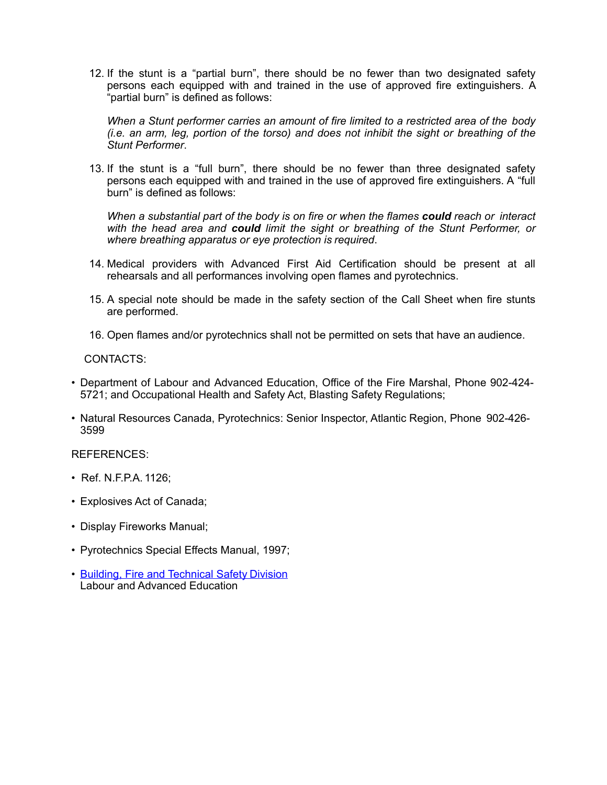12. If the stunt is a "partial burn", there should be no fewer than two designated safety persons each equipped with and trained in the use of approved fire extinguishers. A "partial burn" is defined as follows:

*When a Stunt performer carries an amount of fire limited to a restricted area of the body (i.e. an arm, leg, portion of the torso) and does not inhibit the sight or breathing of the Stunt Performer*.

13. If the stunt is a "full burn", there should be no fewer than three designated safety persons each equipped with and trained in the use of approved fire extinguishers. A "full burn" is defined as follows:

*When a substantial part of the body is on fire or when the flames could reach or interact with the head area and could limit the sight or breathing of the Stunt Performer, or where breathing apparatus or eye protection is required*.

- 14. Medical providers with Advanced First Aid Certification should be present at all rehearsals and all performances involving open flames and pyrotechnics.
- 15. A special note should be made in the safety section of the Call Sheet when fire stunts are performed.
- 16. Open flames and/or pyrotechnics shall not be permitted on sets that have an audience.

CONTACTS:

- Department of Labour and Advanced Education, Office of the Fire Marshal, Phone 902-424- 5721; and Occupational Health and Safety Act, Blasting Safety Regulations;
- Natural Resources Canada, Pyrotechnics: Senior Inspector, Atlantic Region, Phone 902-426- 3599

REFERENCES:

- Ref. N.F.P.A. 1126;
- Explosives Act of Canada;
- Display Fireworks Manual;
- Pyrotechnics Special Effects Manual, 1997;
- [Building, Fire and Technical Safety](http://novascotia.ca/lae/fuelsafety/) Division Labour and Advanced Education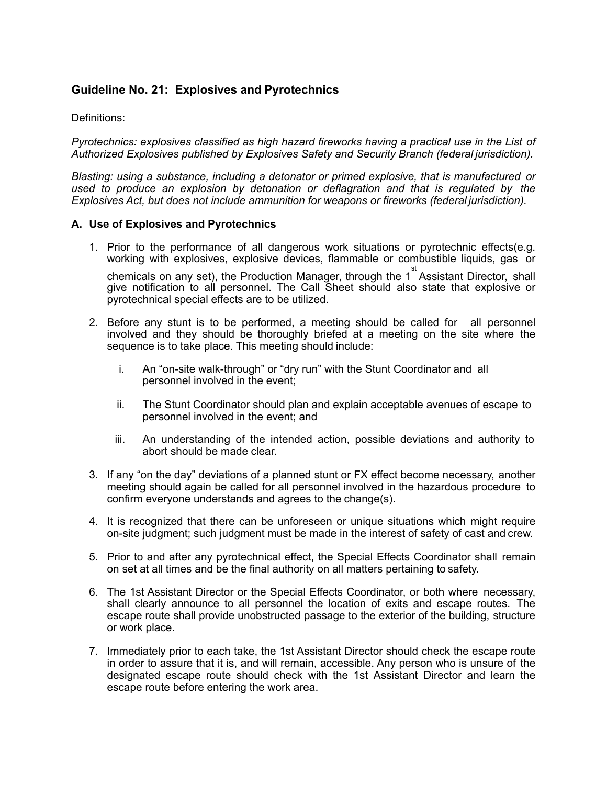# **Guideline No. 21: Explosives and Pyrotechnics**

### Definitions:

*Pyrotechnics: explosives classified as high hazard fireworks having a practical use in the List of Authorized Explosives published by Explosives Safety and Security Branch (federal jurisdiction).*

*Blasting: using a substance, including a detonator or primed explosive, that is manufactured or used to produce an explosion by detonation or deflagration and that is regulated by the Explosives Act, but does not include ammunition for weapons or fireworks (federal jurisdiction).* 

#### **A. Use of Explosives and Pyrotechnics**

1. Prior to the performance of all dangerous work situations or pyrotechnic effects(e.g. working with explosives, explosive devices, flammable or combustible liquids, gas or

chemicals on any set), the Production Manager, through the 1<sup>st</sup> Assistant Director, shall give notification to all personnel. The Call Sheet should also state that explosive or pyrotechnical special effects are to be utilized.

- 2. Before any stunt is to be performed, a meeting should be called for all personnel involved and they should be thoroughly briefed at a meeting on the site where the sequence is to take place. This meeting should include:
	- i. An "on-site walk-through" or "dry run" with the Stunt Coordinator and all personnel involved in the event;
	- ii. The Stunt Coordinator should plan and explain acceptable avenues of escape to personnel involved in the event; and
	- iii. An understanding of the intended action, possible deviations and authority to abort should be made clear.
- 3. If any "on the day" deviations of a planned stunt or FX effect become necessary, another meeting should again be called for all personnel involved in the hazardous procedure to confirm everyone understands and agrees to the change(s).
- 4. It is recognized that there can be unforeseen or unique situations which might require on-site judgment; such judgment must be made in the interest of safety of cast and crew.
- 5. Prior to and after any pyrotechnical effect, the Special Effects Coordinator shall remain on set at all times and be the final authority on all matters pertaining to safety.
- 6. The 1st Assistant Director or the Special Effects Coordinator, or both where necessary, shall clearly announce to all personnel the location of exits and escape routes. The escape route shall provide unobstructed passage to the exterior of the building, structure or work place.
- 7. Immediately prior to each take, the 1st Assistant Director should check the escape route in order to assure that it is, and will remain, accessible. Any person who is unsure of the designated escape route should check with the 1st Assistant Director and learn the escape route before entering the work area.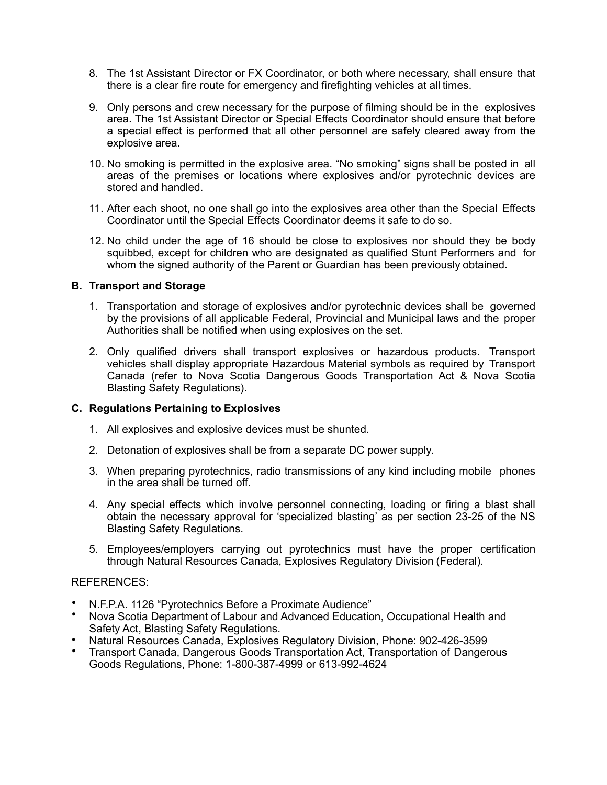- 8. The 1st Assistant Director or FX Coordinator, or both where necessary, shall ensure that there is a clear fire route for emergency and firefighting vehicles at all times.
- 9. Only persons and crew necessary for the purpose of filming should be in the explosives area. The 1st Assistant Director or Special Effects Coordinator should ensure that before a special effect is performed that all other personnel are safely cleared away from the explosive area.
- 10. No smoking is permitted in the explosive area. "No smoking" signs shall be posted in all areas of the premises or locations where explosives and/or pyrotechnic devices are stored and handled.
- 11. After each shoot, no one shall go into the explosives area other than the Special Effects Coordinator until the Special Effects Coordinator deems it safe to do so.
- 12. No child under the age of 16 should be close to explosives nor should they be body squibbed, except for children who are designated as qualified Stunt Performers and for whom the signed authority of the Parent or Guardian has been previously obtained.

### **B. Transport and Storage**

- 1. Transportation and storage of explosives and/or pyrotechnic devices shall be governed by the provisions of all applicable Federal, Provincial and Municipal laws and the proper Authorities shall be notified when using explosives on the set.
- 2. Only qualified drivers shall transport explosives or hazardous products. Transport vehicles shall display appropriate Hazardous Material symbols as required by Transport Canada (refer to Nova Scotia Dangerous Goods Transportation Act & Nova Scotia Blasting Safety Regulations).

#### **C. Regulations Pertaining to Explosives**

- 1. All explosives and explosive devices must be shunted.
- 2. Detonation of explosives shall be from a separate DC power supply.
- 3. When preparing pyrotechnics, radio transmissions of any kind including mobile phones in the area shall be turned off.
- 4. Any special effects which involve personnel connecting, loading or firing a blast shall obtain the necessary approval for 'specialized blasting' as per section 23-25 of the NS Blasting Safety Regulations.
- 5. Employees/employers carrying out pyrotechnics must have the proper certification through Natural Resources Canada, Explosives Regulatory Division (Federal).

#### REFERENCES:

- N.F.P.A. 1126 "Pyrotechnics Before a Proximate Audience"
- Nova Scotia Department of Labour and Advanced Education, Occupational Health and Safety Act, Blasting Safety Regulations.
- Natural Resources Canada, Explosives Regulatory Division, Phone: 902-426-3599
- Transport Canada, Dangerous Goods Transportation Act, Transportation of Dangerous Goods Regulations, Phone: 1-800-387-4999 or 613-992-4624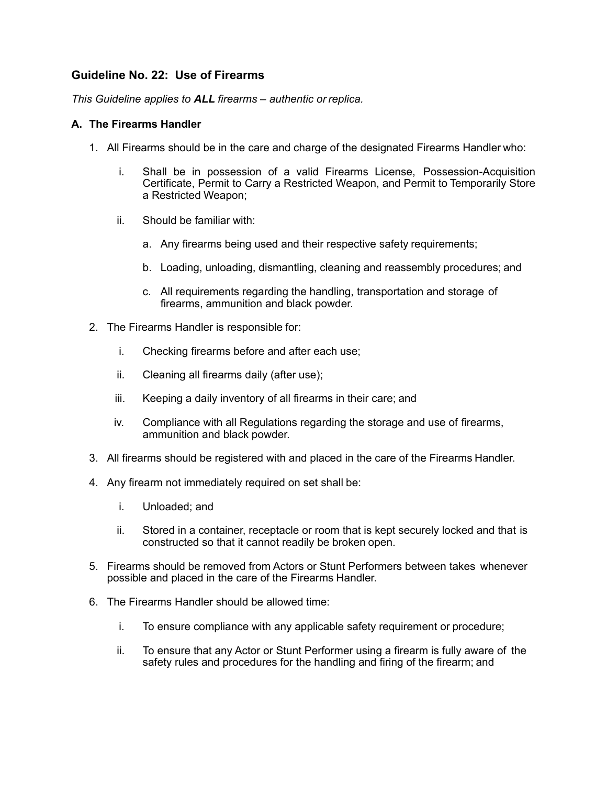# **Guideline No. 22: Use of Firearms**

*This Guideline applies to ALL firearms – authentic or replica.*

### **A. The Firearms Handler**

- 1. All Firearms should be in the care and charge of the designated Firearms Handler who:
	- i. Shall be in possession of a valid Firearms License, Possession-Acquisition Certificate, Permit to Carry a Restricted Weapon, and Permit to Temporarily Store a Restricted Weapon;
	- ii. Should be familiar with:
		- a. Any firearms being used and their respective safety requirements;
		- b. Loading, unloading, dismantling, cleaning and reassembly procedures; and
		- c. All requirements regarding the handling, transportation and storage of firearms, ammunition and black powder.
- 2. The Firearms Handler is responsible for:
	- i. Checking firearms before and after each use;
	- ii. Cleaning all firearms daily (after use);
	- iii. Keeping a daily inventory of all firearms in their care; and
	- iv. Compliance with all Regulations regarding the storage and use of firearms, ammunition and black powder.
- 3. All firearms should be registered with and placed in the care of the Firearms Handler.
- 4. Any firearm not immediately required on set shall be:
	- i. Unloaded; and
	- ii. Stored in a container, receptacle or room that is kept securely locked and that is constructed so that it cannot readily be broken open.
- 5. Firearms should be removed from Actors or Stunt Performers between takes whenever possible and placed in the care of the Firearms Handler.
- 6. The Firearms Handler should be allowed time:
	- i. To ensure compliance with any applicable safety requirement or procedure;
	- ii. To ensure that any Actor or Stunt Performer using a firearm is fully aware of the safety rules and procedures for the handling and firing of the firearm; and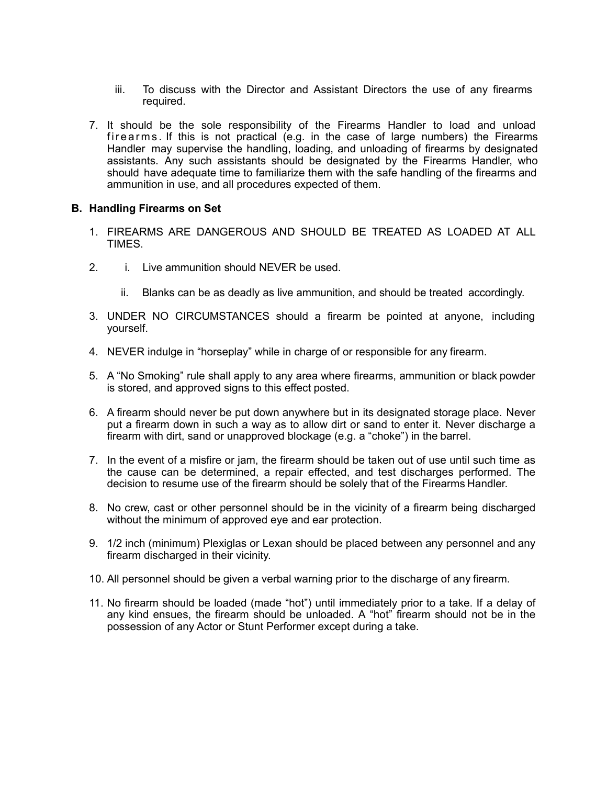- iii. To discuss with the Director and Assistant Directors the use of any firearms required.
- 7. It should be the sole responsibility of the Firearms Handler to load and unload firearms . If this is not practical (e.g. in the case of large numbers) the Firearms Handler may supervise the handling, loading, and unloading of firearms by designated assistants. Any such assistants should be designated by the Firearms Handler, who should have adequate time to familiarize them with the safe handling of the firearms and ammunition in use, and all procedures expected of them.

#### **B. Handling Firearms on Set**

- 1. FIREARMS ARE DANGEROUS AND SHOULD BE TREATED AS LOADED AT ALL **TIMES**
- 2. i. Live ammunition should NEVER be used.
	- ii. Blanks can be as deadly as live ammunition, and should be treated accordingly.
- 3. UNDER NO CIRCUMSTANCES should a firearm be pointed at anyone, including yourself.
- 4. NEVER indulge in "horseplay" while in charge of or responsible for any firearm.
- 5. A "No Smoking" rule shall apply to any area where firearms, ammunition or black powder is stored, and approved signs to this effect posted.
- 6. A firearm should never be put down anywhere but in its designated storage place. Never put a firearm down in such a way as to allow dirt or sand to enter it. Never discharge a firearm with dirt, sand or unapproved blockage (e.g. a "choke") in the barrel.
- 7. In the event of a misfire or jam, the firearm should be taken out of use until such time as the cause can be determined, a repair effected, and test discharges performed. The decision to resume use of the firearm should be solely that of the Firearms Handler.
- 8. No crew, cast or other personnel should be in the vicinity of a firearm being discharged without the minimum of approved eye and ear protection.
- 9. 1/2 inch (minimum) Plexiglas or Lexan should be placed between any personnel and any firearm discharged in their vicinity.
- 10. All personnel should be given a verbal warning prior to the discharge of any firearm.
- 11. No firearm should be loaded (made "hot") until immediately prior to a take. If a delay of any kind ensues, the firearm should be unloaded. A "hot" firearm should not be in the possession of any Actor or Stunt Performer except during a take.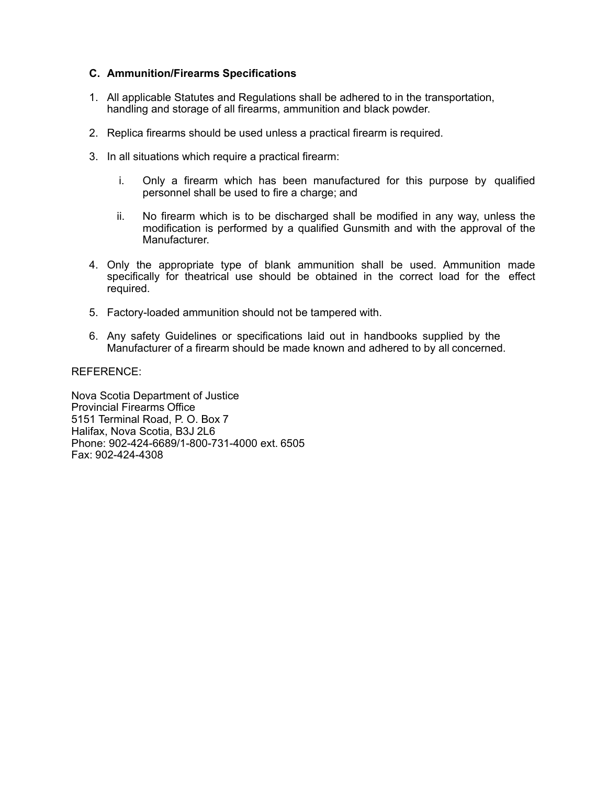### **C. Ammunition/Firearms Specifications**

- 1. All applicable Statutes and Regulations shall be adhered to in the transportation, handling and storage of all firearms, ammunition and black powder.
- 2. Replica firearms should be used unless a practical firearm is required.
- 3. In all situations which require a practical firearm:
	- i. Only a firearm which has been manufactured for this purpose by qualified personnel shall be used to fire a charge; and
	- ii. No firearm which is to be discharged shall be modified in any way, unless the modification is performed by a qualified Gunsmith and with the approval of the Manufacturer.
- 4. Only the appropriate type of blank ammunition shall be used. Ammunition made specifically for theatrical use should be obtained in the correct load for the effect required.
- 5. Factory-loaded ammunition should not be tampered with.
- 6. Any safety Guidelines or specifications laid out in handbooks supplied by the Manufacturer of a firearm should be made known and adhered to by all concerned.

#### REFERENCE:

Nova Scotia Department of Justice Provincial Firearms Office 5151 Terminal Road, P. O. Box 7 Halifax, Nova Scotia, B3J 2L6 Phone: 902-424-6689/1-800-731-4000 ext. 6505 Fax: 902-424-4308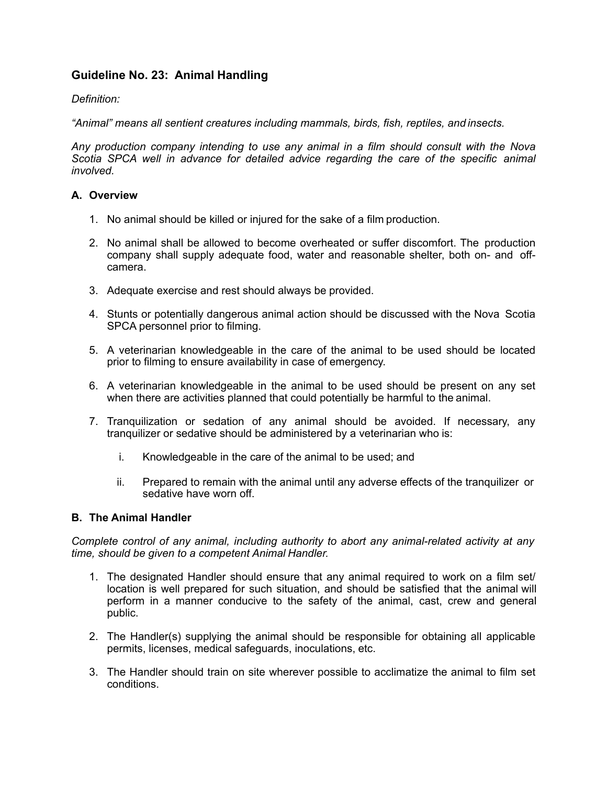# **Guideline No. 23: Animal Handling**

## *Definition:*

*"Animal" means all sentient creatures including mammals, birds, fish, reptiles, and insects.*

*Any production company intending to use any animal in a film should consult with the Nova*  Scotia SPCA well in advance for detailed advice regarding the care of the specific animal *involved.*

### **A. Overview**

- 1. No animal should be killed or injured for the sake of a film production.
- 2. No animal shall be allowed to become overheated or suffer discomfort. The production company shall supply adequate food, water and reasonable shelter, both on- and offcamera.
- 3. Adequate exercise and rest should always be provided.
- 4. Stunts or potentially dangerous animal action should be discussed with the Nova Scotia SPCA personnel prior to filming.
- 5. A veterinarian knowledgeable in the care of the animal to be used should be located prior to filming to ensure availability in case of emergency.
- 6. A veterinarian knowledgeable in the animal to be used should be present on any set when there are activities planned that could potentially be harmful to the animal.
- 7. Tranquilization or sedation of any animal should be avoided. If necessary, any tranquilizer or sedative should be administered by a veterinarian who is:
	- i. Knowledgeable in the care of the animal to be used; and
	- ii. Prepared to remain with the animal until any adverse effects of the tranquilizer or sedative have worn off.

#### **B. The Animal Handler**

*Complete control of any animal, including authority to abort any animal-related activity at any time, should be given to a competent Animal Handler.*

- 1. The designated Handler should ensure that any animal required to work on a film set/ location is well prepared for such situation, and should be satisfied that the animal will perform in a manner conducive to the safety of the animal, cast, crew and general public.
- 2. The Handler(s) supplying the animal should be responsible for obtaining all applicable permits, licenses, medical safeguards, inoculations, etc.
- 3. The Handler should train on site wherever possible to acclimatize the animal to film set conditions.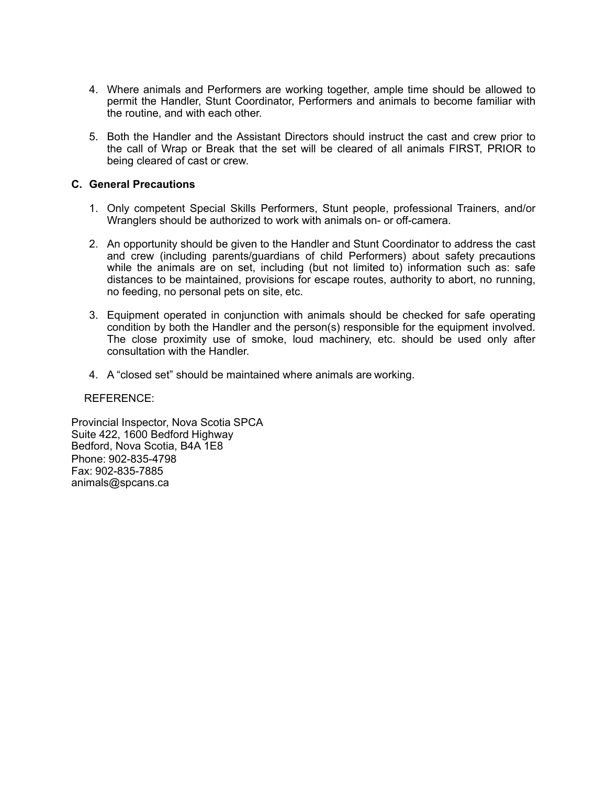- 4. Where animals and Performers are working together, ample time should be allowed to permit the Handler, Stunt Coordinator, Performers and animals to become familiar with the routine, and with each other.
- 5. Both the Handler and the Assistant Directors should instruct the cast and crew prior to the call of Wrap or Break that the set will be cleared of all animals FIRST, PRIOR to being cleared of cast or crew.

#### **C. General Precautions**

- 1. Only competent Special Skills Performers, Stunt people, professional Trainers, and/or Wranglers should be authorized to work with animals on- or off-camera.
- 2. An opportunity should be given to the Handler and Stunt Coordinator to address the cast and crew (including parents/guardians of child Performers) about safety precautions while the animals are on set, including (but not limited to) information such as: safe distances to be maintained, provisions for escape routes, authority to abort, no running, no feeding, no personal pets on site, etc.
- 3. Equipment operated in conjunction with animals should be checked for safe operating condition by both the Handler and the person(s) responsible for the equipment involved. The close proximity use of smoke, loud machinery, etc. should be used only after consultation with the Handler.
- 4. A "closed set" should be maintained where animals are working.

REFERENCE:

Provincial Inspector, Nova Scotia SPCA Suite 422, 1600 Bedford Highway Bedford, Nova Scotia, B4A 1E8 Phone: 902-835-4798 Fax: 902-835-7885 [animals@spcans.ca](mailto:animals@spcans.ca)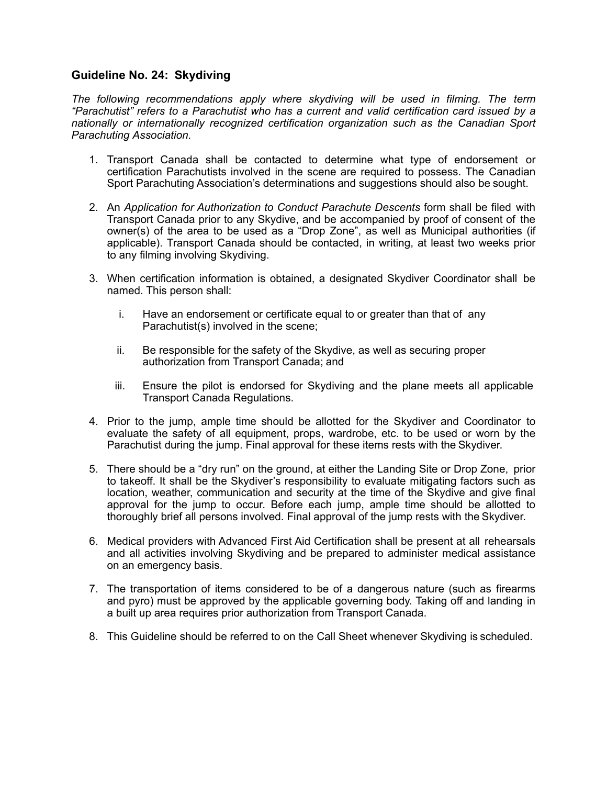# **Guideline No. 24: Skydiving**

*The following recommendations apply where skydiving will be used in filming. The term "Parachutist" refers to a Parachutist who has a current and valid certification card issued by a nationally or internationally recognized certification organization such as the Canadian Sport Parachuting Association.*

- 1. Transport Canada shall be contacted to determine what type of endorsement or certification Parachutists involved in the scene are required to possess. The Canadian Sport Parachuting Association's determinations and suggestions should also be sought.
- 2. An *Application for Authorization to Conduct Parachute Descents* form shall be filed with Transport Canada prior to any Skydive, and be accompanied by proof of consent of the owner(s) of the area to be used as a "Drop Zone", as well as Municipal authorities (if applicable). Transport Canada should be contacted, in writing, at least two weeks prior to any filming involving Skydiving.
- 3. When certification information is obtained, a designated Skydiver Coordinator shall be named. This person shall:
	- i. Have an endorsement or certificate equal to or greater than that of any Parachutist(s) involved in the scene;
	- ii. Be responsible for the safety of the Skydive, as well as securing proper authorization from Transport Canada; and
	- iii. Ensure the pilot is endorsed for Skydiving and the plane meets all applicable Transport Canada Regulations.
- 4. Prior to the jump, ample time should be allotted for the Skydiver and Coordinator to evaluate the safety of all equipment, props, wardrobe, etc. to be used or worn by the Parachutist during the jump. Final approval for these items rests with the Skydiver.
- 5. There should be a "dry run" on the ground, at either the Landing Site or Drop Zone, prior to takeoff. It shall be the Skydiver's responsibility to evaluate mitigating factors such as location, weather, communication and security at the time of the Skydive and give final approval for the jump to occur. Before each jump, ample time should be allotted to thoroughly brief all persons involved. Final approval of the jump rests with the Skydiver.
- 6. Medical providers with Advanced First Aid Certification shall be present at all rehearsals and all activities involving Skydiving and be prepared to administer medical assistance on an emergency basis.
- 7. The transportation of items considered to be of a dangerous nature (such as firearms and pyro) must be approved by the applicable governing body. Taking off and landing in a built up area requires prior authorization from Transport Canada.
- 8. This Guideline should be referred to on the Call Sheet whenever Skydiving is scheduled.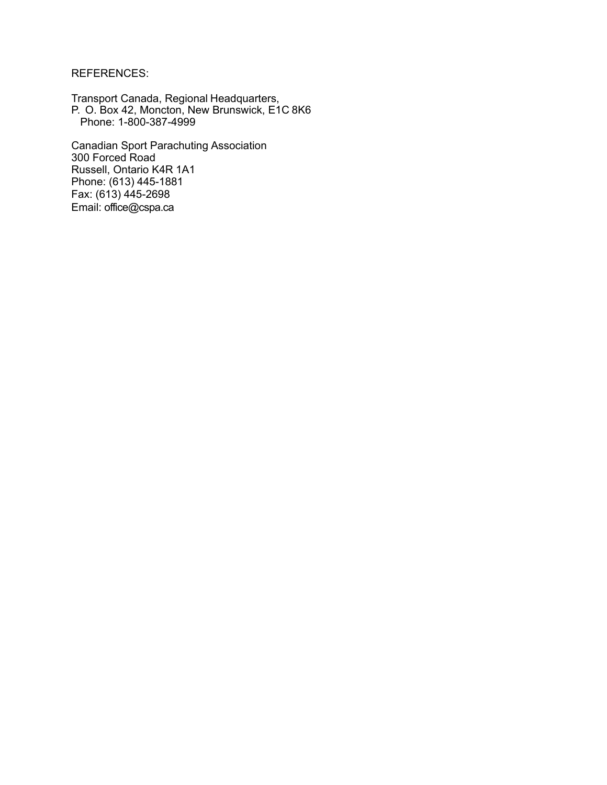REFERENCES:

Transport Canada, Regional Headquarters, P. O. Box 42, Moncton, New Brunswick, E1C 8K6 Phone: 1-800-387-4999

Canadian Sport Parachuting Association 300 Forced Road Russell, Ontario K4R 1A1 Phone: (613) 445-1881 Fax: (613) 445-2698 Email: [office@cspa.ca](mailto:office@cspa.ca)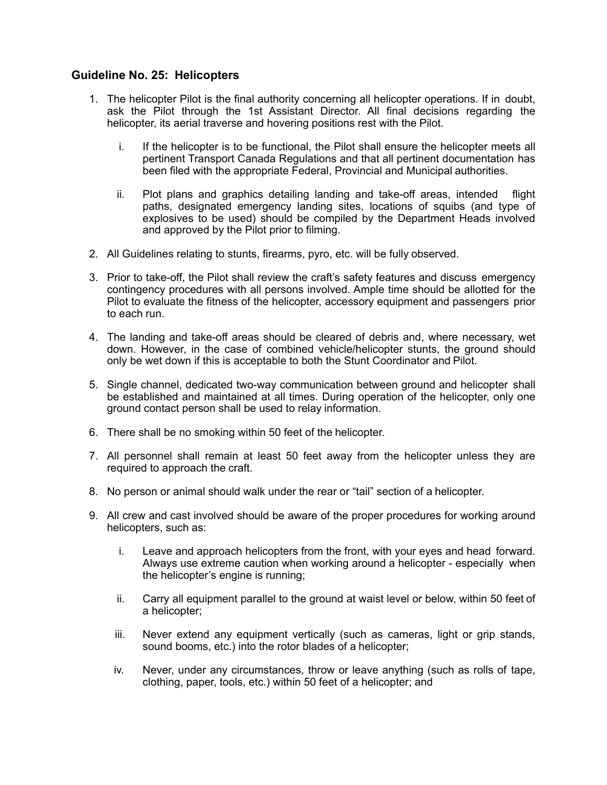# **Guideline No. 25: Helicopters**

- 1. The helicopter Pilot is the final authority concerning all helicopter operations. If in doubt, ask the Pilot through the 1st Assistant Director. All final decisions regarding the helicopter, its aerial traverse and hovering positions rest with the Pilot.
	- i. If the helicopter is to be functional, the Pilot shall ensure the helicopter meets all pertinent Transport Canada Regulations and that all pertinent documentation has been filed with the appropriate Federal, Provincial and Municipal authorities.
	- ii. Plot plans and graphics detailing landing and take-off areas, intended flight paths, designated emergency landing sites, locations of squibs (and type of explosives to be used) should be compiled by the Department Heads involved and approved by the Pilot prior to filming.
- 2. All Guidelines relating to stunts, firearms, pyro, etc. will be fully observed.
- 3. Prior to take-off, the Pilot shall review the craft's safety features and discuss emergency contingency procedures with all persons involved. Ample time should be allotted for the Pilot to evaluate the fitness of the helicopter, accessory equipment and passengers prior to each run.
- 4. The landing and take-off areas should be cleared of debris and, where necessary, wet down. However, in the case of combined vehicle/helicopter stunts, the ground should only be wet down if this is acceptable to both the Stunt Coordinator and Pilot.
- 5. Single channel, dedicated two-way communication between ground and helicopter shall be established and maintained at all times. During operation of the helicopter, only one ground contact person shall be used to relay information.
- 6. There shall be no smoking within 50 feet of the helicopter.
- 7. All personnel shall remain at least 50 feet away from the helicopter unless they are required to approach the craft.
- 8. No person or animal should walk under the rear or "tail" section of a helicopter.
- 9. All crew and cast involved should be aware of the proper procedures for working around helicopters, such as:
	- i. Leave and approach helicopters from the front, with your eyes and head forward. Always use extreme caution when working around a helicopter - especially when the helicopter's engine is running;
	- ii. Carry all equipment parallel to the ground at waist level or below, within 50 feet of a helicopter;
	- iii. Never extend any equipment vertically (such as cameras, light or grip stands, sound booms, etc.) into the rotor blades of a helicopter;
	- iv. Never, under any circumstances, throw or leave anything (such as rolls of tape, clothing, paper, tools, etc.) within 50 feet of a helicopter; and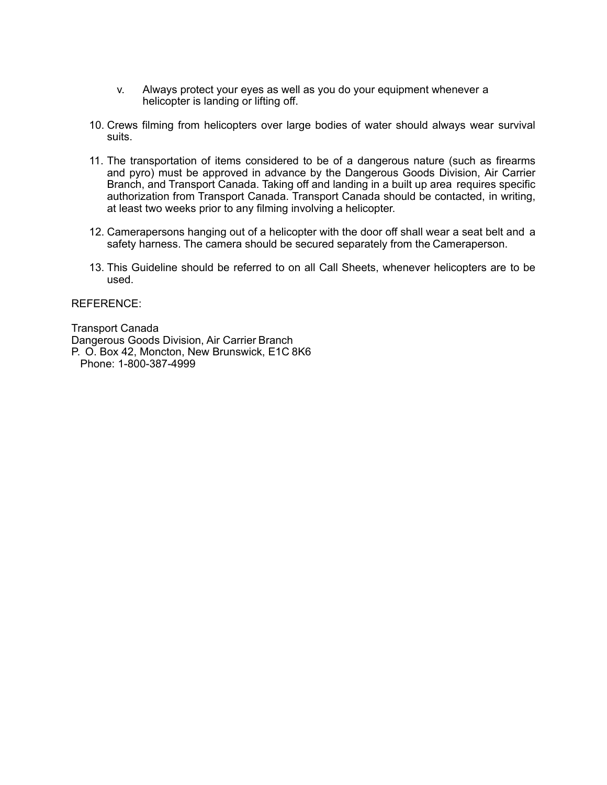- v. Always protect your eyes as well as you do your equipment whenever a helicopter is landing or lifting off.
- 10. Crews filming from helicopters over large bodies of water should always wear survival suits.
- 11. The transportation of items considered to be of a dangerous nature (such as firearms and pyro) must be approved in advance by the Dangerous Goods Division, Air Carrier Branch, and Transport Canada. Taking off and landing in a built up area requires specific authorization from Transport Canada. Transport Canada should be contacted, in writing, at least two weeks prior to any filming involving a helicopter.
- 12. Camerapersons hanging out of a helicopter with the door off shall wear a seat belt and a safety harness. The camera should be secured separately from the Cameraperson.
- 13. This Guideline should be referred to on all Call Sheets, whenever helicopters are to be used.

REFERENCE:

Transport Canada Dangerous Goods Division, Air Carrier Branch P. O. Box 42, Moncton, New Brunswick, E1C 8K6 Phone: 1-800-387-4999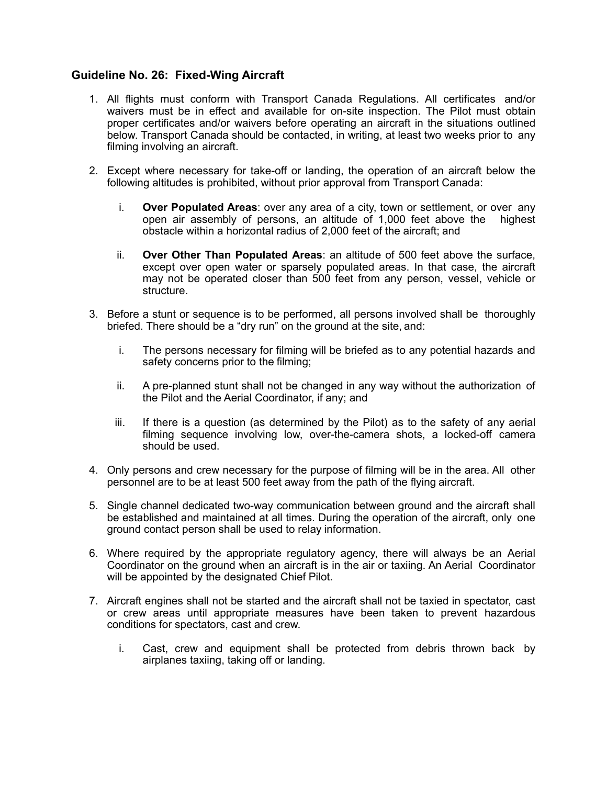# **Guideline No. 26: Fixed-Wing Aircraft**

- 1. All flights must conform with Transport Canada Regulations. All certificates and/or waivers must be in effect and available for on-site inspection. The Pilot must obtain proper certificates and/or waivers before operating an aircraft in the situations outlined below. Transport Canada should be contacted, in writing, at least two weeks prior to any filming involving an aircraft.
- 2. Except where necessary for take-off or landing, the operation of an aircraft below the following altitudes is prohibited, without prior approval from Transport Canada:
	- i. **Over Populated Areas**: over any area of a city, town or settlement, or over any open air assembly of persons, an altitude of 1,000 feet above the highest obstacle within a horizontal radius of 2,000 feet of the aircraft; and
	- ii. **Over Other Than Populated Areas**: an altitude of 500 feet above the surface, except over open water or sparsely populated areas. In that case, the aircraft may not be operated closer than 500 feet from any person, vessel, vehicle or structure.
- 3. Before a stunt or sequence is to be performed, all persons involved shall be thoroughly briefed. There should be a "dry run" on the ground at the site, and:
	- i. The persons necessary for filming will be briefed as to any potential hazards and safety concerns prior to the filming;
	- ii. A pre-planned stunt shall not be changed in any way without the authorization of the Pilot and the Aerial Coordinator, if any; and
	- iii. If there is a question (as determined by the Pilot) as to the safety of any aerial filming sequence involving low, over-the-camera shots, a locked-off camera should be used.
- 4. Only persons and crew necessary for the purpose of filming will be in the area. All other personnel are to be at least 500 feet away from the path of the flying aircraft.
- 5. Single channel dedicated two-way communication between ground and the aircraft shall be established and maintained at all times. During the operation of the aircraft, only one ground contact person shall be used to relay information.
- 6. Where required by the appropriate regulatory agency, there will always be an Aerial Coordinator on the ground when an aircraft is in the air or taxiing. An Aerial Coordinator will be appointed by the designated Chief Pilot.
- 7. Aircraft engines shall not be started and the aircraft shall not be taxied in spectator, cast or crew areas until appropriate measures have been taken to prevent hazardous conditions for spectators, cast and crew.
	- i. Cast, crew and equipment shall be protected from debris thrown back by airplanes taxiing, taking off or landing.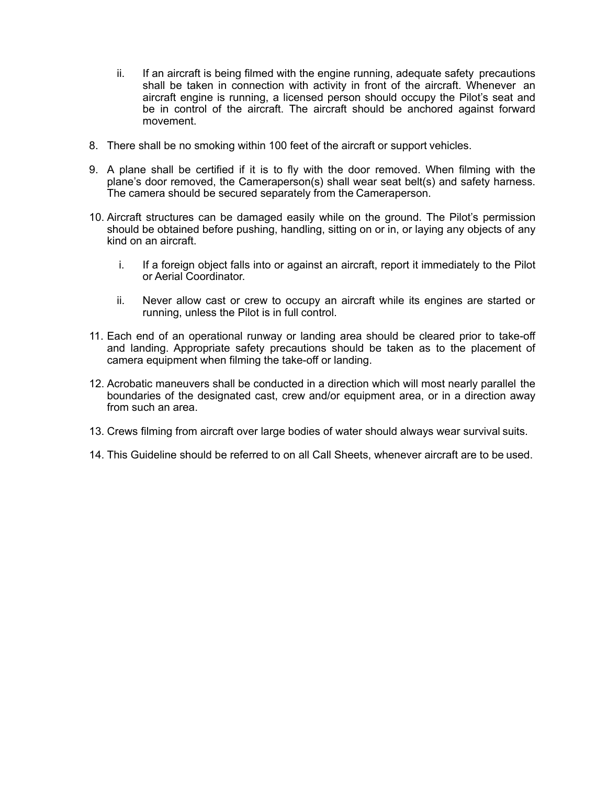- ii. If an aircraft is being filmed with the engine running, adequate safety precautions shall be taken in connection with activity in front of the aircraft. Whenever an aircraft engine is running, a licensed person should occupy the Pilot's seat and be in control of the aircraft. The aircraft should be anchored against forward movement.
- 8. There shall be no smoking within 100 feet of the aircraft or support vehicles.
- 9. A plane shall be certified if it is to fly with the door removed. When filming with the plane's door removed, the Cameraperson(s) shall wear seat belt(s) and safety harness. The camera should be secured separately from the Cameraperson.
- 10. Aircraft structures can be damaged easily while on the ground. The Pilot's permission should be obtained before pushing, handling, sitting on or in, or laying any objects of any kind on an aircraft.
	- i. If a foreign object falls into or against an aircraft, report it immediately to the Pilot or Aerial Coordinator.
	- ii. Never allow cast or crew to occupy an aircraft while its engines are started or running, unless the Pilot is in full control.
- 11. Each end of an operational runway or landing area should be cleared prior to take-off and landing. Appropriate safety precautions should be taken as to the placement of camera equipment when filming the take-off or landing.
- 12. Acrobatic maneuvers shall be conducted in a direction which will most nearly parallel the boundaries of the designated cast, crew and/or equipment area, or in a direction away from such an area.
- 13. Crews filming from aircraft over large bodies of water should always wear survival suits.
- 14. This Guideline should be referred to on all Call Sheets, whenever aircraft are to be used.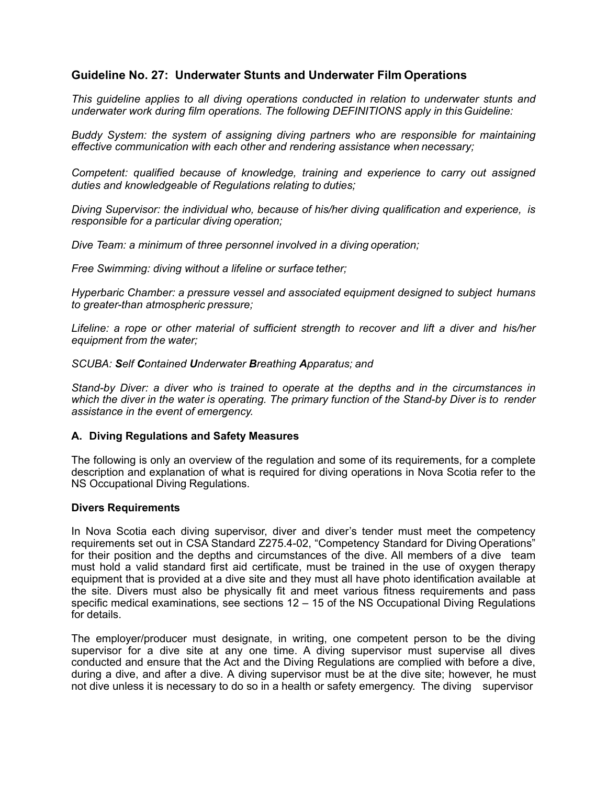# **Guideline No. 27: Underwater Stunts and Underwater Film Operations**

*This guideline applies to all diving operations conducted in relation to underwater stunts and underwater work during film operations. The following DEFINITIONS apply in this Guideline:*

*Buddy System: the system of assigning diving partners who are responsible for maintaining effective communication with each other and rendering assistance when necessary;*

*Competent: qualified because of knowledge, training and experience to carry out assigned duties and knowledgeable of Regulations relating to duties;*

*Diving Supervisor: the individual who, because of his/her diving qualification and experience, is responsible for a particular diving operation;*

*Dive Team: a minimum of three personnel involved in a diving operation;* 

*Free Swimming: diving without a lifeline or surface tether;*

*Hyperbaric Chamber: a pressure vessel and associated equipment designed to subject humans to greater-than atmospheric pressure;*

*Lifeline: a rope or other material of sufficient strength to recover and lift a diver and his/her equipment from the water;*

*SCUBA: Self Contained Underwater Breathing Apparatus; and*

*Stand-by Diver: a diver who is trained to operate at the depths and in the circumstances in*  which the diver in the water is operating. The primary function of the Stand-by Diver is to render *assistance in the event of emergency.*

#### **A. Diving Regulations and Safety Measures**

The following is only an overview of the regulation and some of its requirements, for a complete description and explanation of what is required for diving operations in Nova Scotia refer to the NS Occupational Diving Regulations.

#### **Divers Requirements**

In Nova Scotia each diving supervisor, diver and diver's tender must meet the competency requirements set out in CSA Standard Z275.4-02, "Competency Standard for Diving Operations" for their position and the depths and circumstances of the dive. All members of a dive team must hold a valid standard first aid certificate, must be trained in the use of oxygen therapy equipment that is provided at a dive site and they must all have photo identification available at the site. Divers must also be physically fit and meet various fitness requirements and pass specific medical examinations, see sections 12 – 15 of the NS Occupational Diving Regulations for details.

The employer/producer must designate, in writing, one competent person to be the diving supervisor for a dive site at any one time. A diving supervisor must supervise all dives conducted and ensure that the Act and the Diving Regulations are complied with before a dive, during a dive, and after a dive. A diving supervisor must be at the dive site; however, he must not dive unless it is necessary to do so in a health or safety emergency. The diving supervisor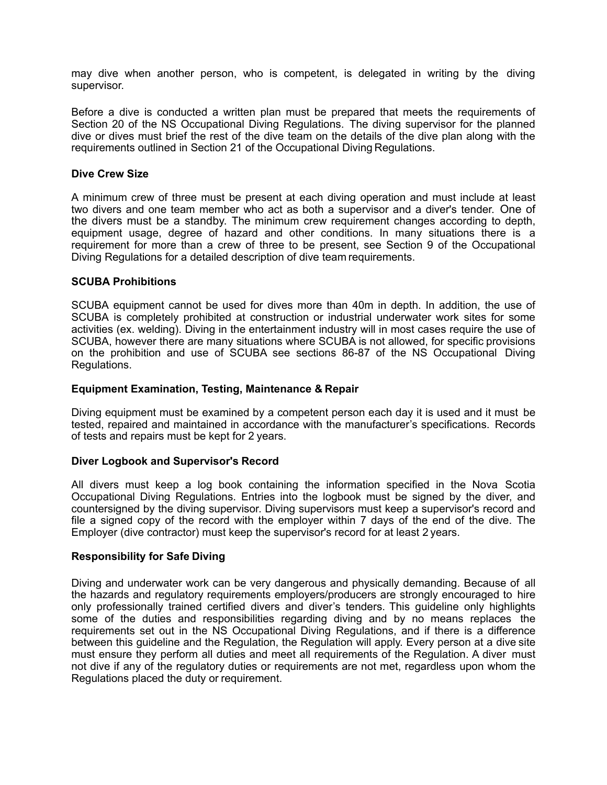may dive when another person, who is competent, is delegated in writing by the diving supervisor.

Before a dive is conducted a written plan must be prepared that meets the requirements of Section 20 of the NS Occupational Diving Regulations. The diving supervisor for the planned dive or dives must brief the rest of the dive team on the details of the dive plan along with the requirements outlined in Section 21 of the Occupational Diving Regulations.

#### **Dive Crew Size**

A minimum crew of three must be present at each diving operation and must include at least two divers and one team member who act as both a supervisor and a diver's tender. One of the divers must be a standby. The minimum crew requirement changes according to depth, equipment usage, degree of hazard and other conditions. In many situations there is a requirement for more than a crew of three to be present, see Section 9 of the Occupational Diving Regulations for a detailed description of dive team requirements.

#### **SCUBA Prohibitions**

SCUBA equipment cannot be used for dives more than 40m in depth. In addition, the use of SCUBA is completely prohibited at construction or industrial underwater work sites for some activities (ex. welding). Diving in the entertainment industry will in most cases require the use of SCUBA, however there are many situations where SCUBA is not allowed, for specific provisions on the prohibition and use of SCUBA see sections 86-87 of the NS Occupational Diving Regulations.

#### **Equipment Examination, Testing, Maintenance & Repair**

Diving equipment must be examined by a competent person each day it is used and it must be tested, repaired and maintained in accordance with the manufacturer's specifications. Records of tests and repairs must be kept for 2 years.

#### **Diver Logbook and Supervisor's Record**

All divers must keep a log book containing the information specified in the Nova Scotia Occupational Diving Regulations. Entries into the logbook must be signed by the diver, and countersigned by the diving supervisor. Diving supervisors must keep a supervisor's record and file a signed copy of the record with the employer within 7 days of the end of the dive. The Employer (dive contractor) must keep the supervisor's record for at least 2 years.

#### **Responsibility for Safe Diving**

Diving and underwater work can be very dangerous and physically demanding. Because of all the hazards and regulatory requirements employers/producers are strongly encouraged to hire only professionally trained certified divers and diver's tenders. This guideline only highlights some of the duties and responsibilities regarding diving and by no means replaces the requirements set out in the NS Occupational Diving Regulations, and if there is a difference between this guideline and the Regulation, the Regulation will apply. Every person at a dive site must ensure they perform all duties and meet all requirements of the Regulation. A diver must not dive if any of the regulatory duties or requirements are not met, regardless upon whom the Regulations placed the duty or requirement.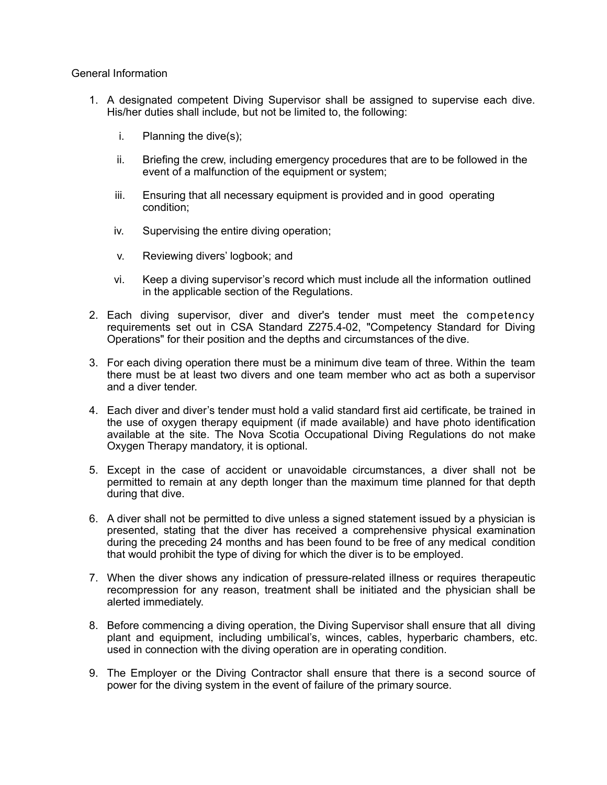### General Information

- 1. A designated competent Diving Supervisor shall be assigned to supervise each dive. His/her duties shall include, but not be limited to, the following:
	- i. Planning the dive(s);
	- ii. Briefing the crew, including emergency procedures that are to be followed in the event of a malfunction of the equipment or system;
	- iii. Ensuring that all necessary equipment is provided and in good operating condition;
	- iv. Supervising the entire diving operation;
	- v. Reviewing divers' logbook; and
	- vi. Keep a diving supervisor's record which must include all the information outlined in the applicable section of the Regulations.
- 2. Each diving supervisor, diver and diver's tender must meet the competency requirements set out in CSA Standard Z275.4-02, "Competency Standard for Diving Operations" for their position and the depths and circumstances of the dive.
- 3. For each diving operation there must be a minimum dive team of three. Within the team there must be at least two divers and one team member who act as both a supervisor and a diver tender.
- 4. Each diver and diver's tender must hold a valid standard first aid certificate, be trained in the use of oxygen therapy equipment (if made available) and have photo identification available at the site. The Nova Scotia Occupational Diving Regulations do not make Oxygen Therapy mandatory, it is optional.
- 5. Except in the case of accident or unavoidable circumstances, a diver shall not be permitted to remain at any depth longer than the maximum time planned for that depth during that dive.
- 6. A diver shall not be permitted to dive unless a signed statement issued by a physician is presented, stating that the diver has received a comprehensive physical examination during the preceding 24 months and has been found to be free of any medical condition that would prohibit the type of diving for which the diver is to be employed.
- 7. When the diver shows any indication of pressure-related illness or requires therapeutic recompression for any reason, treatment shall be initiated and the physician shall be alerted immediately.
- 8. Before commencing a diving operation, the Diving Supervisor shall ensure that all diving plant and equipment, including umbilical's, winces, cables, hyperbaric chambers, etc. used in connection with the diving operation are in operating condition.
- 9. The Employer or the Diving Contractor shall ensure that there is a second source of power for the diving system in the event of failure of the primary source.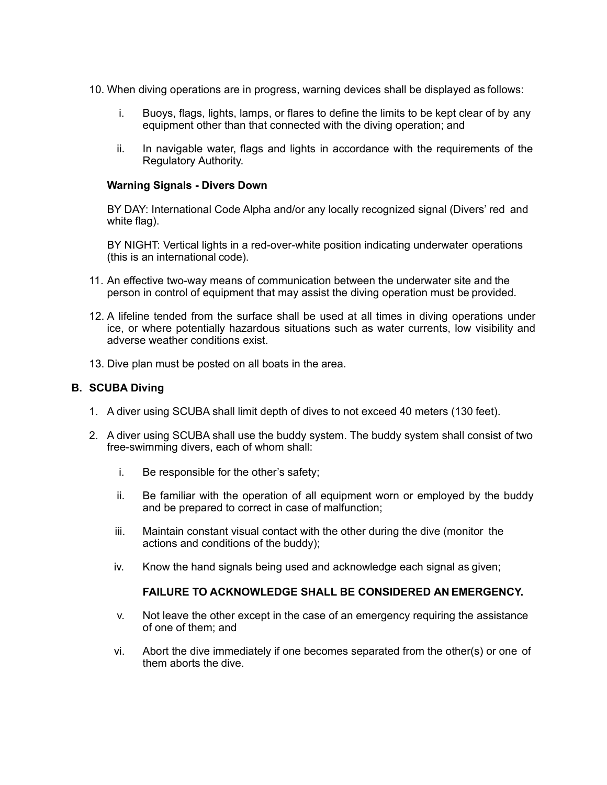- 10. When diving operations are in progress, warning devices shall be displayed as follows:
	- i. Buoys, flags, lights, lamps, or flares to define the limits to be kept clear of by any equipment other than that connected with the diving operation; and
	- ii. In navigable water, flags and lights in accordance with the requirements of the Regulatory Authority.

### **Warning Signals - Divers Down**

BY DAY: International Code Alpha and/or any locally recognized signal (Divers' red and white flag).

BY NIGHT: Vertical lights in a red-over-white position indicating underwater operations (this is an international code).

- 11. An effective two-way means of communication between the underwater site and the person in control of equipment that may assist the diving operation must be provided.
- 12. A lifeline tended from the surface shall be used at all times in diving operations under ice, or where potentially hazardous situations such as water currents, low visibility and adverse weather conditions exist.
- 13. Dive plan must be posted on all boats in the area.

### **B. SCUBA Diving**

- 1. A diver using SCUBA shall limit depth of dives to not exceed 40 meters (130 feet).
- 2. A diver using SCUBA shall use the buddy system. The buddy system shall consist of two free-swimming divers, each of whom shall:
	- i. Be responsible for the other's safety;
	- ii. Be familiar with the operation of all equipment worn or employed by the buddy and be prepared to correct in case of malfunction;
	- iii. Maintain constant visual contact with the other during the dive (monitor the actions and conditions of the buddy);
	- iv. Know the hand signals being used and acknowledge each signal as given;

# **FAILURE TO ACKNOWLEDGE SHALL BE CONSIDERED AN EMERGENCY.**

- v. Not leave the other except in the case of an emergency requiring the assistance of one of them; and
- vi. Abort the dive immediately if one becomes separated from the other(s) or one of them aborts the dive.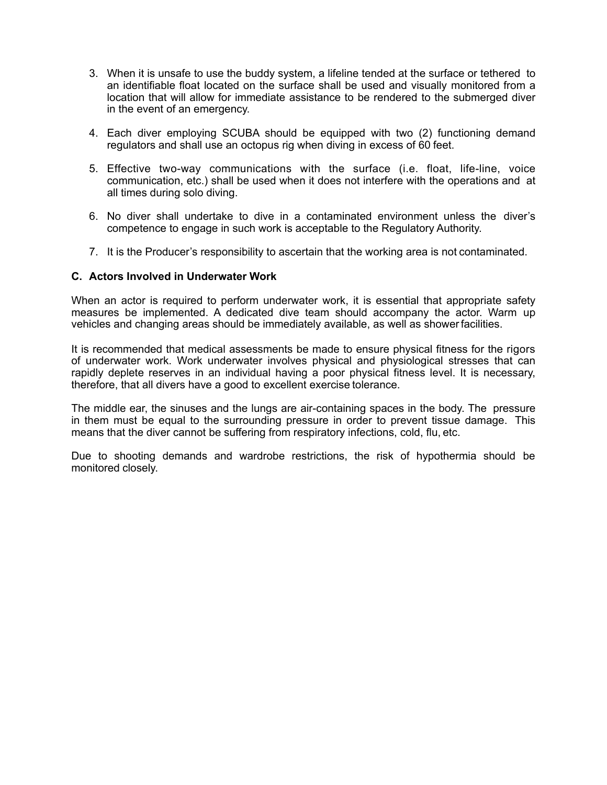- 3. When it is unsafe to use the buddy system, a lifeline tended at the surface or tethered to an identifiable float located on the surface shall be used and visually monitored from a location that will allow for immediate assistance to be rendered to the submerged diver in the event of an emergency.
- 4. Each diver employing SCUBA should be equipped with two (2) functioning demand regulators and shall use an octopus rig when diving in excess of 60 feet.
- 5. Effective two-way communications with the surface (i.e. float, life-line, voice communication, etc.) shall be used when it does not interfere with the operations and at all times during solo diving.
- 6. No diver shall undertake to dive in a contaminated environment unless the diver's competence to engage in such work is acceptable to the Regulatory Authority.
- 7. It is the Producer's responsibility to ascertain that the working area is not contaminated.

### **C. Actors Involved in Underwater Work**

When an actor is required to perform underwater work, it is essential that appropriate safety measures be implemented. A dedicated dive team should accompany the actor. Warm up vehicles and changing areas should be immediately available, as well as showerfacilities.

It is recommended that medical assessments be made to ensure physical fitness for the rigors of underwater work. Work underwater involves physical and physiological stresses that can rapidly deplete reserves in an individual having a poor physical fitness level. It is necessary, therefore, that all divers have a good to excellent exercise tolerance.

The middle ear, the sinuses and the lungs are air-containing spaces in the body. The pressure in them must be equal to the surrounding pressure in order to prevent tissue damage. This means that the diver cannot be suffering from respiratory infections, cold, flu, etc.

Due to shooting demands and wardrobe restrictions, the risk of hypothermia should be monitored closely.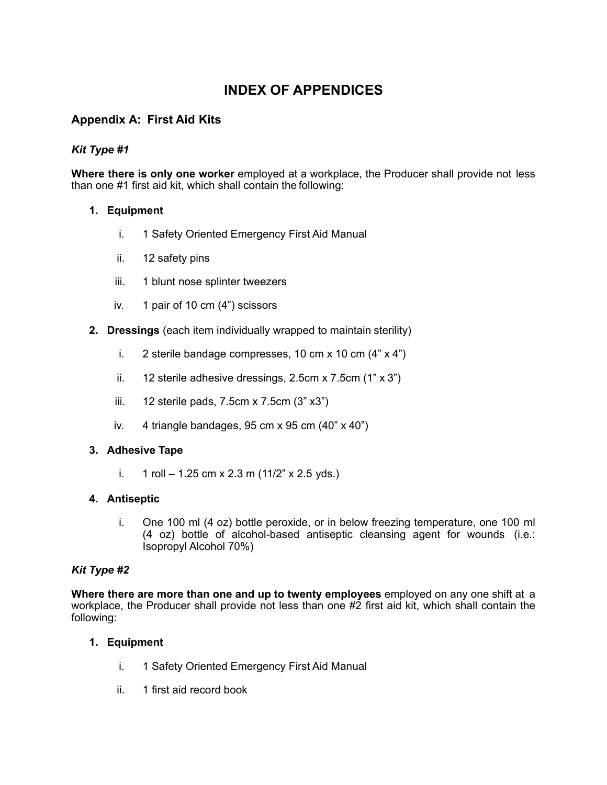# **INDEX OF APPENDICES**

# **Appendix A: First Aid Kits**

# *Kit Type #1*

**Where there is only one worker** employed at a workplace, the Producer shall provide not less than one #1 first aid kit, which shall contain the following:

# **1. Equipment**

- i. 1 Safety Oriented Emergency First Aid Manual
- ii. 12 safety pins
- iii. 1 blunt nose splinter tweezers
- iv. 1 pair of 10 cm (4") scissors
- **2. Dressings** (each item individually wrapped to maintain sterility)
	- i. 2 sterile bandage compresses, 10 cm x 10 cm  $(4" \times 4")$
	- ii.  $12$  sterile adhesive dressings, 2.5cm x 7.5cm  $(1" \times 3")$
	- iii.  $12$  sterile pads, 7.5cm x 7.5cm  $(3" x3")$
	- iv. 4 triangle bandages, 95 cm x 95 cm  $(40" \times 40")$

# **3. Adhesive Tape**

i.  $1$  roll – 1.25 cm x 2.3 m (11/2" x 2.5 yds.)

# **4. Antiseptic**

i. One 100 ml (4 oz) bottle peroxide, or in below freezing temperature, one 100 ml (4 oz) bottle of alcohol-based antiseptic cleansing agent for wounds (i.e.: Isopropyl Alcohol 70%)

# *Kit Type #2*

**Where there are more than one and up to twenty employees** employed on any one shift at a workplace, the Producer shall provide not less than one #2 first aid kit, which shall contain the following:

# **1. Equipment**

- i. 1 Safety Oriented Emergency First Aid Manual
- ii. 1 first aid record book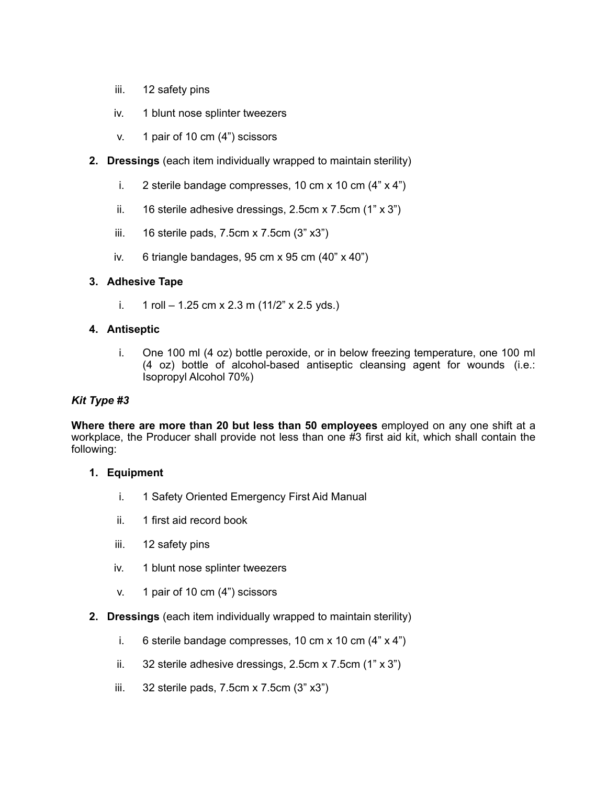- iii. 12 safety pins
- iv. 1 blunt nose splinter tweezers
- v. 1 pair of 10 cm (4") scissors
- **2. Dressings** (each item individually wrapped to maintain sterility)
	- i. 2 sterile bandage compresses, 10 cm  $x$  10 cm  $(4" x 4")$
	- ii. 16 sterile adhesive dressings,  $2.5$ cm x  $7.5$ cm  $(1" \times 3")$
	- iii. 16 sterile pads, 7.5cm x 7.5cm (3" x3")
	- iv. 6 triangle bandages, 95 cm x 95 cm  $(40" \times 40")$

# **3. Adhesive Tape**

i.  $1$  roll – 1.25 cm x 2.3 m (11/2" x 2.5 yds.)

# **4. Antiseptic**

i. One 100 ml (4 oz) bottle peroxide, or in below freezing temperature, one 100 ml (4 oz) bottle of alcohol-based antiseptic cleansing agent for wounds (i.e.: Isopropyl Alcohol 70%)

# *Kit Type #3*

**Where there are more than 20 but less than 50 employees** employed on any one shift at a workplace, the Producer shall provide not less than one #3 first aid kit, which shall contain the following:

# **1. Equipment**

- i. 1 Safety Oriented Emergency First Aid Manual
- ii. 1 first aid record book
- iii. 12 safety pins
- iv. 1 blunt nose splinter tweezers
- v. 1 pair of 10 cm (4") scissors
- **2. Dressings** (each item individually wrapped to maintain sterility)
	- i. 6 sterile bandage compresses, 10 cm x 10 cm  $(4" \times 4")$
	- ii. 32 sterile adhesive dressings, 2.5cm x 7.5cm (1" x 3")
	- iii. 32 sterile pads, 7.5cm x 7.5cm (3" x3")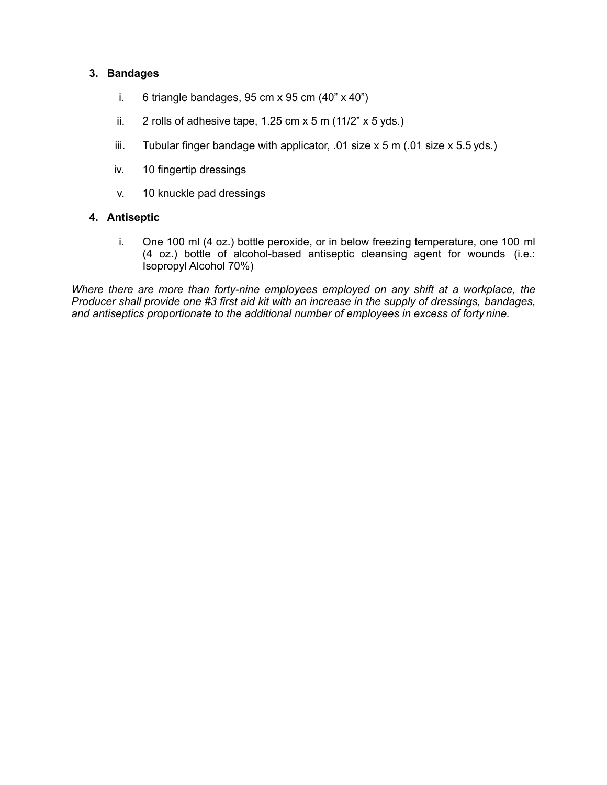# **3. Bandages**

- i. 6 triangle bandages,  $95 \text{ cm} \times 95 \text{ cm} \ (40" \times 40")$
- ii. 2 rolls of adhesive tape, 1.25 cm  $x$  5 m (11/2"  $x$  5 yds.)
- iii. Tubular finger bandage with applicator, .01 size  $x$  5 m (.01 size  $x$  5.5 yds.)
- iv. 10 fingertip dressings
- v. 10 knuckle pad dressings

## **4. Antiseptic**

i. One 100 ml (4 oz.) bottle peroxide, or in below freezing temperature, one 100 ml (4 oz.) bottle of alcohol-based antiseptic cleansing agent for wounds (i.e.: Isopropyl Alcohol 70%)

*Where there are more than forty-nine employees employed on any shift at a workplace, the Producer shall provide one #3 first aid kit with an increase in the supply of dressings, bandages, and antiseptics proportionate to the additional number of employees in excess of forty nine.*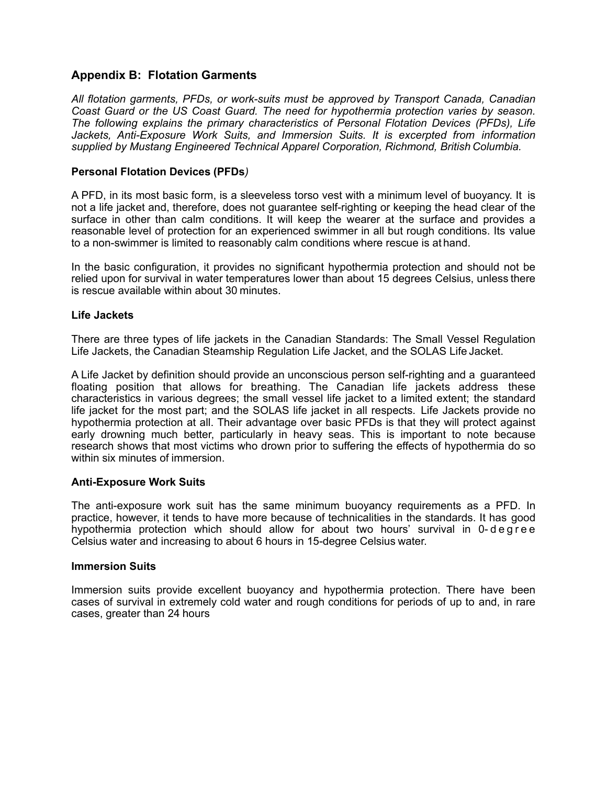# **Appendix B: Flotation Garments**

*All flotation garments, PFDs, or work-suits must be approved by Transport Canada, Canadian Coast Guard or the US Coast Guard. The need for hypothermia protection varies by season. The following explains the primary characteristics of Personal Flotation Devices (PFDs), Life Jackets, Anti-Exposure Work Suits, and Immersion Suits. It is excerpted from information supplied by Mustang Engineered Technical Apparel Corporation, Richmond, British Columbia.*

### **Personal Flotation Devices (PFDs***)*

A PFD, in its most basic form, is a sleeveless torso vest with a minimum level of buoyancy. It is not a life jacket and, therefore, does not guarantee self-righting or keeping the head clear of the surface in other than calm conditions. It will keep the wearer at the surface and provides a reasonable level of protection for an experienced swimmer in all but rough conditions. Its value to a non-swimmer is limited to reasonably calm conditions where rescue is at hand.

In the basic configuration, it provides no significant hypothermia protection and should not be relied upon for survival in water temperatures lower than about 15 degrees Celsius, unless there is rescue available within about 30 minutes.

### **Life Jackets**

There are three types of life jackets in the Canadian Standards: The Small Vessel Regulation Life Jackets, the Canadian Steamship Regulation Life Jacket, and the SOLAS Life Jacket.

A Life Jacket by definition should provide an unconscious person self-righting and a guaranteed floating position that allows for breathing. The Canadian life jackets address these characteristics in various degrees; the small vessel life jacket to a limited extent; the standard life jacket for the most part; and the SOLAS life jacket in all respects. Life Jackets provide no hypothermia protection at all. Their advantage over basic PFDs is that they will protect against early drowning much better, particularly in heavy seas. This is important to note because research shows that most victims who drown prior to suffering the effects of hypothermia do so within six minutes of immersion.

### **Anti-Exposure Work Suits**

The anti-exposure work suit has the same minimum buoyancy requirements as a PFD. In practice, however, it tends to have more because of technicalities in the standards. It has good hypothermia protection which should allow for about two hours' survival in 0-degree Celsius water and increasing to about 6 hours in 15-degree Celsius water.

### **Immersion Suits**

Immersion suits provide excellent buoyancy and hypothermia protection. There have been cases of survival in extremely cold water and rough conditions for periods of up to and, in rare cases, greater than 24 hours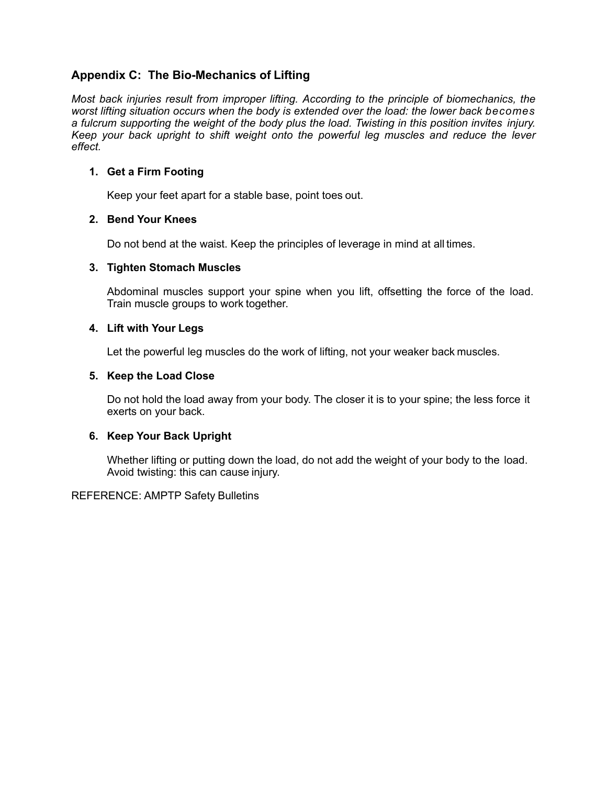# **Appendix C: The Bio-Mechanics of Lifting**

*Most back injuries result from improper lifting. According to the principle of biomechanics, the worst lifting situation occurs when the body is extended over the load: the lower back becomes a fulcrum supporting the weight of the body plus the load. Twisting in this position invites injury. Keep your back upright to shift weight onto the powerful leg muscles and reduce the lever effect.*

## **1. Get a Firm Footing**

Keep your feet apart for a stable base, point toes out.

# **2. Bend Your Knees**

Do not bend at the waist. Keep the principles of leverage in mind at all times.

## **3. Tighten Stomach Muscles**

Abdominal muscles support your spine when you lift, offsetting the force of the load. Train muscle groups to work together.

## **4. Lift with Your Legs**

Let the powerful leg muscles do the work of lifting, not your weaker back muscles.

## **5. Keep the Load Close**

Do not hold the load away from your body. The closer it is to your spine; the less force it exerts on your back.

# **6. Keep Your Back Upright**

Whether lifting or putting down the load, do not add the weight of your body to the load. Avoid twisting: this can cause injury.

### REFERENCE: AMPTP Safety Bulletins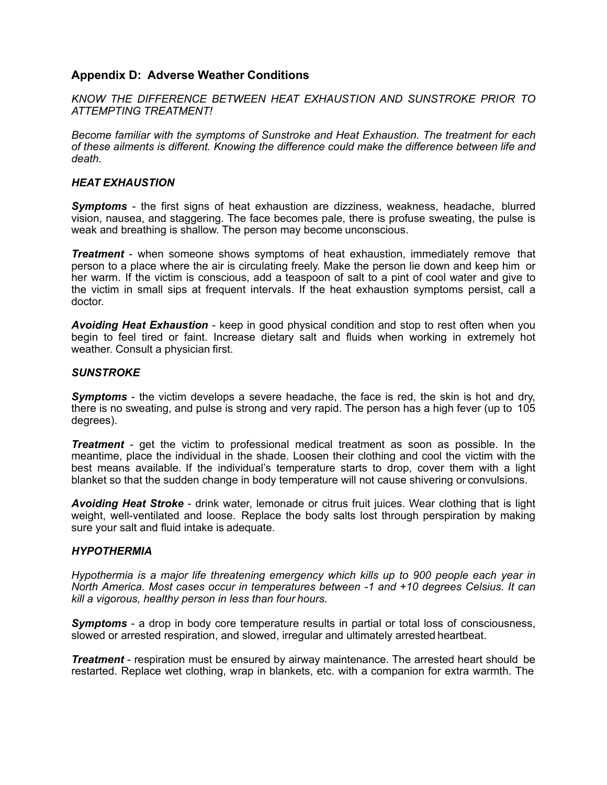# **Appendix D: Adverse Weather Conditions**

*KNOW THE DIFFERENCE BETWEEN HEAT EXHAUSTION AND SUNSTROKE PRIOR TO ATTEMPTING TREATMENT!*

*Become familiar with the symptoms of Sunstroke and Heat Exhaustion. The treatment for each of these ailments is different. Knowing the difference could make the difference between life and death.*

#### *HEAT EXHAUSTION*

**Symptoms** - the first signs of heat exhaustion are dizziness, weakness, headache, blurred vision, nausea, and staggering. The face becomes pale, there is profuse sweating, the pulse is weak and breathing is shallow. The person may become unconscious.

*Treatment* - when someone shows symptoms of heat exhaustion, immediately remove that person to a place where the air is circulating freely. Make the person lie down and keep him or her warm. If the victim is conscious, add a teaspoon of salt to a pint of cool water and give to the victim in small sips at frequent intervals. If the heat exhaustion symptoms persist, call a doctor.

*Avoiding Heat Exhaustion* - keep in good physical condition and stop to rest often when you begin to feel tired or faint. Increase dietary salt and fluids when working in extremely hot weather. Consult a physician first.

### *SUNSTROKE*

*Symptoms* - the victim develops a severe headache, the face is red, the skin is hot and dry, there is no sweating, and pulse is strong and very rapid. The person has a high fever (up to 105 degrees).

*Treatment* - get the victim to professional medical treatment as soon as possible. In the meantime, place the individual in the shade. Loosen their clothing and cool the victim with the best means available. If the individual's temperature starts to drop, cover them with a light blanket so that the sudden change in body temperature will not cause shivering or convulsions.

*Avoiding Heat Stroke* - drink water, lemonade or citrus fruit juices. Wear clothing that is light weight, well-ventilated and loose. Replace the body salts lost through perspiration by making sure your salt and fluid intake is adequate.

#### *HYPOTHERMIA*

*Hypothermia is a major life threatening emergency which kills up to 900 people each year in North America. Most cases occur in temperatures between -1 and +10 degrees Celsius. It can kill a vigorous, healthy person in less than four hours.*

*Symptoms* - a drop in body core temperature results in partial or total loss of consciousness, slowed or arrested respiration, and slowed, irregular and ultimately arrested heartbeat.

*Treatment* - respiration must be ensured by airway maintenance. The arrested heart should be restarted. Replace wet clothing, wrap in blankets, etc. with a companion for extra warmth. The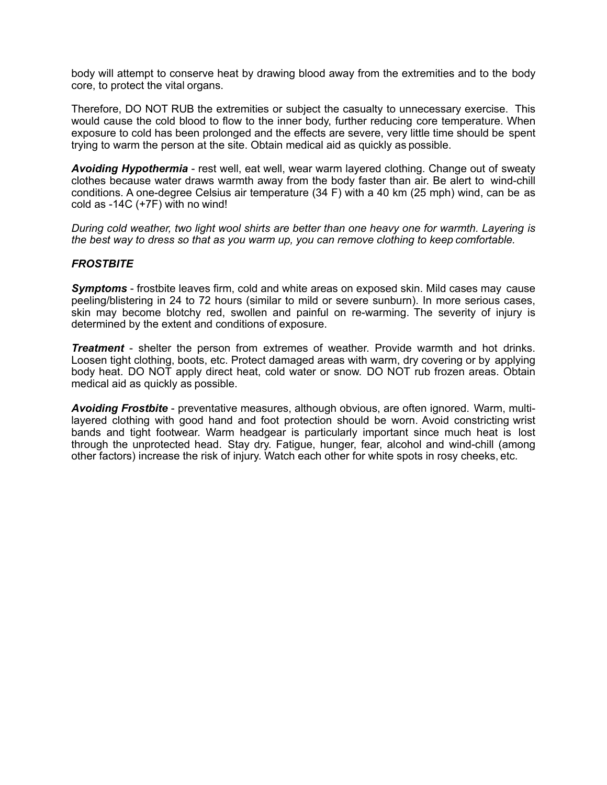body will attempt to conserve heat by drawing blood away from the extremities and to the body core, to protect the vital organs.

Therefore, DO NOT RUB the extremities or subject the casualty to unnecessary exercise. This would cause the cold blood to flow to the inner body, further reducing core temperature. When exposure to cold has been prolonged and the effects are severe, very little time should be spent trying to warm the person at the site. Obtain medical aid as quickly as possible.

*Avoiding Hypothermia* - rest well, eat well, wear warm layered clothing. Change out of sweaty clothes because water draws warmth away from the body faster than air. Be alert to wind-chill conditions. A one-degree Celsius air temperature (34 F) with a 40 km (25 mph) wind, can be as cold as -14C (+7F) with no wind!

*During cold weather, two light wool shirts are better than one heavy one for warmth. Layering is the best way to dress so that as you warm up, you can remove clothing to keep comfortable.*

### *FROSTBITE*

**Symptoms** - frostbite leaves firm, cold and white areas on exposed skin. Mild cases may cause peeling/blistering in 24 to 72 hours (similar to mild or severe sunburn). In more serious cases, skin may become blotchy red, swollen and painful on re-warming. The severity of injury is determined by the extent and conditions of exposure.

*Treatment* - shelter the person from extremes of weather. Provide warmth and hot drinks. Loosen tight clothing, boots, etc. Protect damaged areas with warm, dry covering or by applying body heat. DO NOT apply direct heat, cold water or snow. DO NOT rub frozen areas. Obtain medical aid as quickly as possible.

*Avoiding Frostbite* - preventative measures, although obvious, are often ignored. Warm, multilayered clothing with good hand and foot protection should be worn. Avoid constricting wrist bands and tight footwear. Warm headgear is particularly important since much heat is lost through the unprotected head. Stay dry. Fatigue, hunger, fear, alcohol and wind-chill (among other factors) increase the risk of injury. Watch each other for white spots in rosy cheeks, etc.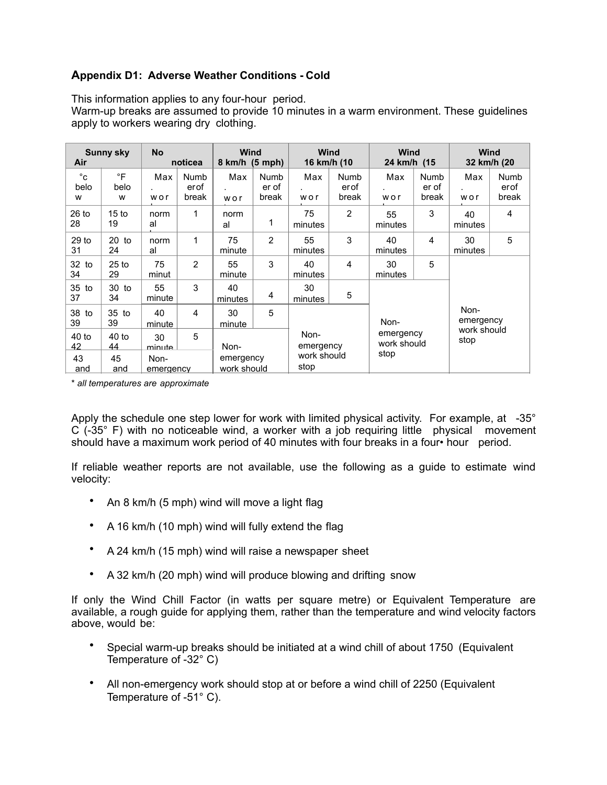# **Appendix D1: Adverse Weather Conditions - Cold**

This information applies to any four-hour period.

Warm-up breaks are assumed to provide 10 minutes in a warm environment. These guidelines apply to workers wearing dry clothing.

| <b>Sunny sky</b><br>Air   |                        | <b>No</b><br>noticea |                       | <b>Wind</b><br>$8 \text{ km/h}$ (5 mph) |                        | <b>Wind</b><br>16 km/h (10                                                           |                       | <b>Wind</b><br>24 km/h (15 |                        | <b>Wind</b><br>32 km/h (20 |                       |
|---------------------------|------------------------|----------------------|-----------------------|-----------------------------------------|------------------------|--------------------------------------------------------------------------------------|-----------------------|----------------------------|------------------------|----------------------------|-----------------------|
| $^{\circ}$ c<br>belo<br>w | $\circ$ F<br>belo<br>W | Max<br>wor           | Numb<br>erof<br>break | Max<br>wor                              | Numb<br>er of<br>break | Max<br>wor                                                                           | Numb<br>erof<br>break | Max<br>wor                 | Numb<br>er of<br>break | Max<br>wor                 | Numb<br>erof<br>break |
| $26$ to<br>28             | 15 <sub>to</sub><br>19 | norm<br>al           | 1                     | norm<br>al                              | 1                      | 75<br>minutes                                                                        | $\overline{2}$        | 55<br>minutes              | 3                      | 40<br>minutes              | 4                     |
| 29 <sub>to</sub><br>31    | $20$ to<br>24          | norm<br>al           | 1                     | 75<br>minute                            | 2                      | 55<br>minutes                                                                        | 3                     | 40<br>minutes              | 4                      | 30<br>minutes              | 5                     |
| 32 to<br>34               | $25$ to<br>29          | 75<br>minut          | $\overline{2}$        | 55<br>minute                            | 3                      | 40<br>minutes                                                                        | $\overline{4}$        | 30<br>minutes              | 5                      |                            |                       |
| 35 to<br>37               | 30 to<br>34            | 55<br>minute         | 3                     | 40<br>minutes                           | 4                      | 30<br>minutes                                                                        | 5                     |                            |                        |                            |                       |
| 38 to<br>39               | 35 to<br>39            | 40<br>minute         | 4                     | 30<br>minute                            | 5                      | Non-<br>emergency<br>Non-<br>work should<br>emergency<br>stop<br>work should<br>stop |                       | Non-<br>emergency          |                        |                            |                       |
| $40$ to<br>42             | $40$ to<br>44          | 30<br>minute         | 5                     | Non-                                    |                        |                                                                                      |                       |                            |                        | work should<br>stop        |                       |
| 43<br>and                 | 45<br>and              | Non-<br>emergency    |                       | emergency<br>work should                |                        |                                                                                      |                       |                            |                        |                            |                       |

\* *all temperatures are approximate* belo belo work should

Apply the schedule one step lower for work with limited physical activity. For example, at -35° C (-35° F) with no noticeable wind, a worker with a job requiring little physical movement should have a maximum work period of 40 minutes with four breaks in a four• hour period.

If reliable weather reports are not available, use the following as a guide to estimate wind velocity:

- An 8 km/h (5 mph) wind will move a light flag
- A 16 km/h (10 mph) wind will fully extend the flag
- A 24 km/h (15 mph) wind will raise a newspaper sheet
- A 32 km/h (20 mph) wind will produce blowing and drifting snow

If only the Wind Chill Factor (in watts per square metre) or Equivalent Temperature are available, a rough guide for applying them, rather than the temperature and wind velocity factors above, would be:

- Special warm-up breaks should be initiated at a wind chill of about 1750 (Equivalent Temperature of -32° C)
- All non-emergency work should stop at or before a wind chill of 2250 (Equivalent Temperature of -51° C).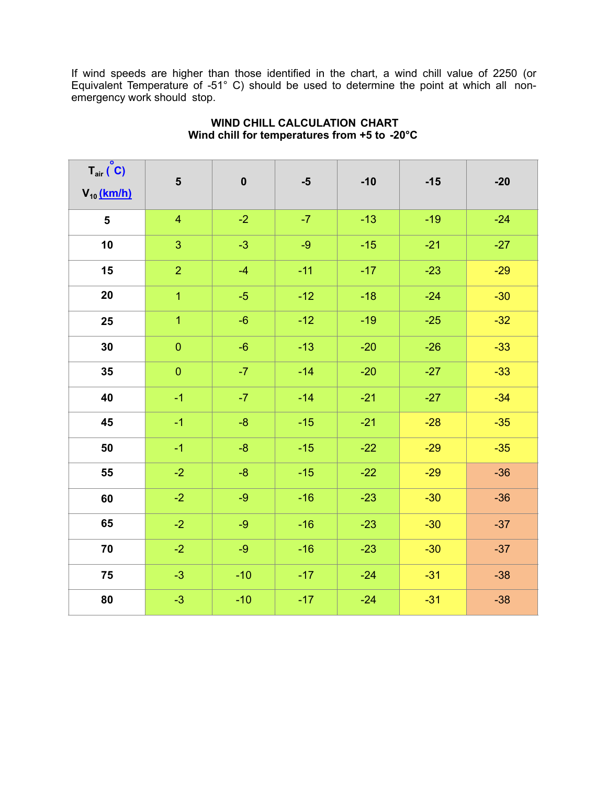If wind speeds are higher than those identified in the chart, a wind chill value of 2250 (or Equivalent Temperature of -51° C) should be used to determine the point at which all nonemergency work should stop.

| $T_{air} (°C)$<br>$V_{10}$ (km/h) | $5\phantom{1}$ | $\pmb{0}$ | $-5$  | $-10$ | $-15$ | $-20$ |
|-----------------------------------|----------------|-----------|-------|-------|-------|-------|
| 5                                 | $\overline{4}$ | $-2$      | $-7$  | $-13$ | $-19$ | $-24$ |
| 10                                | 3              | $-3$      | $-9$  | $-15$ | $-21$ | $-27$ |
| 15                                | $\overline{2}$ | $-4$      | $-11$ | $-17$ | $-23$ | $-29$ |
| 20                                | $\overline{1}$ | $-5$      | $-12$ | $-18$ | $-24$ | $-30$ |
| 25                                | $\overline{1}$ | $-6$      | $-12$ | $-19$ | $-25$ | $-32$ |
| 30                                | $\mathbf 0$    | $-6$      | $-13$ | $-20$ | $-26$ | $-33$ |
| 35                                | $\overline{0}$ | $-7$      | $-14$ | $-20$ | $-27$ | $-33$ |
| 40                                | $-1$           | $-7$      | $-14$ | $-21$ | $-27$ | $-34$ |
| 45                                | $-1$           | $-8-$     | $-15$ | $-21$ | $-28$ | $-35$ |
| 50                                | $-1$           | $-8-$     | $-15$ | $-22$ | $-29$ | $-35$ |
| 55                                | $-2$           | $-8-$     | $-15$ | $-22$ | $-29$ | $-36$ |
| 60                                | $-2$           | $-9$      | $-16$ | $-23$ | $-30$ | $-36$ |
| 65                                | $-2$           | $-9$      | $-16$ | $-23$ | $-30$ | $-37$ |
| 70                                | $-2$           | $-9$      | $-16$ | $-23$ | $-30$ | $-37$ |
| 75                                | $-3$           | $-10$     | $-17$ | $-24$ | $-31$ | $-38$ |
| 80                                | $-3$           | $-10$     | $-17$ | $-24$ | $-31$ | $-38$ |

# **WIND CHILL CALCULATION CHART Wind chill for temperatures from +5 to -20°C**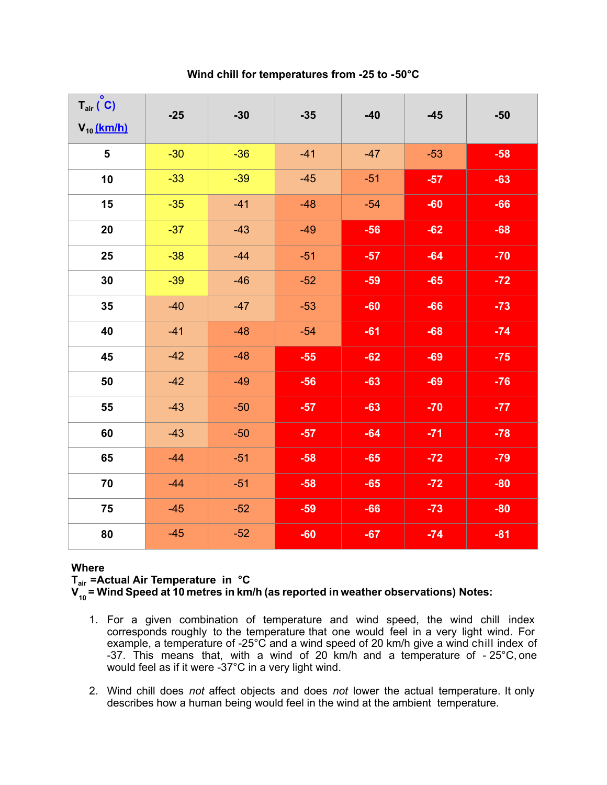**Wind chill for temperatures from -25 to -50°C**

| $T_{air} (°C)$<br>$V_{10}$ (km/h) | $-25$ | $-30$ | $-35$ | $-40$ | $-45$ | $-50$ |
|-----------------------------------|-------|-------|-------|-------|-------|-------|
| $5\phantom{1}$                    | $-30$ | $-36$ | $-41$ | $-47$ | $-53$ | $-58$ |
| 10                                | $-33$ | $-39$ | $-45$ | $-51$ | $-57$ | $-63$ |
| 15                                | $-35$ | $-41$ | $-48$ | $-54$ | $-60$ | $-66$ |
| 20                                | $-37$ | $-43$ | $-49$ | $-56$ | $-62$ | $-68$ |
| 25                                | $-38$ | $-44$ | $-51$ | $-57$ | $-64$ | $-70$ |
| 30                                | $-39$ | $-46$ | $-52$ | $-59$ | $-65$ | $-72$ |
| 35                                | $-40$ | $-47$ | $-53$ | $-60$ | $-66$ | $-73$ |
| 40                                | $-41$ | $-48$ | $-54$ | $-61$ | $-68$ | $-74$ |
| 45                                | $-42$ | $-48$ | $-55$ | $-62$ | $-69$ | $-75$ |
| 50                                | $-42$ | $-49$ | $-56$ | $-63$ | $-69$ | $-76$ |
| 55                                | $-43$ | $-50$ | $-57$ | $-63$ | $-70$ | $-77$ |
| 60                                | $-43$ | $-50$ | $-57$ | $-64$ | $-71$ | $-78$ |
| 65                                | $-44$ | $-51$ | $-58$ | $-65$ | $-72$ | $-79$ |
| 70                                | $-44$ | $-51$ | $-58$ | $-65$ | $-72$ | $-80$ |
| 75                                | $-45$ | $-52$ | $-59$ | $-66$ | $-73$ | $-80$ |
| 80                                | $-45$ | $-52$ | $-60$ | $-67$ | $-74$ | $-81$ |

# **Where**

**Tair =Actual Air Temperature in °C**

**V10 = Wind Speed at 10 metres in km/h (as reported in weather observations) Notes:**

- 1. For a given combination of temperature and wind speed, the wind chill index corresponds roughly to the temperature that one would feel in a very light wind. For example, a temperature of -25°C and a wind speed of 20 km/h give a wind chill index of -37. This means that, with a wind of 20 km/h and a temperature of - 25°C, one would feel as if it were -37°C in a very light wind.
- 2. Wind chill does *not* affect objects and does *not* lower the actual temperature. It only describes how a human being would feel in the wind at the ambient temperature.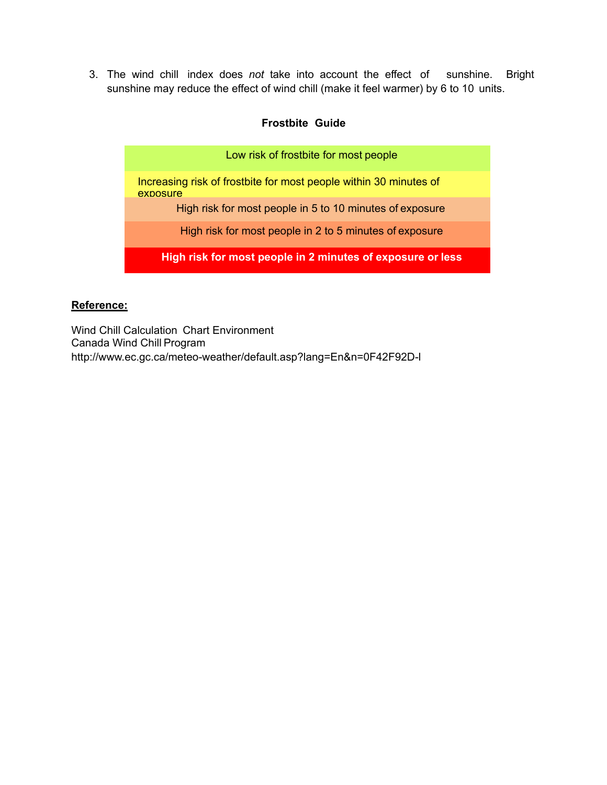3. The wind chill index does *not* take into account the effect of sunshine. Bright sunshine may reduce the effect of wind chill (make it feel warmer) by 6 to 10 units.

# **Frostbite Guide**

| Low risk of frostbite for most people                                         |
|-------------------------------------------------------------------------------|
| Increasing risk of frostbite for most people within 30 minutes of<br>exposure |
| High risk for most people in 5 to 10 minutes of exposure                      |
| High risk for most people in 2 to 5 minutes of exposure                       |
| High risk for most people in 2 minutes of exposure or less                    |

# **Reference:**

Wind Chill Calculation Chart Environment Canada Wind Chill Program <http://www.ec.gc.ca/meteo-weather/default.asp?lang=En&n=0F42F92D-l>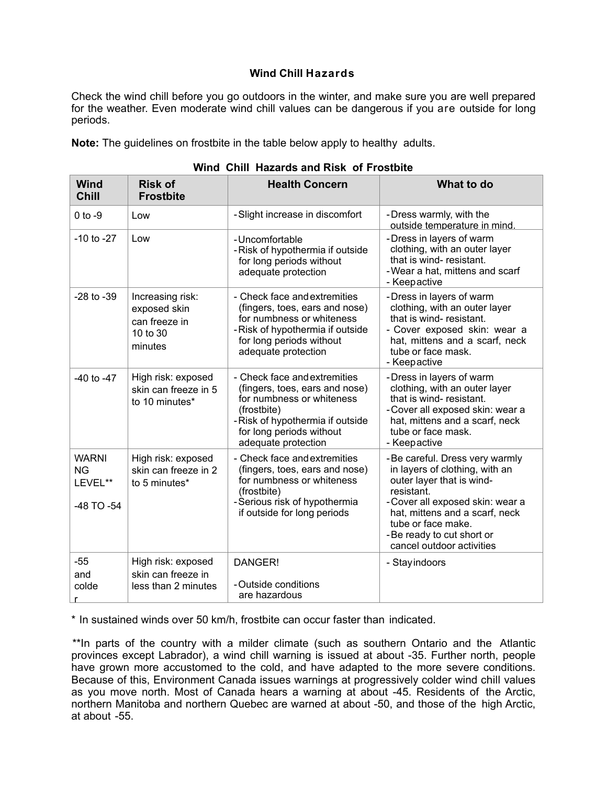## **Wind Chill Hazards**

Check the wind chill before you go outdoors in the winter, and make sure you are well prepared for the weather. Even moderate wind chill values can be dangerous if you are outside for long periods.

**Note:** The guidelines on frostbite in the table below apply to healthy adults.

| Wind<br><b>Chill</b>                               | <b>Risk of</b><br><b>Frostbite</b>                                       | <b>Health Concern</b>                                                                                                                                                                            | What to do                                                                                                                                                                                                                                                        |
|----------------------------------------------------|--------------------------------------------------------------------------|--------------------------------------------------------------------------------------------------------------------------------------------------------------------------------------------------|-------------------------------------------------------------------------------------------------------------------------------------------------------------------------------------------------------------------------------------------------------------------|
| $0$ to $-9$                                        | Low                                                                      | -Slight increase in discomfort                                                                                                                                                                   | -Dress warmly, with the<br>outside temperature in mind.                                                                                                                                                                                                           |
| $-10$ to $-27$                                     | Low                                                                      | -Uncomfortable<br>-Risk of hypothermia if outside<br>for long periods without<br>adequate protection                                                                                             | -Dress in layers of warm<br>clothing, with an outer layer<br>that is wind-resistant.<br>-Wear a hat, mittens and scarf<br>- Keepactive                                                                                                                            |
| $-28$ to $-39$                                     | Increasing risk:<br>exposed skin<br>can freeze in<br>10 to 30<br>minutes | - Check face and extremities<br>(fingers, toes, ears and nose)<br>for numbness or whiteness<br>-Risk of hypothermia if outside<br>for long periods without<br>adequate protection                | -Dress in layers of warm<br>clothing, with an outer layer<br>that is wind-resistant.<br>- Cover exposed skin: wear a<br>hat, mittens and a scarf, neck<br>tube or face mask.<br>- Keepactive                                                                      |
| $-40$ to $-47$                                     | High risk: exposed<br>skin can freeze in 5<br>to 10 minutes*             | - Check face and extremities<br>(fingers, toes, ears and nose)<br>for numbness or whiteness<br>(frostbite)<br>-Risk of hypothermia if outside<br>for long periods without<br>adequate protection | -Dress in layers of warm<br>clothing, with an outer layer<br>that is wind-resistant.<br>-Cover all exposed skin: wear a<br>hat, mittens and a scarf, neck<br>tube or face mask.<br>- Keepactive                                                                   |
| <b>WARNI</b><br><b>NG</b><br>LEVEL**<br>-48 TO -54 | High risk: exposed<br>skin can freeze in 2<br>to 5 minutes*              | - Check face and extremities<br>(fingers, toes, ears and nose)<br>for numbness or whiteness<br>(frostbite)<br>-Serious risk of hypothermia<br>if outside for long periods                        | - Be careful. Dress very warmly<br>in layers of clothing, with an<br>outer layer that is wind-<br>resistant.<br>-Cover all exposed skin: wear a<br>hat, mittens and a scarf, neck<br>tube or face make.<br>-Be ready to cut short or<br>cancel outdoor activities |
| $-55$<br>and<br>colde                              | High risk: exposed<br>skin can freeze in<br>less than 2 minutes          | DANGER!<br>-Outside conditions<br>are hazardous                                                                                                                                                  | - Stay indoors                                                                                                                                                                                                                                                    |

### **Wind Chill Hazards and Risk of Frostbite**

\* In sustained winds over 50 km/h, frostbite can occur faster than indicated.

\*\*In parts of the country with a milder climate (such as southern Ontario and the Atlantic provinces except Labrador), a wind chill warning is issued at about -35. Further north, people have grown more accustomed to the cold, and have adapted to the more severe conditions. Because of this, Environment Canada issues warnings at progressively colder wind chill values as you move north. Most of Canada hears a warning at about -45. Residents of the Arctic, northern Manitoba and northern Quebec are warned at about -50, and those of the high Arctic, at about -55.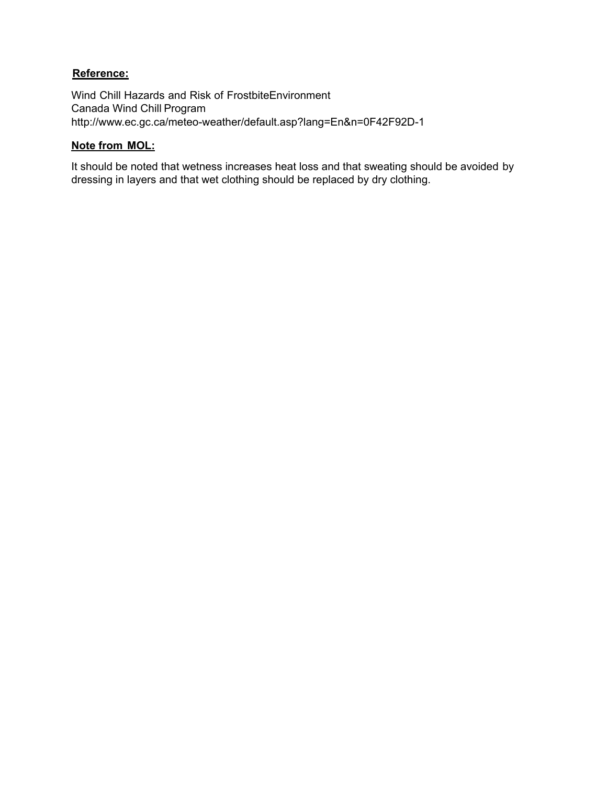# **Reference:**

Wind Chill Hazards and Risk of FrostbiteEnvironment Canada Wind Chill Program <http://www.ec.gc.ca/meteo-weather/default.asp?lang=En&n=0F42F92D-1>

# **Note from MOL:**

It should be noted that wetness increases heat loss and that sweating should be avoided by dressing in layers and that wet clothing should be replaced by dry clothing.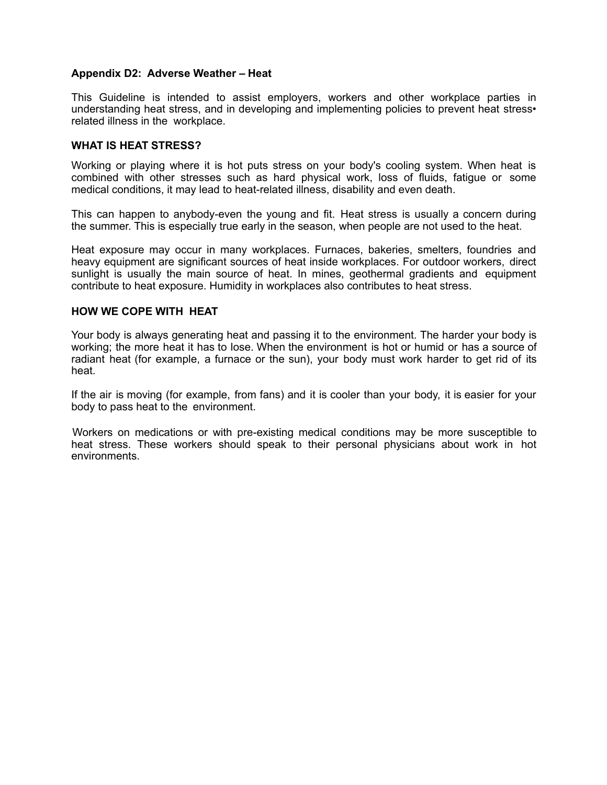### **Appendix D2: Adverse Weather – Heat**

This Guideline is intended to assist employers, workers and other workplace parties in understanding heat stress, and in developing and implementing policies to prevent heat stress • related illness in the workplace.

#### **WHAT IS HEAT STRESS?**

Working or playing where it is hot puts stress on your body's cooling system. When heat is combined with other stresses such as hard physical work, loss of fluids, fatigue or some medical conditions, it may lead to heat-related illness, disability and even death.

This can happen to anybody-even the young and fit. Heat stress is usually a concern during the summer. This is especially true early in the season, when people are not used to the heat.

Heat exposure may occur in many workplaces. Furnaces, bakeries, smelters, foundries and heavy equipment are significant sources of heat inside workplaces. For outdoor workers, direct sunlight is usually the main source of heat. In mines, geothermal gradients and equipment contribute to heat exposure. Humidity in workplaces also contributes to heat stress.

## **HOW WE COPE WITH HEAT**

Your body is always generating heat and passing it to the environment. The harder your body is working; the more heat it has to lose. When the environment is hot or humid or has a source of radiant heat (for example, a furnace or the sun), your body must work harder to get rid of its heat.

If the air is moving (for example, from fans) and it is cooler than your body, it is easier for your body to pass heat to the environment.

Workers on medications or with pre-existing medical conditions may be more susceptible to heat stress. These workers should speak to their personal physicians about work in hot environments.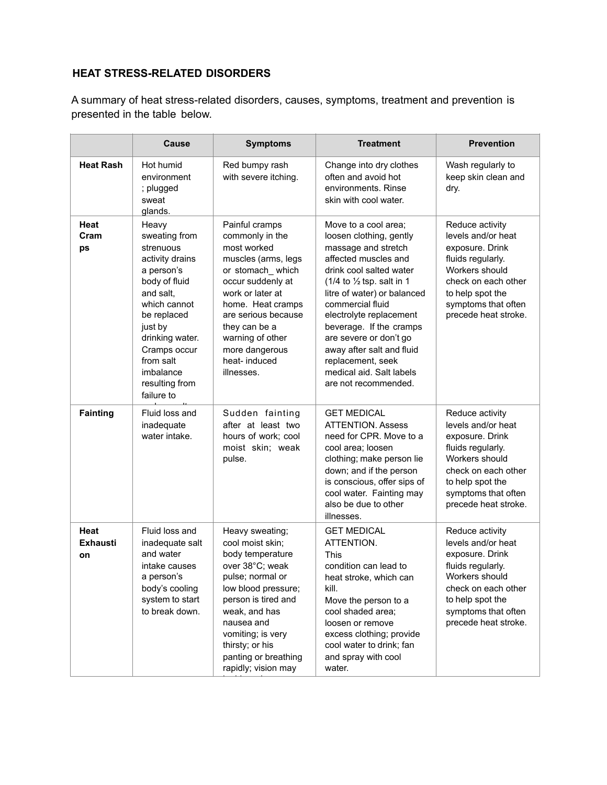# **HEAT STRESS-RELATED DISORDERS**

A summary of heat stress-related disorders, causes, symptoms, treatment and prevention is presented in the table below.

|                               | <b>Cause</b>                                                                                                                                                                                                                              | <b>Symptoms</b>                                                                                                                                                                                                                                                       | <b>Treatment</b>                                                                                                                                                                                                                                                                                                                                                                                           | <b>Prevention</b>                                                                                                                                                                         |
|-------------------------------|-------------------------------------------------------------------------------------------------------------------------------------------------------------------------------------------------------------------------------------------|-----------------------------------------------------------------------------------------------------------------------------------------------------------------------------------------------------------------------------------------------------------------------|------------------------------------------------------------------------------------------------------------------------------------------------------------------------------------------------------------------------------------------------------------------------------------------------------------------------------------------------------------------------------------------------------------|-------------------------------------------------------------------------------------------------------------------------------------------------------------------------------------------|
| <b>Heat Rash</b>              | Hot humid<br>environment<br>; plugged<br>sweat<br>glands.                                                                                                                                                                                 | Red bumpy rash<br>with severe itching.                                                                                                                                                                                                                                | Change into dry clothes<br>often and avoid hot<br>environments. Rinse<br>skin with cool water.                                                                                                                                                                                                                                                                                                             | Wash regularly to<br>keep skin clean and<br>dry.                                                                                                                                          |
| Heat<br>Cram<br>ps            | Heavy<br>sweating from<br>strenuous<br>activity drains<br>a person's<br>body of fluid<br>and salt.<br>which cannot<br>be replaced<br>just by<br>drinking water.<br>Cramps occur<br>from salt<br>imbalance<br>resulting from<br>failure to | Painful cramps<br>commonly in the<br>most worked<br>muscles (arms, legs<br>or stomach_which<br>occur suddenly at<br>work or later at<br>home. Heat cramps<br>are serious because<br>they can be a<br>warning of other<br>more dangerous<br>heat-induced<br>illnesses. | Move to a cool area;<br>loosen clothing, gently<br>massage and stretch<br>affected muscles and<br>drink cool salted water<br>(1/4 to $\frac{1}{2}$ tsp. salt in 1<br>litre of water) or balanced<br>commercial fluid<br>electrolyte replacement<br>beverage. If the cramps<br>are severe or don't go<br>away after salt and fluid<br>replacement, seek<br>medical aid. Salt labels<br>are not recommended. | Reduce activity<br>levels and/or heat<br>exposure. Drink<br>fluids regularly.<br>Workers should<br>check on each other<br>to help spot the<br>symptoms that often<br>precede heat stroke. |
| <b>Fainting</b>               | Fluid loss and<br>inadequate<br>water intake.                                                                                                                                                                                             | Sudden fainting<br>after at least two<br>hours of work; cool<br>moist skin; weak<br>pulse.                                                                                                                                                                            | <b>GET MEDICAL</b><br><b>ATTENTION, Assess</b><br>need for CPR. Move to a<br>cool area; loosen<br>clothing; make person lie<br>down; and if the person<br>is conscious, offer sips of<br>cool water. Fainting may<br>also be due to other<br>illnesses.                                                                                                                                                    | Reduce activity<br>levels and/or heat<br>exposure. Drink<br>fluids regularly.<br>Workers should<br>check on each other<br>to help spot the<br>symptoms that often<br>precede heat stroke. |
| Heat<br><b>Exhausti</b><br>on | Fluid loss and<br>inadequate salt<br>and water<br>intake causes<br>a person's<br>body's cooling<br>system to start<br>to break down.                                                                                                      | Heavy sweating;<br>cool moist skin;<br>body temperature<br>over 38°C; weak<br>pulse; normal or<br>low blood pressure;<br>person is tired and<br>weak, and has<br>nausea and<br>vomiting; is very<br>thirsty; or his<br>panting or breathing<br>rapidly; vision may    | <b>GET MEDICAL</b><br>ATTENTION.<br>This<br>condition can lead to<br>heat stroke, which can<br>kill.<br>Move the person to a<br>cool shaded area;<br>loosen or remove<br>excess clothing; provide<br>cool water to drink; fan<br>and spray with cool<br>water.                                                                                                                                             | Reduce activity<br>levels and/or heat<br>exposure. Drink<br>fluids regularly.<br>Workers should<br>check on each other<br>to help spot the<br>symptoms that often<br>precede heat stroke. |

be blurred.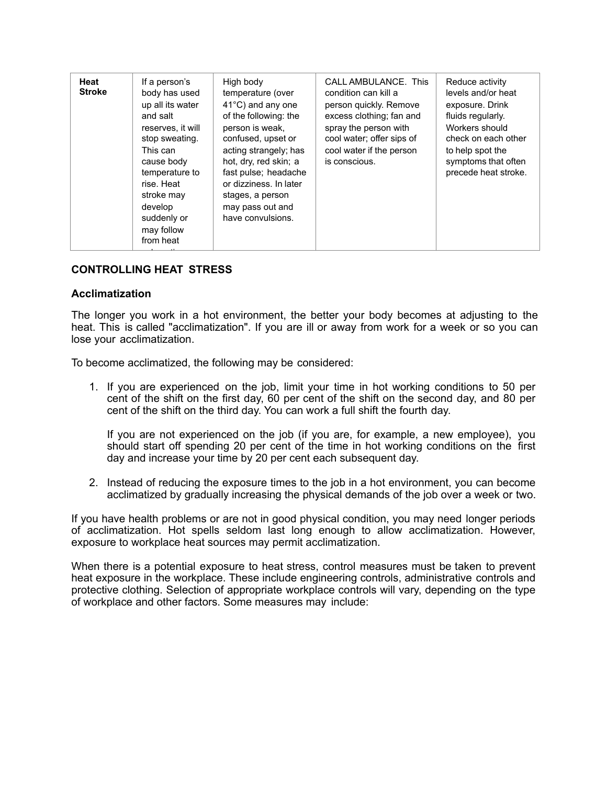| Heat<br><b>Stroke</b> | If a person's<br>body has used<br>up all its water<br>and salt<br>reserves, it will<br>stop sweating.<br>This can<br>cause body<br>temperature to<br>rise. Heat<br>stroke may<br>develop<br>suddenly or<br>may follow<br>from heat | High body<br>temperature (over<br>$41^{\circ}$ C) and any one<br>of the following: the<br>person is weak,<br>confused, upset or<br>acting strangely; has<br>hot, dry, red skin; a<br>fast pulse; headache<br>or dizziness. In later<br>stages, a person<br>may pass out and<br>have convulsions. | CALL AMBULANCE. This<br>condition can kill a<br>person quickly. Remove<br>excess clothing; fan and<br>spray the person with<br>cool water; offer sips of<br>cool water if the person<br>is conscious. | Reduce activity<br>levels and/or heat<br>exposure. Drink<br>fluids regularly.<br>Workers should<br>check on each other<br>to help spot the<br>symptoms that often<br>precede heat stroke. |
|-----------------------|------------------------------------------------------------------------------------------------------------------------------------------------------------------------------------------------------------------------------------|--------------------------------------------------------------------------------------------------------------------------------------------------------------------------------------------------------------------------------------------------------------------------------------------------|-------------------------------------------------------------------------------------------------------------------------------------------------------------------------------------------------------|-------------------------------------------------------------------------------------------------------------------------------------------------------------------------------------------|
|-----------------------|------------------------------------------------------------------------------------------------------------------------------------------------------------------------------------------------------------------------------------|--------------------------------------------------------------------------------------------------------------------------------------------------------------------------------------------------------------------------------------------------------------------------------------------------|-------------------------------------------------------------------------------------------------------------------------------------------------------------------------------------------------------|-------------------------------------------------------------------------------------------------------------------------------------------------------------------------------------------|

## **CONTROLLING HEAT STRESS**

#### **Acclimatization**

The longer you work in a hot environment, the better your body becomes at adjusting to the heat. This is called "acclimatization". If you are ill or away from work for a week or so you can lose your acclimatization.

To become acclimatized, the following may be considered:

1. If you are experienced on the job, limit your time in hot working conditions to 50 per cent of the shift on the first day, 60 per cent of the shift on the second day, and 80 per cent of the shift on the third day. You can work a full shift the fourth day.

If you are not experienced on the job (if you are, for example, a new employee), you should start off spending 20 per cent of the time in hot working conditions on the first day and increase your time by 20 per cent each subsequent day.

2. Instead of reducing the exposure times to the job in a hot environment, you can become acclimatized by gradually increasing the physical demands of the job over a week or two.

If you have health problems or are not in good physical condition, you may need longer periods of acclimatization. Hot spells seldom last long enough to allow acclimatization. However, exposure to workplace heat sources may permit acclimatization.

When there is a potential exposure to heat stress, control measures must be taken to prevent heat exposure in the workplace. These include engineering controls, administrative controls and protective clothing. Selection of appropriate workplace controls will vary, depending on the type of workplace and other factors. Some measures may include: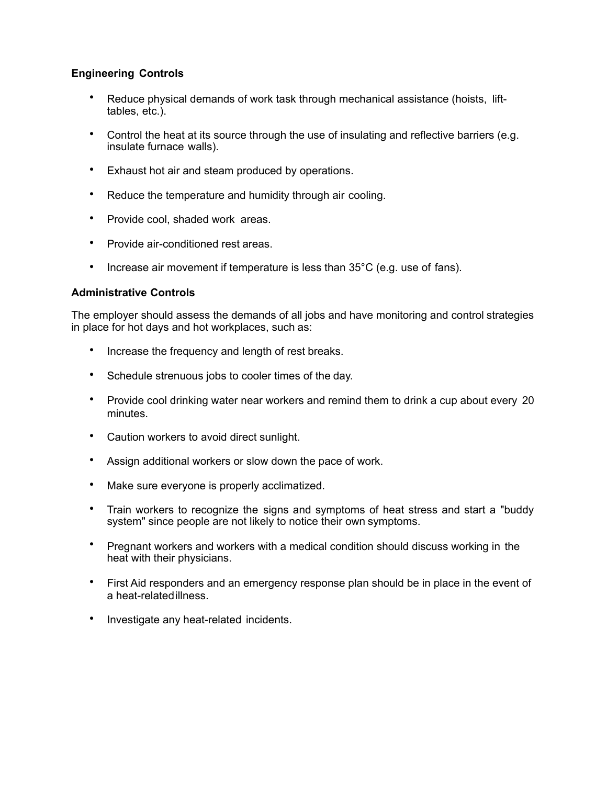# **Engineering Controls**

- Reduce physical demands of work task through mechanical assistance (hoists, lifttables, etc.).
- Control the heat at its source through the use of insulating and reflective barriers (e.g. insulate furnace walls).
- Exhaust hot air and steam produced by operations.
- Reduce the temperature and humidity through air cooling.
- Provide cool, shaded work areas.
- Provide air-conditioned rest areas.
- Increase air movement if temperature is less than 35°C (e.g. use of fans).

## **Administrative Controls**

The employer should assess the demands of all jobs and have monitoring and control strategies in place for hot days and hot workplaces, such as:

- Increase the frequency and length of rest breaks.
- Schedule strenuous jobs to cooler times of the day.
- Provide cool drinking water near workers and remind them to drink a cup about every 20 minutes.
- Caution workers to avoid direct sunlight.
- Assign additional workers or slow down the pace of work.
- Make sure everyone is properly acclimatized.
- Train workers to recognize the signs and symptoms of heat stress and start a "buddy system" since people are not likely to notice their own symptoms.
- Pregnant workers and workers with a medical condition should discuss working in the heat with their physicians.
- First Aid responders and an emergency response plan should be in place in the event of a heat-relatedillness.
- Investigate any heat-related incidents.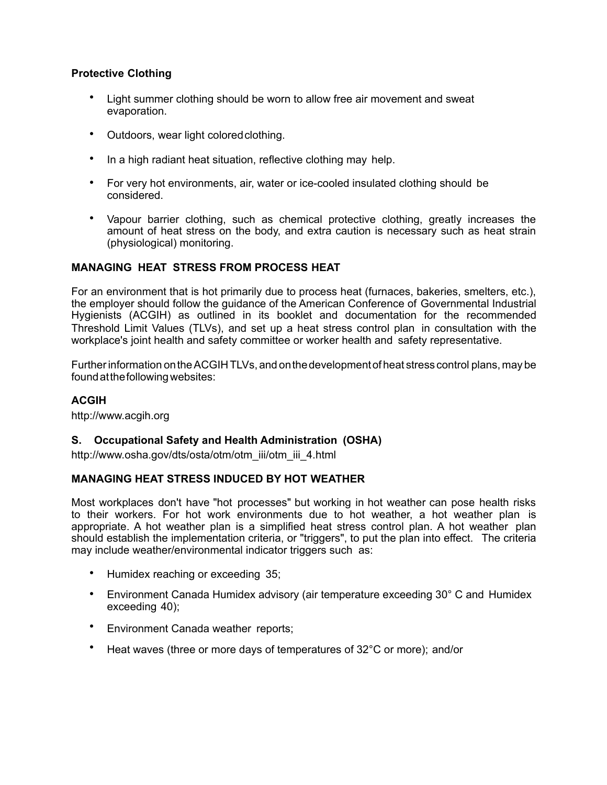# **Protective Clothing**

- Light summer clothing should be worn to allow free air movement and sweat evaporation.
- Outdoors, wear light colored clothing.
- In a high radiant heat situation, reflective clothing may help.
- For very hot environments, air, water or ice-cooled insulated clothing should be considered.
- Vapour barrier clothing, such as chemical protective clothing, greatly increases the amount of heat stress on the body, and extra caution is necessary such as heat strain (physiological) monitoring.

# **MANAGING HEAT STRESS FROM PROCESS HEAT**

For an environment that is hot primarily due to process heat (furnaces, bakeries, smelters, etc.), the employer should follow the guidance of the American Conference of Governmental Industrial Hygienists (ACGIH) as outlined in its booklet and documentation for the recommended Threshold Limit Values (TLVs), and set up a heat stress control plan in consultation with the workplace's joint health and safety committee or worker health and safety representative.

Furtherinformation ontheACGIH TLVs, and onthedevelopmentof heat stress control plans, may be foundatthefollowingwebsites:

# **ACGIH**

[http://www.acgih.org](http://www.acgih.org/)

# **S. Occupational Safety and Health Administration (OSHA)**

[http://www.osha.gov/dts/osta/otm/otm\\_iii/otm\\_iii\\_4.html](http://www.osha.gov/dts/osta/otm/otm_iii/otm_iii_4.html)

# **MANAGING HEAT STRESS INDUCED BY HOT WEATHER**

Most workplaces don't have "hot processes" but working in hot weather can pose health risks to their workers. For hot work environments due to hot weather, a hot weather plan is appropriate. A hot weather plan is a simplified heat stress control plan. A hot weather plan should establish the implementation criteria, or "triggers", to put the plan into effect. The criteria may include weather/environmental indicator triggers such as:

- Humidex reaching or exceeding 35;
- Environment Canada Humidex advisory (air temperature exceeding 30° C and Humidex exceeding 40);
- Environment Canada weather reports;
- Heat waves (three or more days of temperatures of 32°C or more); and/or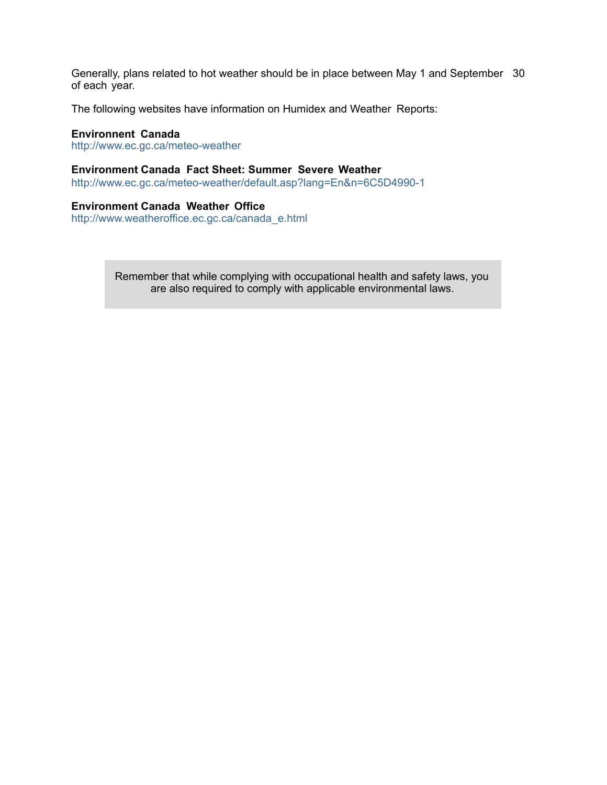Generally, plans related to hot weather should be in place between May 1 and September 30 of each year.

The following websites have information on Humidex and Weather Reports:

#### **Environnent Canada**

<http://www.ec.gc.ca/meteo-weather>

## **Environment Canada Fact Sheet: Summer Severe Weather**

<http://www.ec.gc.ca/meteo-weather/default.asp?lang=En&n=6C5D4990-1>

#### **Environment Canada Weather Office**

[http://www.weatheroffice.ec.gc.ca/canada\\_e.html](http://www.weatheroffice.ec.gc.ca/canada_e.html)

Remember that while complying with occupational health and safety laws, you are also required to comply with applicable environmental laws.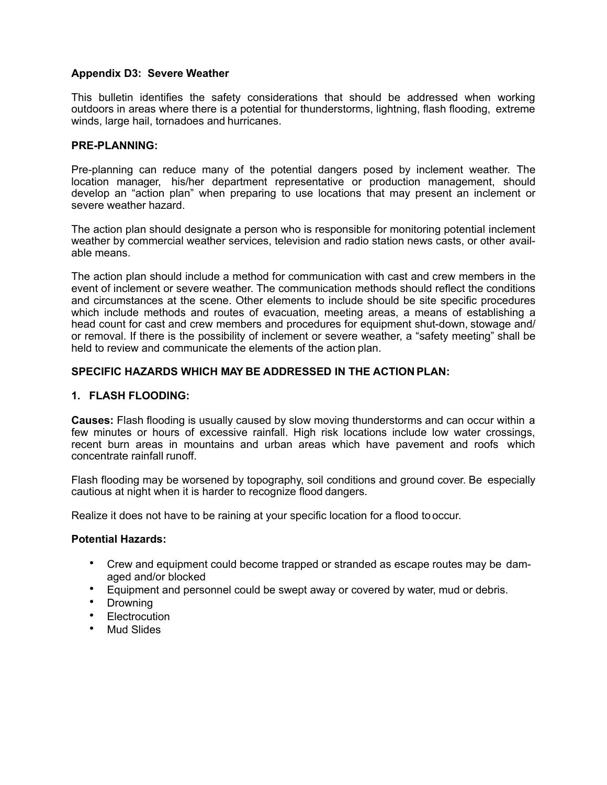## **Appendix D3: Severe Weather**

This bulletin identifies the safety considerations that should be addressed when working outdoors in areas where there is a potential for thunderstorms, lightning, flash flooding, extreme winds, large hail, tornadoes and hurricanes.

### **PRE-PLANNING:**

Pre-planning can reduce many of the potential dangers posed by inclement weather. The location manager, his/her department representative or production management, should develop an "action plan" when preparing to use locations that may present an inclement or severe weather hazard.

The action plan should designate a person who is responsible for monitoring potential inclement weather by commercial weather services, television and radio station news casts, or other available means.

The action plan should include a method for communication with cast and crew members in the event of inclement or severe weather. The communication methods should reflect the conditions and circumstances at the scene. Other elements to include should be site specific procedures which include methods and routes of evacuation, meeting areas, a means of establishing a head count for cast and crew members and procedures for equipment shut-down, stowage and/ or removal. If there is the possibility of inclement or severe weather, a "safety meeting" shall be held to review and communicate the elements of the action plan.

## **SPECIFIC HAZARDS WHICH MAY BE ADDRESSED IN THE ACTION PLAN:**

### **1. FLASH FLOODING:**

**Causes:** Flash flooding is usually caused by slow moving thunderstorms and can occur within a few minutes or hours of excessive rainfall. High risk locations include low water crossings, recent burn areas in mountains and urban areas which have pavement and roofs which concentrate rainfall runoff.

Flash flooding may be worsened by topography, soil conditions and ground cover. Be especially cautious at night when it is harder to recognize flood dangers.

Realize it does not have to be raining at your specific location for a flood to occur.

#### **Potential Hazards:**

- Crew and equipment could become trapped or stranded as escape routes may be damaged and/or blocked
- Equipment and personnel could be swept away or covered by water, mud or debris.
- Drowning
- **Electrocution**
- Mud Slides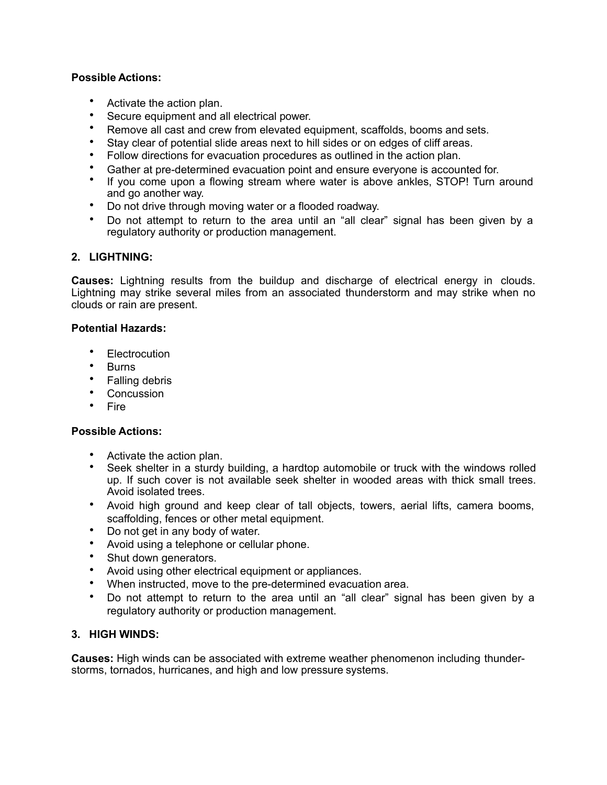# **Possible Actions:**

- Activate the action plan.
- Secure equipment and all electrical power.
- Remove all cast and crew from elevated equipment, scaffolds, booms and sets.
- Stay clear of potential slide areas next to hill sides or on edges of cliff areas.
- Follow directions for evacuation procedures as outlined in the action plan.
- Gather at pre-determined evacuation point and ensure everyone is accounted for.
- If you come upon a flowing stream where water is above ankles, STOP! Turn around and go another way.
- Do not drive through moving water or a flooded roadway.
- Do not attempt to return to the area until an "all clear" signal has been given by a regulatory authority or production management.

## **2. LIGHTNING:**

**Causes:** Lightning results from the buildup and discharge of electrical energy in clouds. Lightning may strike several miles from an associated thunderstorm and may strike when no clouds or rain are present.

### **Potential Hazards:**

- **Flectrocution**
- Burns
- Falling debris
- Concussion
- Fire

### **Possible Actions:**

- Activate the action plan.
- Seek shelter in a sturdy building, a hardtop automobile or truck with the windows rolled up. If such cover is not available seek shelter in wooded areas with thick small trees. Avoid isolated trees.
- Avoid high ground and keep clear of tall objects, towers, aerial lifts, camera booms, scaffolding, fences or other metal equipment.
- Do not get in any body of water.
- Avoid using a telephone or cellular phone.
- Shut down generators.
- Avoid using other electrical equipment or appliances.
- When instructed, move to the pre-determined evacuation area.
- Do not attempt to return to the area until an "all clear" signal has been given by a regulatory authority or production management.

### **3. HIGH WINDS:**

**Causes:** High winds can be associated with extreme weather phenomenon including thunderstorms, tornados, hurricanes, and high and low pressure systems.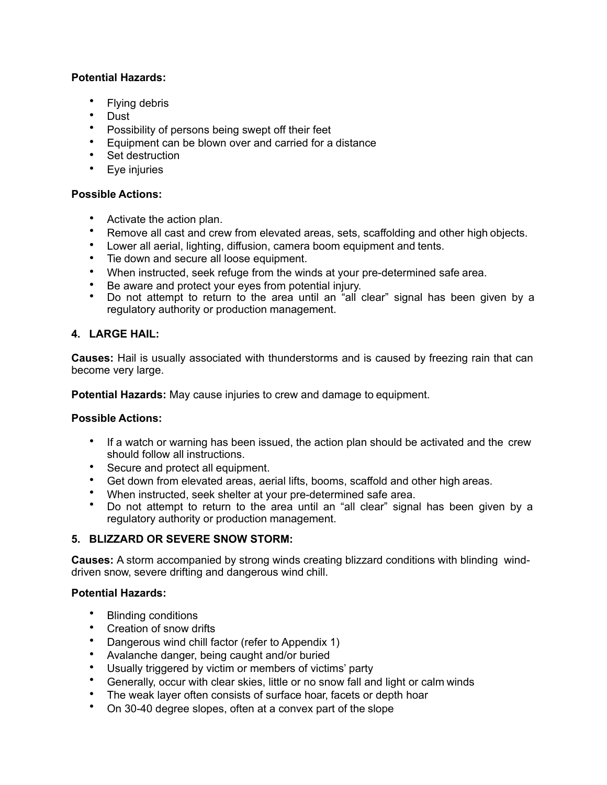# **Potential Hazards:**

- Flying debris
- Dust
- Possibility of persons being swept off their feet
- Equipment can be blown over and carried for a distance
- Set destruction
- Eye injuries

# **Possible Actions:**

- Activate the action plan.
- Remove all cast and crew from elevated areas, sets, scaffolding and other high objects.
- Lower all aerial, lighting, diffusion, camera boom equipment and tents.
- Tie down and secure all loose equipment.
- When instructed, seek refuge from the winds at your pre-determined safe area.
- Be aware and protect your eyes from potential injury.
- Do not attempt to return to the area until an "all clear" signal has been given by a regulatory authority or production management.

# **4. LARGE HAIL:**

**Causes:** Hail is usually associated with thunderstorms and is caused by freezing rain that can become very large.

**Potential Hazards:** May cause injuries to crew and damage to equipment.

# **Possible Actions:**

- If a watch or warning has been issued, the action plan should be activated and the crew should follow all instructions.
- Secure and protect all equipment.
- Get down from elevated areas, aerial lifts, booms, scaffold and other high areas.
- When instructed, seek shelter at your pre-determined safe area.
- Do not attempt to return to the area until an "all clear" signal has been given by a regulatory authority or production management.

# **5. BLIZZARD OR SEVERE SNOW STORM:**

**Causes:** A storm accompanied by strong winds creating blizzard conditions with blinding winddriven snow, severe drifting and dangerous wind chill.

# **Potential Hazards:**

- Blinding conditions
- Creation of snow drifts
- Dangerous wind chill factor (refer to Appendix 1)
- Avalanche danger, being caught and/or buried
- Usually triggered by victim or members of victims' party
- Generally, occur with clear skies, little or no snow fall and light or calm winds
- The weak layer often consists of surface hoar, facets or depth hoar
- On 30-40 degree slopes, often at a convex part of the slope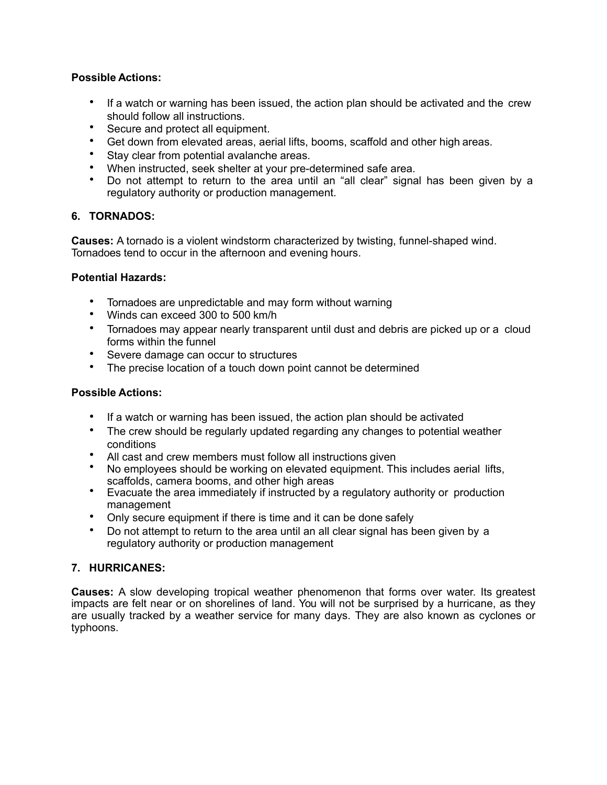# **Possible Actions:**

- If a watch or warning has been issued, the action plan should be activated and the crew should follow all instructions.
- Secure and protect all equipment.
- Get down from elevated areas, aerial lifts, booms, scaffold and other high areas.
- Stay clear from potential avalanche areas.
- When instructed, seek shelter at your pre-determined safe area.
- Do not attempt to return to the area until an "all clear" signal has been given by a regulatory authority or production management.

# **6. TORNADOS:**

**Causes:** A tornado is a violent windstorm characterized by twisting, funnel-shaped wind. Tornadoes tend to occur in the afternoon and evening hours.

# **Potential Hazards:**

- Tornadoes are unpredictable and may form without warning
- Winds can exceed 300 to 500 km/h
- Tornadoes may appear nearly transparent until dust and debris are picked up or a cloud forms within the funnel
- Severe damage can occur to structures
- The precise location of a touch down point cannot be determined

# **Possible Actions:**

- If a watch or warning has been issued, the action plan should be activated
- The crew should be regularly updated regarding any changes to potential weather conditions
- All cast and crew members must follow all instructions given
- No employees should be working on elevated equipment. This includes aerial lifts, scaffolds, camera booms, and other high areas
- Evacuate the area immediately if instructed by a regulatory authority or production management
- Only secure equipment if there is time and it can be done safely
- Do not attempt to return to the area until an all clear signal has been given by a regulatory authority or production management

# **7. HURRICANES:**

**Causes:** A slow developing tropical weather phenomenon that forms over water. Its greatest impacts are felt near or on shorelines of land. You will not be surprised by a hurricane, as they are usually tracked by a weather service for many days. They are also known as cyclones or typhoons.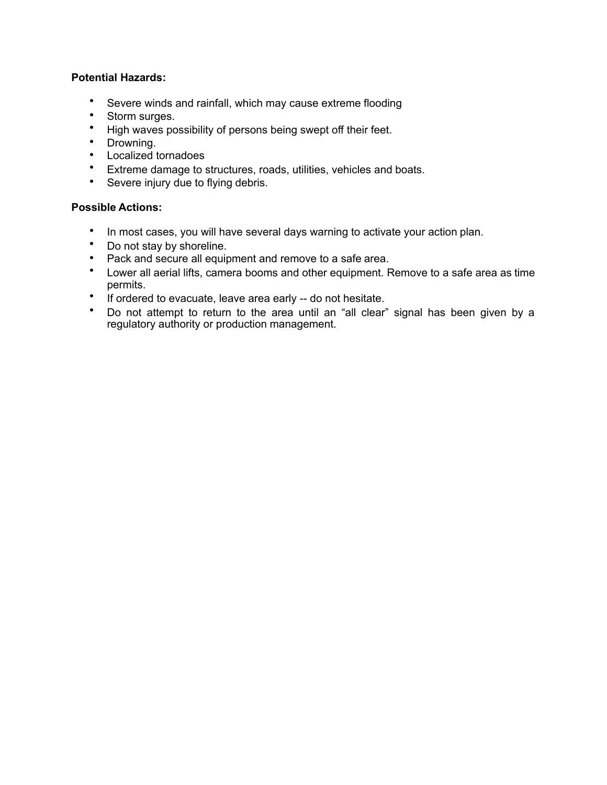# **Potential Hazards:**

- Severe winds and rainfall, which may cause extreme flooding
- Storm surges.
- High waves possibility of persons being swept off their feet.
- Drowning.
- Localized tornadoes
- Extreme damage to structures, roads, utilities, vehicles and boats.
- Severe injury due to flying debris.

# **Possible Actions:**

- In most cases, you will have several days warning to activate your action plan.
- Do not stay by shoreline.
- Pack and secure all equipment and remove to a safe area.
- Lower all aerial lifts, camera booms and other equipment. Remove to a safe area as time permits.
- If ordered to evacuate, leave area early -- do not hesitate.
- Do not attempt to return to the area until an "all clear" signal has been given by a regulatory authority or production management.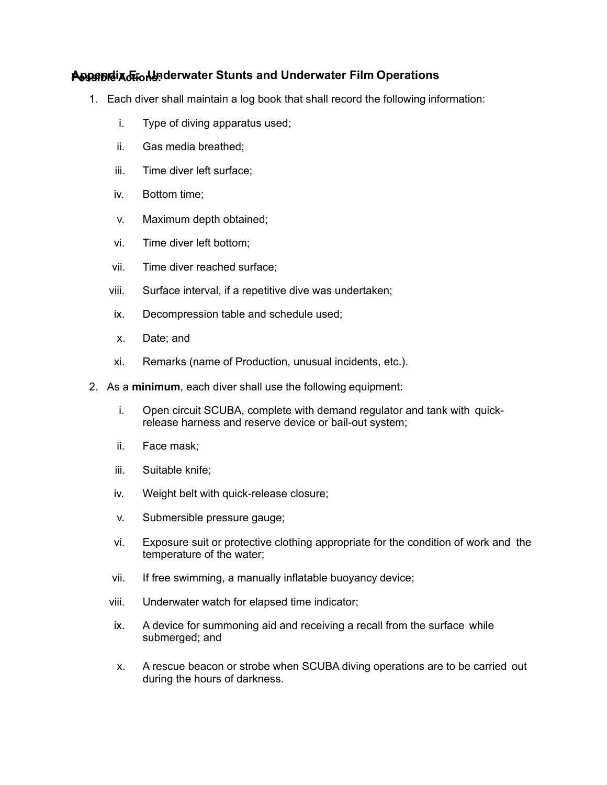# **P Appendix E: Underwater Stunts and Underwater Film ossible Actions: Operations**

- 1. Each diver shall maintain a log book that shall record the following information:
	- i. Type of diving apparatus used;
	- ii. Gas media breathed;
	- iii. Time diver left surface;
	- iv. Bottom time;
	- v. Maximum depth obtained;
	- vi. Time diver left bottom;
	- vii. Time diver reached surface;
	- viii. Surface interval, if a repetitive dive was undertaken;
	- ix. Decompression table and schedule used;
	- x. Date; and
	- xi. Remarks (name of Production, unusual incidents, etc.).
- 2. As a **minimum**, each diver shall use the following equipment:
	- i. Open circuit SCUBA, complete with demand regulator and tank with quickrelease harness and reserve device or bail-out system;
	- ii. Face mask;
	- iii. Suitable knife;
	- iv. Weight belt with quick-release closure;
	- v. Submersible pressure gauge;
	- vi. Exposure suit or protective clothing appropriate for the condition of work and the temperature of the water;
	- vii. If free swimming, a manually inflatable buoyancy device;
	- viii. Underwater watch for elapsed time indicator;
	- ix. A device for summoning aid and receiving a recall from the surface while submerged; and
	- x. A rescue beacon or strobe when SCUBA diving operations are to be carried out during the hours of darkness.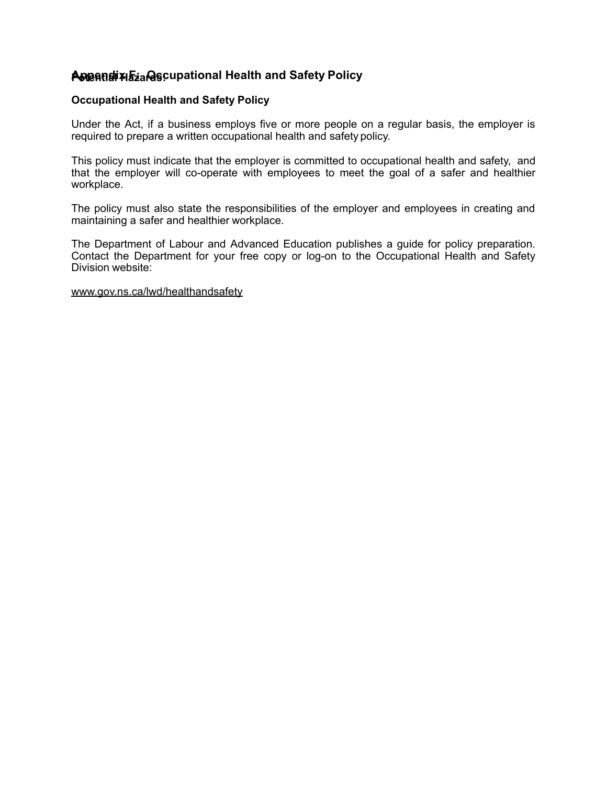# **P Appendix F: Occupational Health and Safety otential Hazards: Policy**

## **Occupational Health and Safety Policy**

Under the Act, if a business employs five or more people on a regular basis, the employer is required to prepare a written occupational health and safety policy.

This policy must indicate that the employer is committed to occupational health and safety, and that the employer will co-operate with employees to meet the goal of a safer and healthier workplace.

The policy must also state the responsibilities of the employer and employees in creating and maintaining a safer and healthier workplace.

The Department of Labour and Advanced Education publishes a guide for policy preparation. Contact the Department for your free copy or log-on to the Occupational Health and Safety Division website:

### [www.gov.ns.ca/lwd/healthandsafety](http://www.gov.ns.ca/lwd/healthandsafety)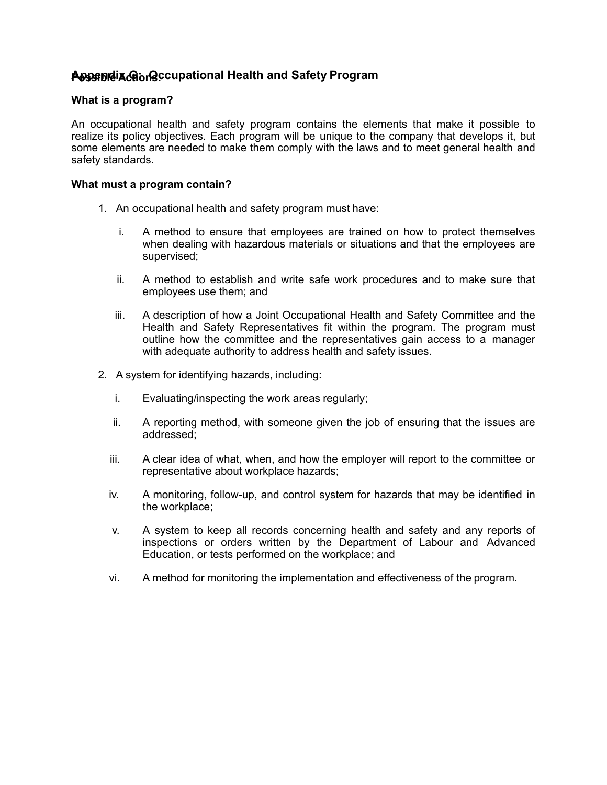# **P Appendix G: Occupational Health and Safety ossible Actions: Program**

## **What is a program?**

An occupational health and safety program contains the elements that make it possible to realize its policy objectives. Each program will be unique to the company that develops it, but some elements are needed to make them comply with the laws and to meet general health and safety standards.

### **What must a program contain?**

- 1. An occupational health and safety program must have:
	- i. A method to ensure that employees are trained on how to protect themselves when dealing with hazardous materials or situations and that the employees are supervised;
	- ii. A method to establish and write safe work procedures and to make sure that employees use them; and
	- iii. A description of how a Joint Occupational Health and Safety Committee and the Health and Safety Representatives fit within the program. The program must outline how the committee and the representatives gain access to a manager with adequate authority to address health and safety issues.
- 2. A system for identifying hazards, including:
	- i. Evaluating/inspecting the work areas regularly;
	- ii. A reporting method, with someone given the job of ensuring that the issues are addressed;
	- iii. A clear idea of what, when, and how the employer will report to the committee or representative about workplace hazards;
	- iv. A monitoring, follow-up, and control system for hazards that may be identified in the workplace;
	- v. A system to keep all records concerning health and safety and any reports of inspections or orders written by the Department of Labour and Advanced Education, or tests performed on the workplace; and
	- vi. A method for monitoring the implementation and effectiveness of the program.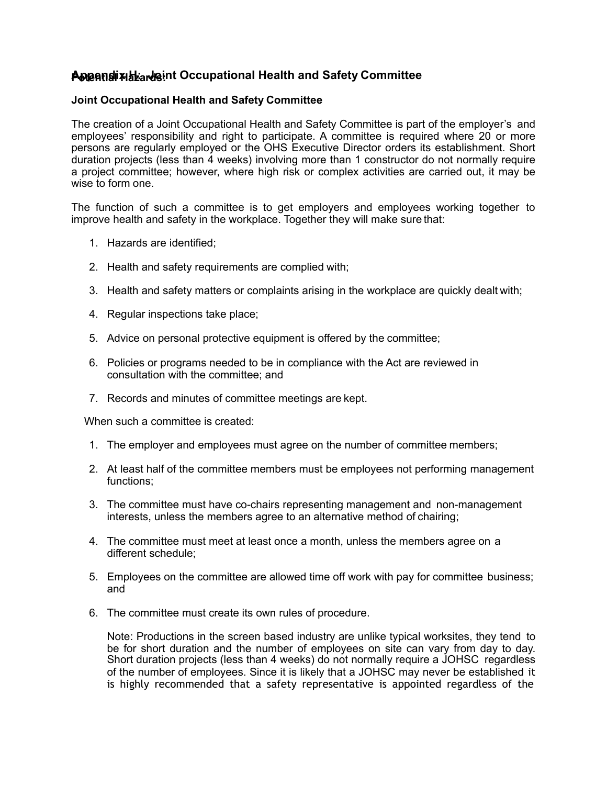# **P Appendix H: Joint Occupational Health and Safety otential Hazards: Committee**

## **Joint Occupational Health and Safety Committee**

The creation of a Joint Occupational Health and Safety Committee is part of the employer's and employees' responsibility and right to participate. A committee is required where 20 or more persons are regularly employed or the OHS Executive Director orders its establishment. Short duration projects (less than 4 weeks) involving more than 1 constructor do not normally require a project committee; however, where high risk or complex activities are carried out, it may be wise to form one.

The function of such a committee is to get employers and employees working together to improve health and safety in the workplace. Together they will make sure that:

- 1. Hazards are identified;
- 2. Health and safety requirements are complied with;
- 3. Health and safety matters or complaints arising in the workplace are quickly dealt with;
- 4. Regular inspections take place;
- 5. Advice on personal protective equipment is offered by the committee;
- 6. Policies or programs needed to be in compliance with the Act are reviewed in consultation with the committee; and
- 7. Records and minutes of committee meetings are kept.

When such a committee is created:

- 1. The employer and employees must agree on the number of committee members;
- 2. At least half of the committee members must be employees not performing management functions;
- 3. The committee must have co-chairs representing management and non-management interests, unless the members agree to an alternative method of chairing;
- 4. The committee must meet at least once a month, unless the members agree on a different schedule;
- 5. Employees on the committee are allowed time off work with pay for committee business; and
- 6. The committee must create its own rules of procedure.

Note: Productions in the screen based industry are unlike typical worksites, they tend to be for short duration and the number of employees on site can vary from day to day. Short duration projects (less than 4 weeks) do not normally require a JOHSC regardless of the number of employees. Since it is likely that a JOHSC may never be established it is highly recommended that a safety representative is appointed regardless of the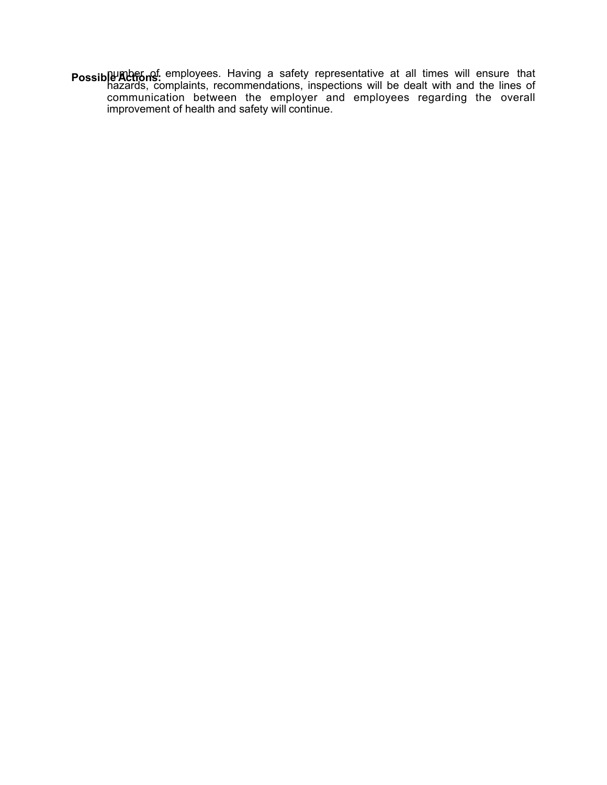**Possible Actions:** employees. Having a safety representative at all times will ensure that hazards, complaints, recommendations, inspections will be dealt with and the lines of communication between the employer and employees regarding the overall improvement of health and safety will continue.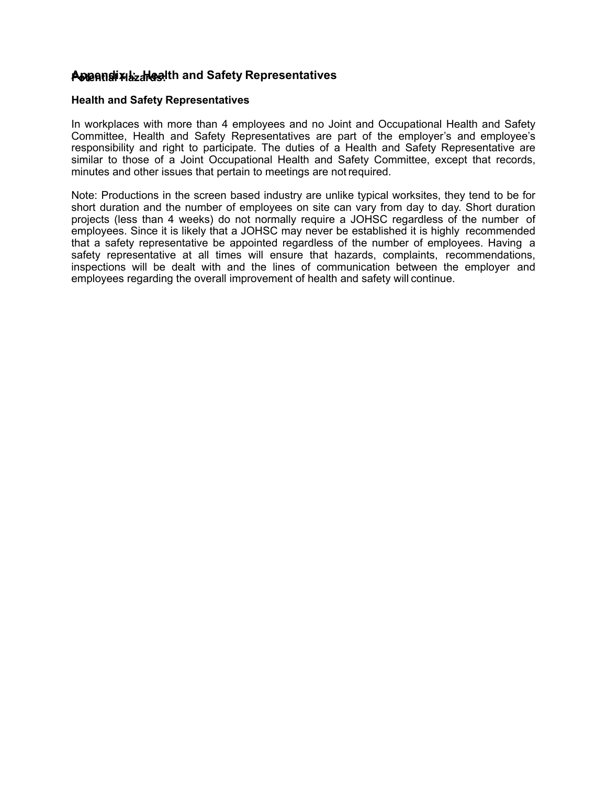# **P Appendix I: Health and Safety otential Hazards: Representatives**

#### **Health and Safety Representatives**

In workplaces with more than 4 employees and no Joint and Occupational Health and Safety Committee, Health and Safety Representatives are part of the employer's and employee's responsibility and right to participate. The duties of a Health and Safety Representative are similar to those of a Joint Occupational Health and Safety Committee, except that records, minutes and other issues that pertain to meetings are notrequired.

Note: Productions in the screen based industry are unlike typical worksites, they tend to be for short duration and the number of employees on site can vary from day to day. Short duration projects (less than 4 weeks) do not normally require a JOHSC regardless of the number of employees. Since it is likely that a JOHSC may never be established it is highly recommended that a safety representative be appointed regardless of the number of employees. Having a safety representative at all times will ensure that hazards, complaints, recommendations, inspections will be dealt with and the lines of communication between the employer and employees regarding the overall improvement of health and safety will continue.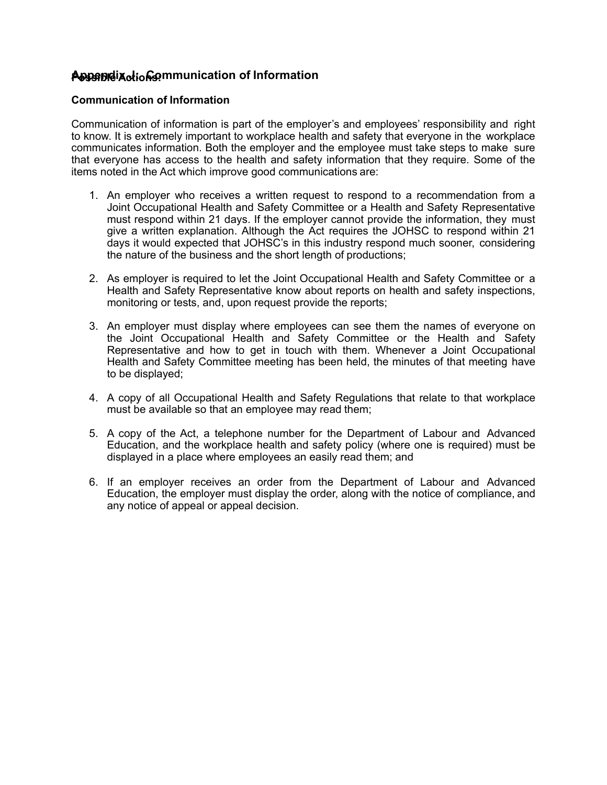# **P Appendix J: Communication of ossible Actions: Information**

## **Communication of Information**

Communication of information is part of the employer's and employees' responsibility and right to know. It is extremely important to workplace health and safety that everyone in the workplace communicates information. Both the employer and the employee must take steps to make sure that everyone has access to the health and safety information that they require. Some of the items noted in the Act which improve good communications are:

- 1. An employer who receives a written request to respond to a recommendation from a Joint Occupational Health and Safety Committee or a Health and Safety Representative must respond within 21 days. If the employer cannot provide the information, they must give a written explanation. Although the Act requires the JOHSC to respond within 21 days it would expected that JOHSC's in this industry respond much sooner, considering the nature of the business and the short length of productions;
- 2. As employer is required to let the Joint Occupational Health and Safety Committee or a Health and Safety Representative know about reports on health and safety inspections, monitoring or tests, and, upon request provide the reports;
- 3. An employer must display where employees can see them the names of everyone on the Joint Occupational Health and Safety Committee or the Health and Safety Representative and how to get in touch with them. Whenever a Joint Occupational Health and Safety Committee meeting has been held, the minutes of that meeting have to be displayed;
- 4. A copy of all Occupational Health and Safety Regulations that relate to that workplace must be available so that an employee may read them;
- 5. A copy of the Act, a telephone number for the Department of Labour and Advanced Education, and the workplace health and safety policy (where one is required) must be displayed in a place where employees an easily read them; and
- 6. If an employer receives an order from the Department of Labour and Advanced Education, the employer must display the order, along with the notice of compliance, and any notice of appeal or appeal decision.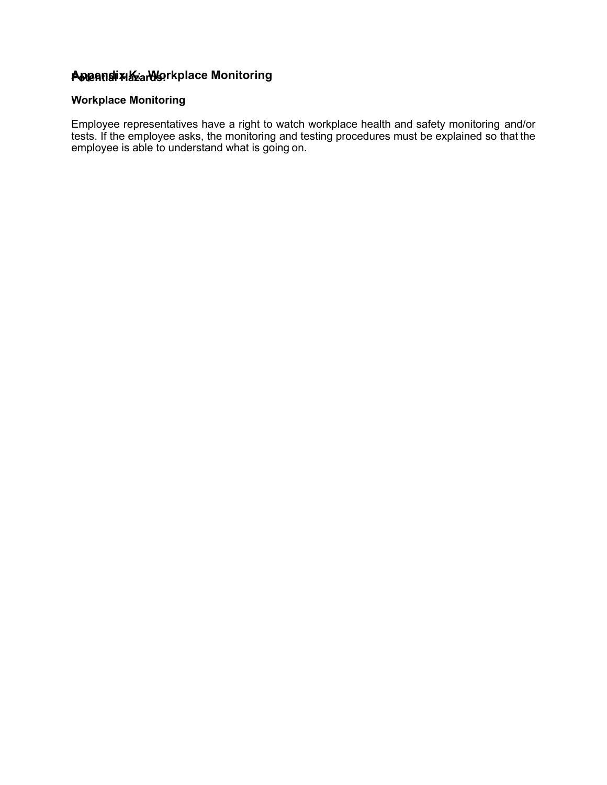# **P Appendix K: Workplace otential Hazards: Monitoring**

# **Workplace Monitoring**

Employee representatives have a right to watch workplace health and safety monitoring and/or tests. If the employee asks, the monitoring and testing procedures must be explained so that the employee is able to understand what is going on.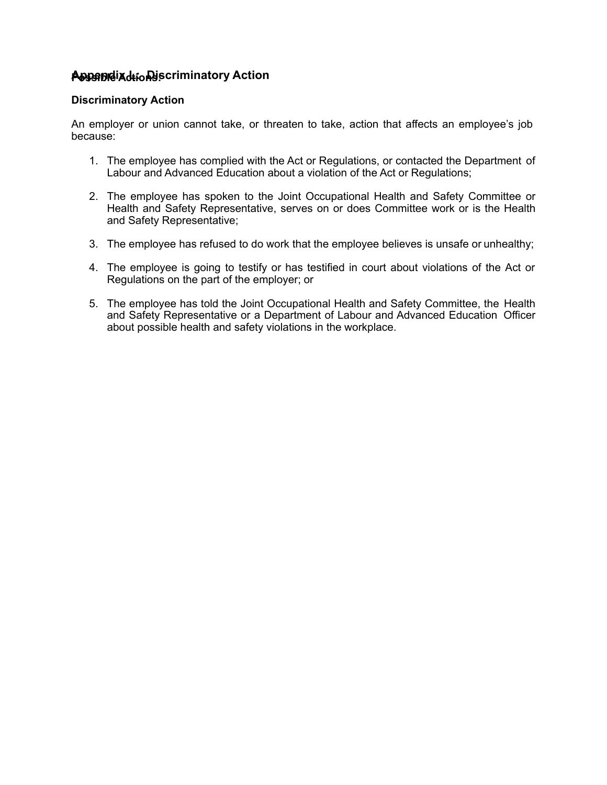# **P Appendix L: Discriminatory ossible Actions: Action**

## **Discriminatory Action**

An employer or union cannot take, or threaten to take, action that affects an employee's job because:

- 1. The employee has complied with the Act or Regulations, or contacted the Department of Labour and Advanced Education about a violation of the Act or Regulations;
- 2. The employee has spoken to the Joint Occupational Health and Safety Committee or Health and Safety Representative, serves on or does Committee work or is the Health and Safety Representative;
- 3. The employee has refused to do work that the employee believes is unsafe or unhealthy;
- 4. The employee is going to testify or has testified in court about violations of the Act or Regulations on the part of the employer; or
- 5. The employee has told the Joint Occupational Health and Safety Committee, the Health and Safety Representative or a Department of Labour and Advanced Education Officer about possible health and safety violations in the workplace.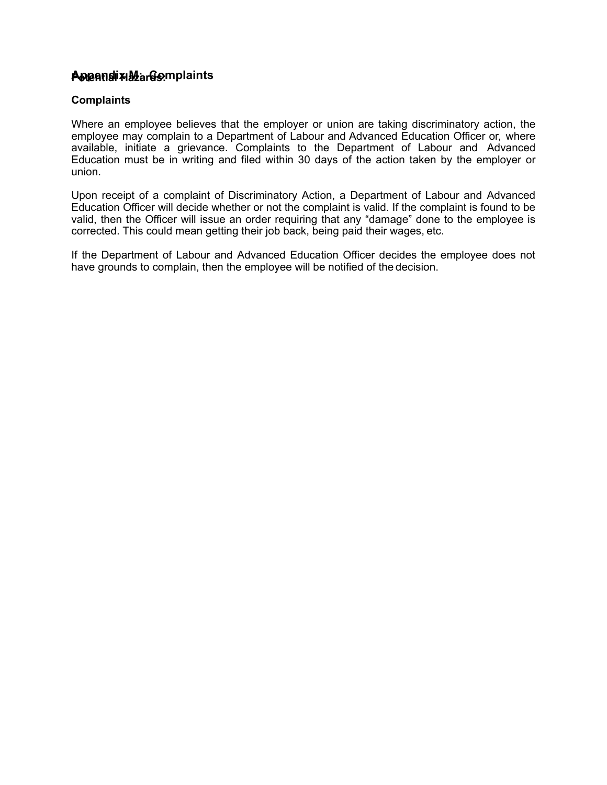# **P Appendix M: otential Hazards: Complaints**

### **Complaints**

Where an employee believes that the employer or union are taking discriminatory action, the employee may complain to a Department of Labour and Advanced Education Officer or, where available, initiate a grievance. Complaints to the Department of Labour and Advanced Education must be in writing and filed within 30 days of the action taken by the employer or union.

Upon receipt of a complaint of Discriminatory Action, a Department of Labour and Advanced Education Officer will decide whether or not the complaint is valid. If the complaint is found to be valid, then the Officer will issue an order requiring that any "damage" done to the employee is corrected. This could mean getting their job back, being paid their wages, etc.

If the Department of Labour and Advanced Education Officer decides the employee does not have grounds to complain, then the employee will be notified of the decision.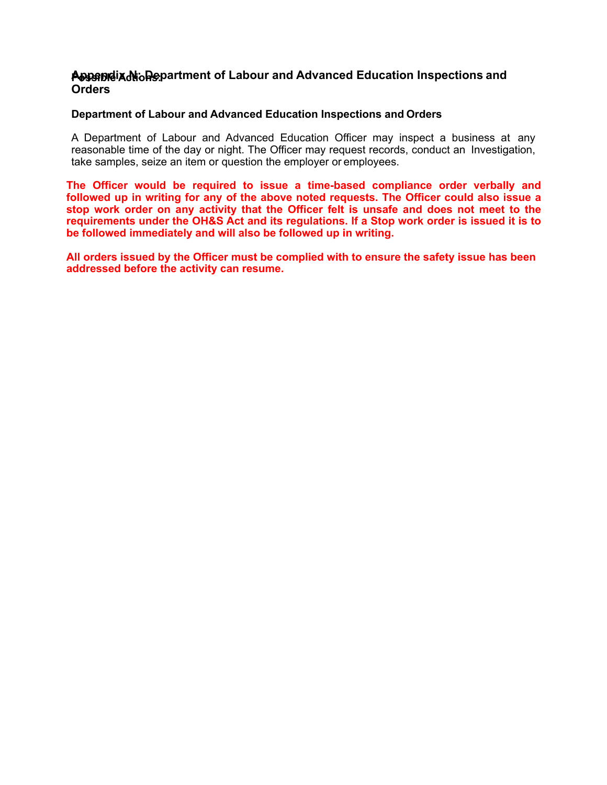### **P Appendix N: Department of Labour and Advanced Education Inspections ossible Actions: and Orders**

#### **Department of Labour and Advanced Education Inspections and Orders**

A Department of Labour and Advanced Education Officer may inspect a business at any reasonable time of the day or night. The Officer may request records, conduct an Investigation, take samples, seize an item or question the employer or employees.

**The Officer would be required to issue a time-based compliance order verbally and followed up in writing for any of the above noted requests. The Officer could also issue a stop work order on any activity that the Officer felt is unsafe and does not meet to the requirements under the OH&S Act and its regulations. If a Stop work order is issued it is to be followed immediately and will also be followed up in writing.** 

**All orders issued by the Officer must be complied with to ensure the safety issue has been addressed before the activity can resume.**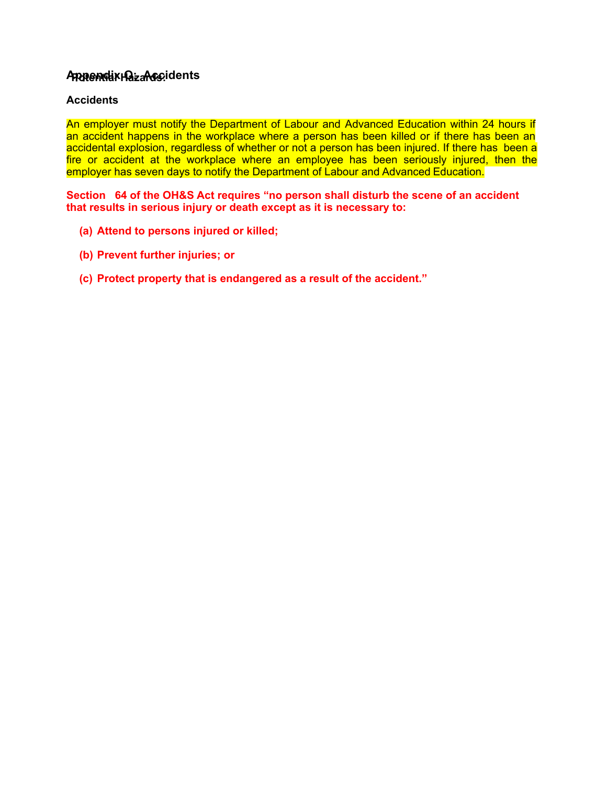### **Appendix O: Potential HazaAccidents rds:**

### **Accidents**

An employer must notify the Department of Labour and Advanced Education within 24 hours if an accident happens in the workplace where a person has been killed or if there has been an accidental explosion, regardless of whether or not a person has been injured. If there has been a fire or accident at the workplace where an employee has been seriously injured, then the employer has seven days to notify the Department of Labour and Advanced Education.

**Section 64 of the OH&S Act requires "no person shall disturb the scene of an accident that results in serious injury or death except as it is necessary to:** 

- **(a) Attend to persons injured or killed;**
- **(b) Prevent further injuries; or**
- **(c) Protect property that is endangered as a result of the accident."**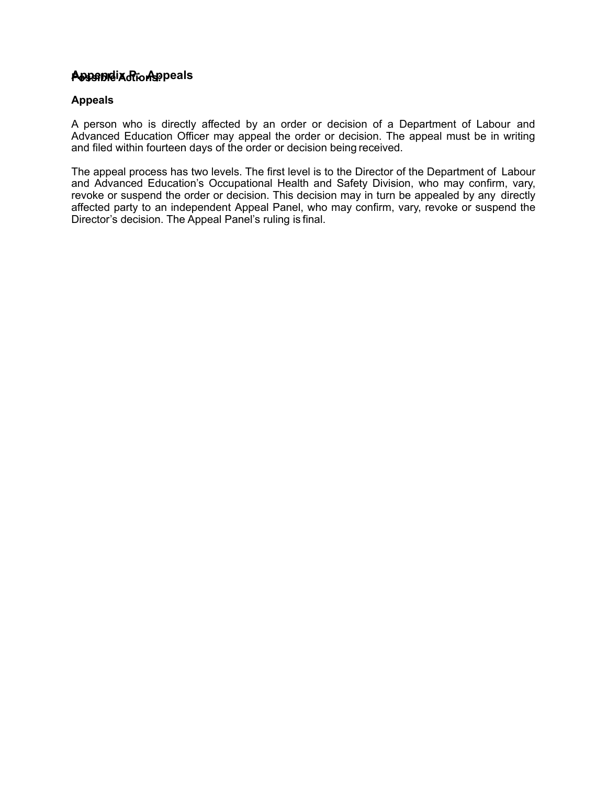# **P Appendix P: ossible Action Appeals s:**

### **Appeals**

A person who is directly affected by an order or decision of a Department of Labour and Advanced Education Officer may appeal the order or decision. The appeal must be in writing and filed within fourteen days of the order or decision being received.

The appeal process has two levels. The first level is to the Director of the Department of Labour and Advanced Education's Occupational Health and Safety Division, who may confirm, vary, revoke or suspend the order or decision. This decision may in turn be appealed by any directly affected party to an independent Appeal Panel, who may confirm, vary, revoke or suspend the Director's decision. The Appeal Panel's ruling is final.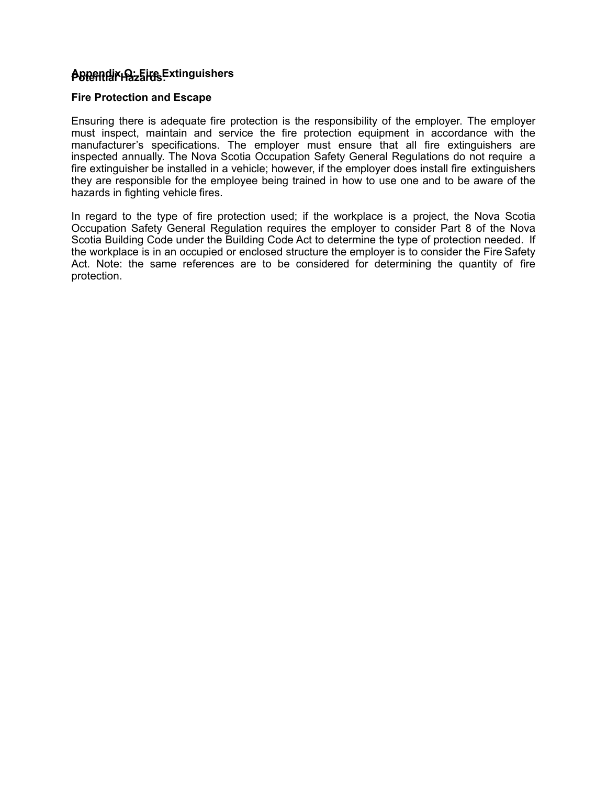## **Potential Hazards: Appendix Q: Fire Extinguishers**

#### **Fire Protection and Escape**

Ensuring there is adequate fire protection is the responsibility of the employer. The employer must inspect, maintain and service the fire protection equipment in accordance with the manufacturer's specifications. The employer must ensure that all fire extinguishers are inspected annually. The Nova Scotia Occupation Safety General Regulations do not require a fire extinguisher be installed in a vehicle; however, if the employer does install fire extinguishers they are responsible for the employee being trained in how to use one and to be aware of the hazards in fighting vehicle fires.

In regard to the type of fire protection used; if the workplace is a project, the Nova Scotia Occupation Safety General Regulation requires the employer to consider Part 8 of the Nova Scotia Building Code under the Building Code Act to determine the type of protection needed. If the workplace is in an occupied or enclosed structure the employer is to consider the Fire Safety Act. Note: the same references are to be considered for determining the quantity of fire protection.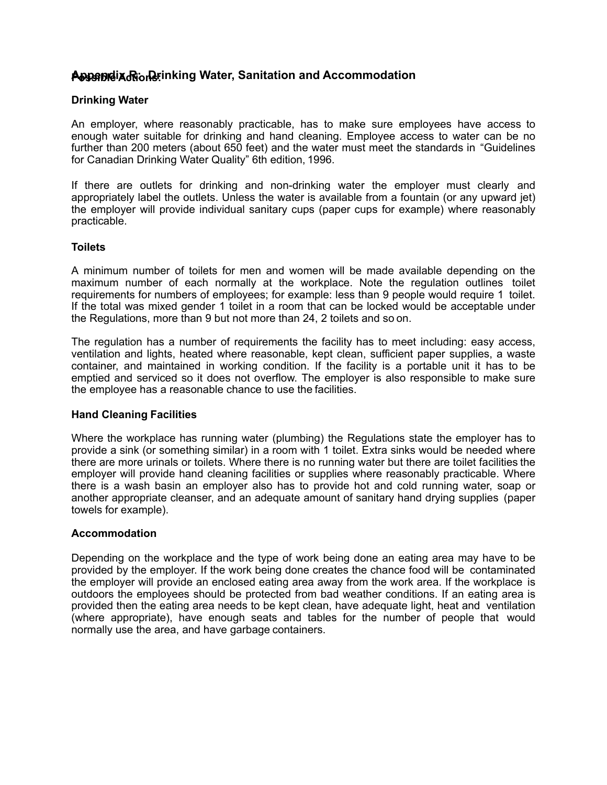# **P Appendix R: Drinking Water, Sanitation and ossible Actions: Accommodation**

#### **Drinking Water**

An employer, where reasonably practicable, has to make sure employees have access to enough water suitable for drinking and hand cleaning. Employee access to water can be no further than 200 meters (about 650 feet) and the water must meet the standards in "Guidelines for Canadian Drinking Water Quality" 6th edition, 1996.

If there are outlets for drinking and non-drinking water the employer must clearly and appropriately label the outlets. Unless the water is available from a fountain (or any upward jet) the employer will provide individual sanitary cups (paper cups for example) where reasonably practicable.

#### **Toilets**

A minimum number of toilets for men and women will be made available depending on the maximum number of each normally at the workplace. Note the regulation outlines toilet requirements for numbers of employees; for example: less than 9 people would require 1 toilet. If the total was mixed gender 1 toilet in a room that can be locked would be acceptable under the Regulations, more than 9 but not more than 24, 2 toilets and so on.

The regulation has a number of requirements the facility has to meet including: easy access, ventilation and lights, heated where reasonable, kept clean, sufficient paper supplies, a waste container, and maintained in working condition. If the facility is a portable unit it has to be emptied and serviced so it does not overflow. The employer is also responsible to make sure the employee has a reasonable chance to use the facilities.

#### **Hand Cleaning Facilities**

Where the workplace has running water (plumbing) the Regulations state the employer has to provide a sink (or something similar) in a room with 1 toilet. Extra sinks would be needed where there are more urinals or toilets. Where there is no running water but there are toilet facilities the employer will provide hand cleaning facilities or supplies where reasonably practicable. Where there is a wash basin an employer also has to provide hot and cold running water, soap or another appropriate cleanser, and an adequate amount of sanitary hand drying supplies (paper towels for example).

#### **Accommodation**

Depending on the workplace and the type of work being done an eating area may have to be provided by the employer. If the work being done creates the chance food will be contaminated the employer will provide an enclosed eating area away from the work area. If the workplace is outdoors the employees should be protected from bad weather conditions. If an eating area is provided then the eating area needs to be kept clean, have adequate light, heat and ventilation (where appropriate), have enough seats and tables for the number of people that would normally use the area, and have garbage containers.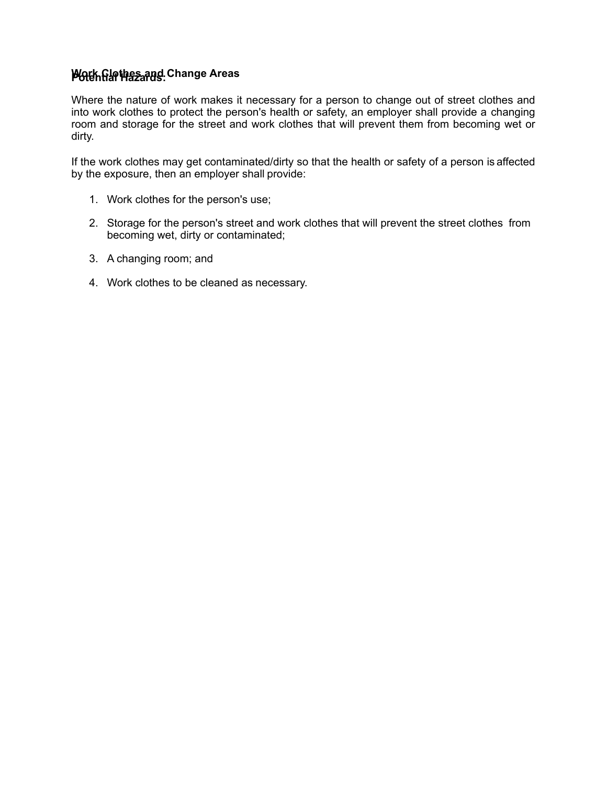# **P Work Clothes and Change otential Hazards: Areas**

Where the nature of work makes it necessary for a person to change out of street clothes and into work clothes to protect the person's health or safety, an employer shall provide a changing room and storage for the street and work clothes that will prevent them from becoming wet or dirty.

If the work clothes may get contaminated/dirty so that the health or safety of a person is affected by the exposure, then an employer shall provide:

- 1. Work clothes for the person's use;
- 2. Storage for the person's street and work clothes that will prevent the street clothes from becoming wet, dirty or contaminated;
- 3. A changing room; and
- 4. Work clothes to be cleaned as necessary.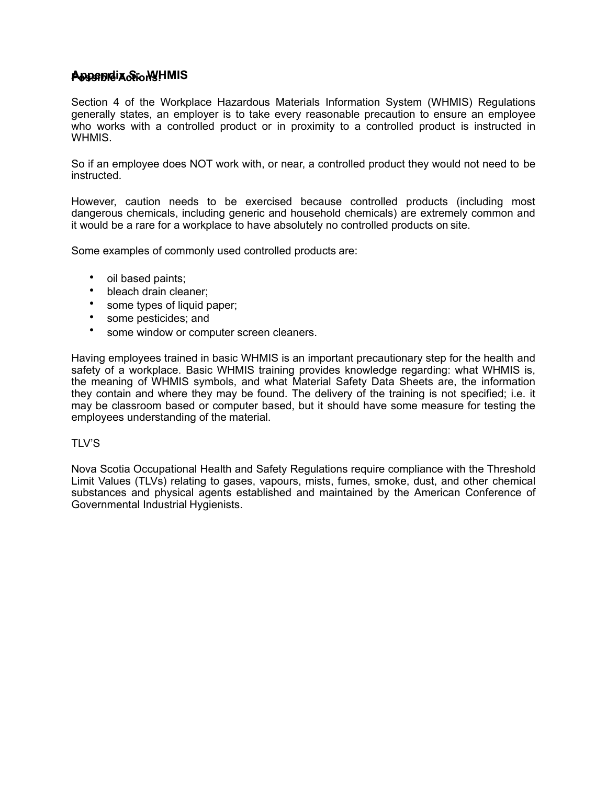# **P Appendix S: ossible Action WHMIS s:**

Section 4 of the Workplace Hazardous Materials Information System (WHMIS) Regulations generally states, an employer is to take every reasonable precaution to ensure an employee who works with a controlled product or in proximity to a controlled product is instructed in WHMIS.

So if an employee does NOT work with, or near, a controlled product they would not need to be instructed.

However, caution needs to be exercised because controlled products (including most dangerous chemicals, including generic and household chemicals) are extremely common and it would be a rare for a workplace to have absolutely no controlled products on site.

Some examples of commonly used controlled products are:

- oil based paints;
- bleach drain cleaner;
- some types of liquid paper;
- some pesticides; and
- some window or computer screen cleaners.

Having employees trained in basic WHMIS is an important precautionary step for the health and safety of a workplace. Basic WHMIS training provides knowledge regarding: what WHMIS is, the meaning of WHMIS symbols, and what Material Safety Data Sheets are, the information they contain and where they may be found. The delivery of the training is not specified; i.e. it may be classroom based or computer based, but it should have some measure for testing the employees understanding of the material.

#### $TIV'S$

Nova Scotia Occupational Health and Safety Regulations require compliance with the Threshold Limit Values (TLVs) relating to gases, vapours, mists, fumes, smoke, dust, and other chemical substances and physical agents established and maintained by the American Conference of Governmental Industrial Hygienists.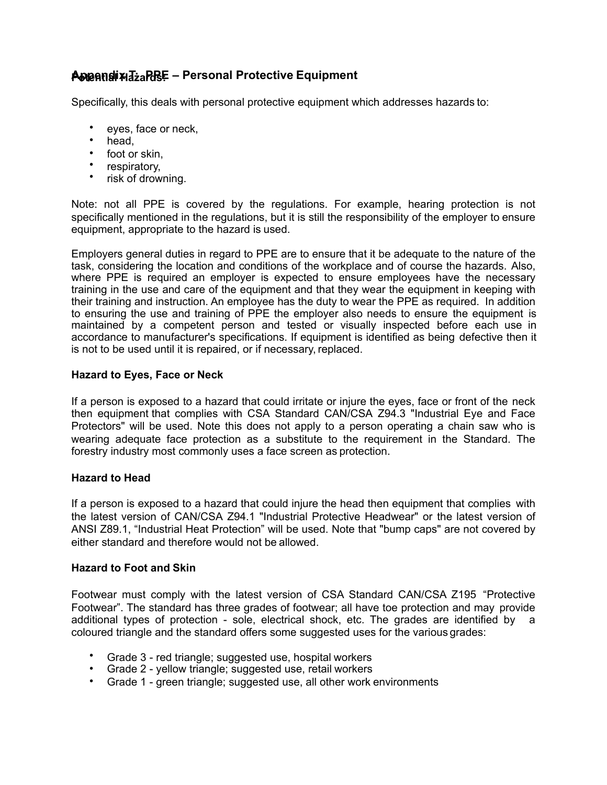# **P Appendix T: PPE – Personal Protective otential Hazards: Equipment**

Specifically, this deals with personal protective equipment which addresses hazards to:

- eyes, face or neck,
- head,
- foot or skin,
- respiratory,
- risk of drowning.

Note: not all PPE is covered by the regulations. For example, hearing protection is not specifically mentioned in the regulations, but it is still the responsibility of the employer to ensure equipment, appropriate to the hazard is used.

Employers general duties in regard to PPE are to ensure that it be adequate to the nature of the task, considering the location and conditions of the workplace and of course the hazards. Also, where PPE is required an employer is expected to ensure employees have the necessary training in the use and care of the equipment and that they wear the equipment in keeping with their training and instruction. An employee has the duty to wear the PPE as required. In addition to ensuring the use and training of PPE the employer also needs to ensure the equipment is maintained by a competent person and tested or visually inspected before each use in accordance to manufacturer's specifications. If equipment is identified as being defective then it is not to be used until it is repaired, or if necessary, replaced.

### **Hazard to Eyes, Face or Neck**

If a person is exposed to a hazard that could irritate or injure the eyes, face or front of the neck then equipment that complies with CSA Standard CAN/CSA Z94.3 "Industrial Eye and Face Protectors" will be used. Note this does not apply to a person operating a chain saw who is wearing adequate face protection as a substitute to the requirement in the Standard. The forestry industry most commonly uses a face screen as protection.

#### **Hazard to Head**

If a person is exposed to a hazard that could injure the head then equipment that complies with the latest version of CAN/CSA Z94.1 "Industrial Protective Headwear" or the latest version of ANSI Z89.1, "Industrial Heat Protection" will be used. Note that "bump caps" are not covered by either standard and therefore would not be allowed.

#### **Hazard to Foot and Skin**

Footwear must comply with the latest version of CSA Standard CAN/CSA Z195 "Protective Footwear". The standard has three grades of footwear; all have toe protection and may provide additional types of protection - sole, electrical shock, etc. The grades are identified by a coloured triangle and the standard offers some suggested uses for the various grades:

- Grade 3 red triangle; suggested use, hospital workers
- Grade 2 yellow triangle; suggested use, retail workers
- Grade 1 green triangle; suggested use, all other work environments